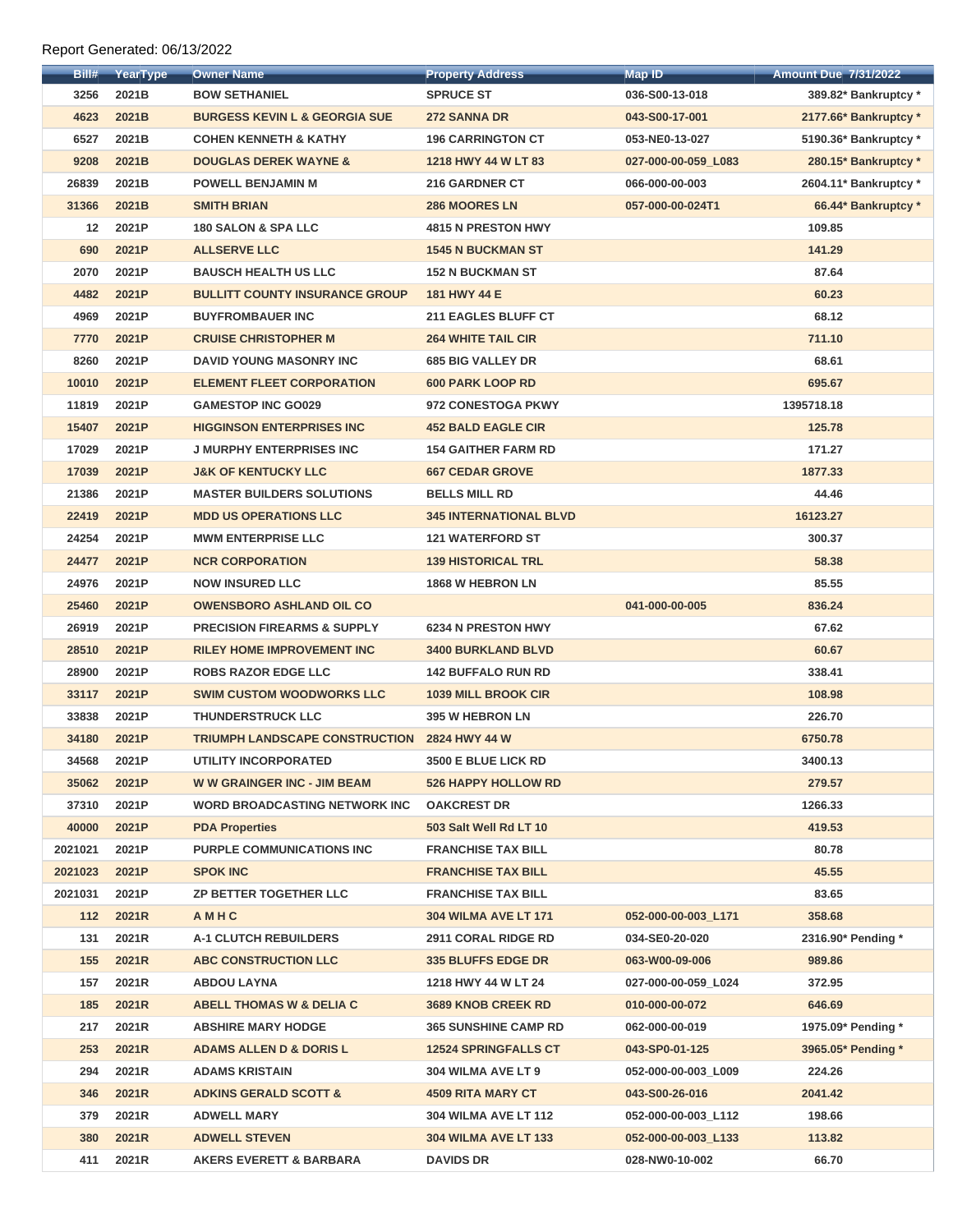## Report Generated: 06/13/2022

| Bill#             | YearType | <b>Owner Name</b>                        | <b>Property Address</b>       | <b>Map ID</b>       | <b>Amount Due 7/31/2022</b> |
|-------------------|----------|------------------------------------------|-------------------------------|---------------------|-----------------------------|
| 3256              | 2021B    | <b>BOW SETHANIEL</b>                     | <b>SPRUCE ST</b>              | 036-S00-13-018      | 389.82* Bankruptcy *        |
| 4623              | 2021B    | <b>BURGESS KEVIN L &amp; GEORGIA SUE</b> | 272 SANNA DR                  | 043-S00-17-001      | 2177.66* Bankruptcy *       |
| 6527              | 2021B    | <b>COHEN KENNETH &amp; KATHY</b>         | <b>196 CARRINGTON CT</b>      | 053-NE0-13-027      | 5190.36* Bankruptcy *       |
| 9208              | 2021B    | <b>DOUGLAS DEREK WAYNE &amp;</b>         | 1218 HWY 44 W LT 83           | 027-000-00-059_L083 | 280.15* Bankruptcy *        |
| 26839             | 2021B    | <b>POWELL BENJAMIN M</b>                 | <b>216 GARDNER CT</b>         | 066-000-00-003      | 2604.11* Bankruptcy *       |
| 31366             | 2021B    | <b>SMITH BRIAN</b>                       | <b>286 MOORES LN</b>          | 057-000-00-024T1    | 66.44* Bankruptcy *         |
| $12 \overline{ }$ | 2021P    | <b>180 SALON &amp; SPA LLC</b>           | <b>4815 N PRESTON HWY</b>     |                     | 109.85                      |
| 690               | 2021P    | <b>ALLSERVE LLC</b>                      | <b>1545 N BUCKMAN ST</b>      |                     | 141.29                      |
| 2070              | 2021P    | <b>BAUSCH HEALTH US LLC</b>              | <b>152 N BUCKMAN ST</b>       |                     | 87.64                       |
| 4482              | 2021P    | <b>BULLITT COUNTY INSURANCE GROUP</b>    | 181 HWY 44 E                  |                     | 60.23                       |
| 4969              | 2021P    | <b>BUYFROMBAUER INC</b>                  | <b>211 EAGLES BLUFF CT</b>    |                     | 68.12                       |
| 7770              | 2021P    | <b>CRUISE CHRISTOPHER M</b>              | <b>264 WHITE TAIL CIR</b>     |                     | 711.10                      |
| 8260              | 2021P    | <b>DAVID YOUNG MASONRY INC</b>           | <b>685 BIG VALLEY DR</b>      |                     | 68.61                       |
| 10010             | 2021P    | <b>ELEMENT FLEET CORPORATION</b>         | <b>600 PARK LOOP RD</b>       |                     | 695.67                      |
| 11819             | 2021P    | <b>GAMESTOP INC GO029</b>                | 972 CONESTOGA PKWY            |                     | 1395718.18                  |
| 15407             | 2021P    | <b>HIGGINSON ENTERPRISES INC</b>         | <b>452 BALD EAGLE CIR</b>     |                     | 125.78                      |
| 17029             | 2021P    | <b>J MURPHY ENTERPRISES INC</b>          | <b>154 GAITHER FARM RD</b>    |                     | 171.27                      |
| 17039             | 2021P    | <b>J&amp;K OF KENTUCKY LLC</b>           | <b>667 CEDAR GROVE</b>        |                     | 1877.33                     |
| 21386             | 2021P    | <b>MASTER BUILDERS SOLUTIONS</b>         | <b>BELLS MILL RD</b>          |                     | 44.46                       |
| 22419             | 2021P    | <b>MDD US OPERATIONS LLC</b>             | <b>345 INTERNATIONAL BLVD</b> |                     | 16123.27                    |
| 24254             | 2021P    | <b>MWM ENTERPRISE LLC</b>                | <b>121 WATERFORD ST</b>       |                     | 300.37                      |
| 24477             | 2021P    | <b>NCR CORPORATION</b>                   | <b>139 HISTORICAL TRL</b>     |                     | 58.38                       |
| 24976             | 2021P    | <b>NOW INSURED LLC</b>                   | 1868 W HEBRON LN              |                     | 85.55                       |
| 25460             | 2021P    | <b>OWENSBORO ASHLAND OIL CO</b>          |                               | 041-000-00-005      | 836.24                      |
| 26919             | 2021P    | <b>PRECISION FIREARMS &amp; SUPPLY</b>   | <b>6234 N PRESTON HWY</b>     |                     | 67.62                       |
| 28510             | 2021P    | <b>RILEY HOME IMPROVEMENT INC</b>        | <b>3400 BURKLAND BLVD</b>     |                     | 60.67                       |
| 28900             | 2021P    | <b>ROBS RAZOR EDGE LLC</b>               | <b>142 BUFFALO RUN RD</b>     |                     | 338.41                      |
| 33117             | 2021P    | <b>SWIM CUSTOM WOODWORKS LLC</b>         | <b>1039 MILL BROOK CIR</b>    |                     | 108.98                      |
| 33838             | 2021P    | <b>THUNDERSTRUCK LLC</b>                 | <b>395 W HEBRON LN</b>        |                     | 226.70                      |
| 34180             | 2021P    | <b>TRIUMPH LANDSCAPE CONSTRUCTION</b>    | 2824 HWY 44 W                 |                     | 6750.78                     |
| 34568             | 2021P    | <b>UTILITY INCORPORATED</b>              | 3500 E BLUE LICK RD           |                     | 3400.13                     |
| 35062             | 2021P    | <b>WW GRAINGER INC - JIM BEAM</b>        | <b>526 HAPPY HOLLOW RD</b>    |                     | 279.57                      |
| 37310             | 2021P    | <b>WORD BROADCASTING NETWORK INC</b>     | <b>OAKCREST DR</b>            |                     | 1266.33                     |
| 40000             | 2021P    | <b>PDA Properties</b>                    | 503 Salt Well Rd LT 10        |                     | 419.53                      |
| 2021021           | 2021P    | <b>PURPLE COMMUNICATIONS INC</b>         | <b>FRANCHISE TAX BILL</b>     |                     | 80.78                       |
| 2021023           | 2021P    | <b>SPOK INC</b>                          | <b>FRANCHISE TAX BILL</b>     |                     | 45.55                       |
| 2021031           | 2021P    | <b>ZP BETTER TOGETHER LLC</b>            | <b>FRANCHISE TAX BILL</b>     |                     | 83.65                       |
| 112               | 2021R    | AMHC                                     | <b>304 WILMA AVE LT 171</b>   | 052-000-00-003_L171 | 358.68                      |
| 131               | 2021R    | <b>A-1 CLUTCH REBUILDERS</b>             | <b>2911 CORAL RIDGE RD</b>    | 034-SE0-20-020      | 2316.90* Pending *          |
| 155               | 2021R    | <b>ABC CONSTRUCTION LLC</b>              | <b>335 BLUFFS EDGE DR</b>     | 063-W00-09-006      | 989.86                      |
| 157               | 2021R    | <b>ABDOU LAYNA</b>                       | 1218 HWY 44 W LT 24           | 027-000-00-059_L024 | 372.95                      |
| 185               | 2021R    | <b>ABELL THOMAS W &amp; DELIA C</b>      | <b>3689 KNOB CREEK RD</b>     | 010-000-00-072      | 646.69                      |
| 217               | 2021R    | <b>ABSHIRE MARY HODGE</b>                | <b>365 SUNSHINE CAMP RD</b>   | 062-000-00-019      | 1975.09* Pending *          |
| 253               | 2021R    | <b>ADAMS ALLEN D &amp; DORIS L</b>       | <b>12524 SPRINGFALLS CT</b>   | 043-SP0-01-125      | 3965.05* Pending *          |
| 294               | 2021R    | <b>ADAMS KRISTAIN</b>                    | 304 WILMA AVE LT 9            | 052-000-00-003_L009 | 224.26                      |
| 346               | 2021R    | <b>ADKINS GERALD SCOTT &amp;</b>         | <b>4509 RITA MARY CT</b>      | 043-S00-26-016      | 2041.42                     |
| 379               | 2021R    | <b>ADWELL MARY</b>                       | <b>304 WILMA AVE LT 112</b>   | 052-000-00-003_L112 | 198.66                      |
| <b>380</b>        | 2021R    | <b>ADWELL STEVEN</b>                     | <b>304 WILMA AVE LT 133</b>   | 052-000-00-003 L133 | 113.82                      |
| 411               | 2021R    | <b>AKERS EVERETT &amp; BARBARA</b>       | <b>DAVIDS DR</b>              | 028-NW0-10-002      | 66.70                       |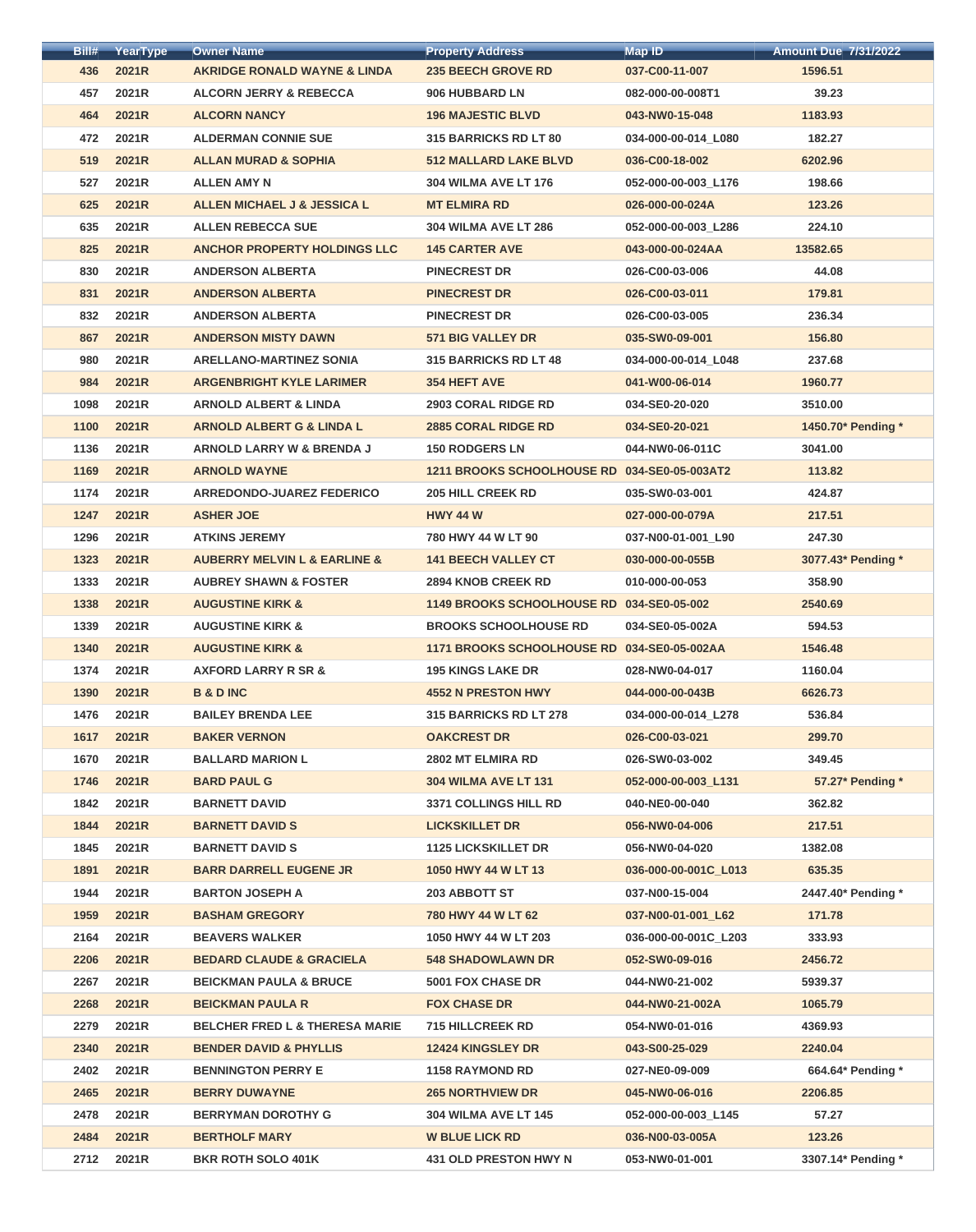| Bill# | YearType | <b>Owner Name</b>                           | <b>Property Address</b>                      | <b>Map ID</b>        | <b>Amount Due 7/31/2022</b> |
|-------|----------|---------------------------------------------|----------------------------------------------|----------------------|-----------------------------|
| 436   | 2021R    | <b>AKRIDGE RONALD WAYNE &amp; LINDA</b>     | <b>235 BEECH GROVE RD</b>                    | 037-C00-11-007       | 1596.51                     |
| 457   | 2021R    | <b>ALCORN JERRY &amp; REBECCA</b>           | 906 HUBBARD LN                               | 082-000-00-008T1     | 39.23                       |
| 464   | 2021R    | <b>ALCORN NANCY</b>                         | <b>196 MAJESTIC BLVD</b>                     | 043-NW0-15-048       | 1183.93                     |
| 472   | 2021R    | <b>ALDERMAN CONNIE SUE</b>                  | <b>315 BARRICKS RD LT 80</b>                 | 034-000-00-014_L080  | 182.27                      |
| 519   | 2021R    | <b>ALLAN MURAD &amp; SOPHIA</b>             | <b>512 MALLARD LAKE BLVD</b>                 | 036-C00-18-002       | 6202.96                     |
| 527   | 2021R    | <b>ALLEN AMY N</b>                          | <b>304 WILMA AVE LT 176</b>                  | 052-000-00-003 L176  | 198.66                      |
| 625   | 2021R    | ALLEN MICHAEL J & JESSICA L                 | <b>MT ELMIRA RD</b>                          | 026-000-00-024A      | 123.26                      |
| 635   | 2021R    | <b>ALLEN REBECCA SUE</b>                    | <b>304 WILMA AVE LT 286</b>                  | 052-000-00-003_L286  | 224.10                      |
| 825   | 2021R    | <b>ANCHOR PROPERTY HOLDINGS LLC</b>         | <b>145 CARTER AVE</b>                        | 043-000-00-024AA     | 13582.65                    |
| 830   | 2021R    | <b>ANDERSON ALBERTA</b>                     | <b>PINECREST DR</b>                          | 026-C00-03-006       | 44.08                       |
| 831   | 2021R    | <b>ANDERSON ALBERTA</b>                     | <b>PINECREST DR</b>                          | 026-C00-03-011       | 179.81                      |
| 832   | 2021R    | <b>ANDERSON ALBERTA</b>                     | <b>PINECREST DR</b>                          | 026-C00-03-005       | 236.34                      |
| 867   | 2021R    | <b>ANDERSON MISTY DAWN</b>                  | <b>571 BIG VALLEY DR</b>                     | 035-SW0-09-001       | 156.80                      |
| 980   | 2021R    | <b>ARELLANO-MARTINEZ SONIA</b>              | <b>315 BARRICKS RD LT 48</b>                 | 034-000-00-014_L048  | 237.68                      |
| 984   | 2021R    | <b>ARGENBRIGHT KYLE LARIMER</b>             | <b>354 HEFT AVE</b>                          | 041-W00-06-014       | 1960.77                     |
| 1098  | 2021R    | <b>ARNOLD ALBERT &amp; LINDA</b>            | <b>2903 CORAL RIDGE RD</b>                   | 034-SE0-20-020       | 3510.00                     |
| 1100  | 2021R    | <b>ARNOLD ALBERT G &amp; LINDA L</b>        | <b>2885 CORAL RIDGE RD</b>                   | 034-SE0-20-021       | 1450.70* Pending *          |
| 1136  | 2021R    | <b>ARNOLD LARRY W &amp; BRENDA J</b>        | <b>150 RODGERS LN</b>                        | 044-NW0-06-011C      | 3041.00                     |
| 1169  | 2021R    | <b>ARNOLD WAYNE</b>                         | 1211 BROOKS SCHOOLHOUSE RD 034-SE0-05-003AT2 |                      | 113.82                      |
| 1174  | 2021R    | <b>ARREDONDO-JUAREZ FEDERICO</b>            | <b>205 HILL CREEK RD</b>                     | 035-SW0-03-001       | 424.87                      |
| 1247  | 2021R    | <b>ASHER JOE</b>                            | <b>HWY 44 W</b>                              | 027-000-00-079A      | 217.51                      |
| 1296  | 2021R    | <b>ATKINS JEREMY</b>                        | 780 HWY 44 W LT 90                           | 037-N00-01-001_L90   | 247.30                      |
| 1323  | 2021R    | <b>AUBERRY MELVIN L &amp; EARLINE &amp;</b> | <b>141 BEECH VALLEY CT</b>                   | 030-000-00-055B      | 3077.43* Pending *          |
| 1333  | 2021R    | <b>AUBREY SHAWN &amp; FOSTER</b>            | <b>2894 KNOB CREEK RD</b>                    | 010-000-00-053       | 358.90                      |
| 1338  | 2021R    | <b>AUGUSTINE KIRK &amp;</b>                 | 1149 BROOKS SCHOOLHOUSE RD 034-SE0-05-002    |                      | 2540.69                     |
| 1339  | 2021R    | <b>AUGUSTINE KIRK &amp;</b>                 | <b>BROOKS SCHOOLHOUSE RD</b>                 | 034-SE0-05-002A      | 594.53                      |
| 1340  | 2021R    | <b>AUGUSTINE KIRK &amp;</b>                 | 1171 BROOKS SCHOOLHOUSE RD 034-SE0-05-002AA  |                      | 1546.48                     |
| 1374  | 2021R    | <b>AXFORD LARRY R SR &amp;</b>              | <b>195 KINGS LAKE DR</b>                     | 028-NW0-04-017       | 1160.04                     |
| 1390  | 2021R    | <b>B &amp; D INC</b>                        | <b>4552 N PRESTON HWY</b>                    | 044-000-00-043B      | 6626.73                     |
| 1476  | 2021R    | <b>BAILEY BRENDA LEE</b>                    | 315 BARRICKS RD LT 278                       | 034-000-00-014_L278  | 536.84                      |
| 1617  | 2021R    | <b>BAKER VERNON</b>                         | <b>OAKCREST DR</b>                           | 026-C00-03-021       | 299.70                      |
| 1670  | 2021R    | <b>BALLARD MARION L</b>                     | 2802 MT ELMIRA RD                            | 026-SW0-03-002       | 349.45                      |
| 1746  | 2021R    | <b>BARD PAUL G</b>                          | <b>304 WILMA AVE LT 131</b>                  | 052-000-00-003_L131  | 57.27* Pending *            |
| 1842  | 2021R    | <b>BARNETT DAVID</b>                        | <b>3371 COLLINGS HILL RD</b>                 | 040-NE0-00-040       | 362.82                      |
| 1844  | 2021R    | <b>BARNETT DAVID S</b>                      | <b>LICKSKILLET DR</b>                        | 056-NW0-04-006       | 217.51                      |
| 1845  | 2021R    | <b>BARNETT DAVID S</b>                      | <b>1125 LICKSKILLET DR</b>                   | 056-NW0-04-020       | 1382.08                     |
| 1891  | 2021R    | <b>BARR DARRELL EUGENE JR</b>               | 1050 HWY 44 W LT 13                          | 036-000-00-001C_L013 | 635.35                      |
| 1944  | 2021R    | <b>BARTON JOSEPH A</b>                      | 203 ABBOTT ST                                | 037-N00-15-004       | 2447.40* Pending *          |
| 1959  | 2021R    | <b>BASHAM GREGORY</b>                       | 780 HWY 44 W LT 62                           | 037-N00-01-001 L62   | 171.78                      |
| 2164  | 2021R    | <b>BEAVERS WALKER</b>                       | 1050 HWY 44 W LT 203                         | 036-000-00-001C_L203 | 333.93                      |
| 2206  | 2021R    | <b>BEDARD CLAUDE &amp; GRACIELA</b>         | <b>548 SHADOWLAWN DR</b>                     | 052-SW0-09-016       | 2456.72                     |
| 2267  | 2021R    | <b>BEICKMAN PAULA &amp; BRUCE</b>           | <b>5001 FOX CHASE DR</b>                     | 044-NW0-21-002       | 5939.37                     |
| 2268  | 2021R    | <b>BEICKMAN PAULA R</b>                     | <b>FOX CHASE DR</b>                          | 044-NW0-21-002A      | 1065.79                     |
| 2279  | 2021R    | <b>BELCHER FRED L &amp; THERESA MARIE</b>   | <b>715 HILLCREEK RD</b>                      | 054-NW0-01-016       | 4369.93                     |
| 2340  | 2021R    | <b>BENDER DAVID &amp; PHYLLIS</b>           | 12424 KINGSLEY DR                            | 043-S00-25-029       | 2240.04                     |
| 2402  | 2021R    | <b>BENNINGTON PERRY E</b>                   | <b>1158 RAYMOND RD</b>                       | 027-NE0-09-009       | 664.64* Pending *           |
| 2465  | 2021R    | <b>BERRY DUWAYNE</b>                        | <b>265 NORTHVIEW DR</b>                      | 045-NW0-06-016       | 2206.85                     |
| 2478  | 2021R    | <b>BERRYMAN DOROTHY G</b>                   | <b>304 WILMA AVE LT 145</b>                  | 052-000-00-003_L145  | 57.27                       |
| 2484  | 2021R    | <b>BERTHOLF MARY</b>                        | <b>W BLUE LICK RD</b>                        | 036-N00-03-005A      | 123.26                      |
| 2712  | 2021R    | <b>BKR ROTH SOLO 401K</b>                   | <b>431 OLD PRESTON HWY N</b>                 | 053-NW0-01-001       | 3307.14* Pending *          |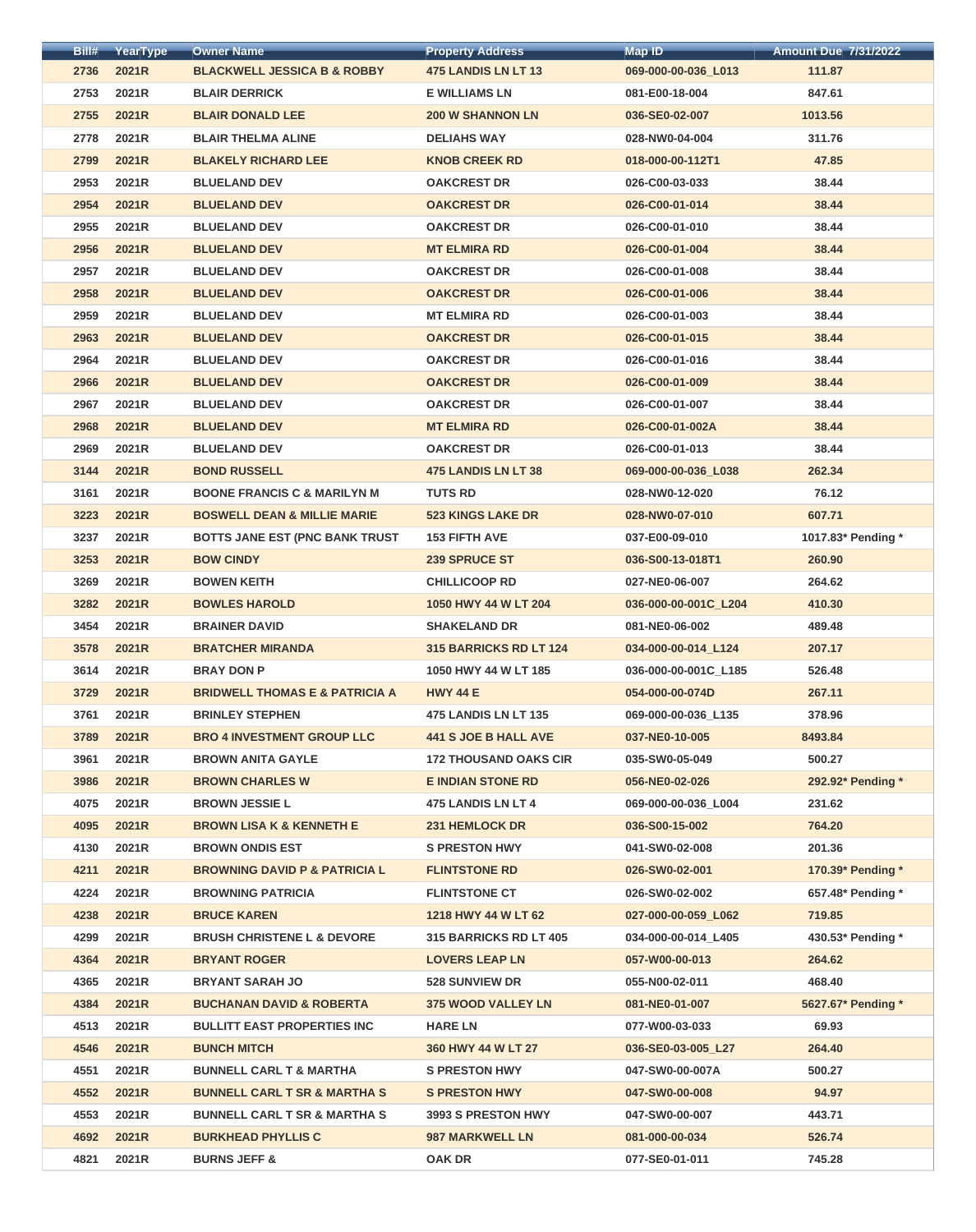| Bill# | YearType | <b>Owner Name</b>                         | <b>Property Address</b>       | Map ID               | <b>Amount Due 7/31/2022</b> |
|-------|----------|-------------------------------------------|-------------------------------|----------------------|-----------------------------|
| 2736  | 2021R    | <b>BLACKWELL JESSICA B &amp; ROBBY</b>    | <b>475 LANDIS LN LT 13</b>    | 069-000-00-036_L013  | 111.87                      |
| 2753  | 2021R    | <b>BLAIR DERRICK</b>                      | <b>E WILLIAMS LN</b>          | 081-E00-18-004       | 847.61                      |
| 2755  | 2021R    | <b>BLAIR DONALD LEE</b>                   | <b>200 W SHANNON LN</b>       | 036-SE0-02-007       | 1013.56                     |
| 2778  | 2021R    | <b>BLAIR THELMA ALINE</b>                 | <b>DELIAHS WAY</b>            | 028-NW0-04-004       | 311.76                      |
| 2799  | 2021R    | <b>BLAKELY RICHARD LEE</b>                | <b>KNOB CREEK RD</b>          | 018-000-00-112T1     | 47.85                       |
| 2953  | 2021R    | <b>BLUELAND DEV</b>                       | <b>OAKCREST DR</b>            | 026-C00-03-033       | 38.44                       |
| 2954  | 2021R    | <b>BLUELAND DEV</b>                       | <b>OAKCREST DR</b>            | 026-C00-01-014       | 38.44                       |
| 2955  | 2021R    | <b>BLUELAND DEV</b>                       | <b>OAKCREST DR</b>            | 026-C00-01-010       | 38.44                       |
| 2956  | 2021R    | <b>BLUELAND DEV</b>                       | <b>MT ELMIRA RD</b>           | 026-C00-01-004       | 38.44                       |
| 2957  | 2021R    | <b>BLUELAND DEV</b>                       | <b>OAKCREST DR</b>            | 026-C00-01-008       | 38.44                       |
| 2958  | 2021R    | <b>BLUELAND DEV</b>                       | <b>OAKCREST DR</b>            | 026-C00-01-006       | 38.44                       |
| 2959  | 2021R    | <b>BLUELAND DEV</b>                       | <b>MT ELMIRA RD</b>           | 026-C00-01-003       | 38.44                       |
| 2963  | 2021R    | <b>BLUELAND DEV</b>                       | <b>OAKCREST DR</b>            | 026-C00-01-015       | 38.44                       |
| 2964  | 2021R    | <b>BLUELAND DEV</b>                       | <b>OAKCREST DR</b>            | 026-C00-01-016       | 38.44                       |
| 2966  | 2021R    | <b>BLUELAND DEV</b>                       | <b>OAKCREST DR</b>            | 026-C00-01-009       | 38.44                       |
| 2967  | 2021R    | <b>BLUELAND DEV</b>                       | <b>OAKCREST DR</b>            | 026-C00-01-007       | 38.44                       |
| 2968  | 2021R    | <b>BLUELAND DEV</b>                       | <b>MT ELMIRA RD</b>           | 026-C00-01-002A      | 38.44                       |
| 2969  | 2021R    | <b>BLUELAND DEV</b>                       | <b>OAKCREST DR</b>            | 026-C00-01-013       | 38.44                       |
| 3144  | 2021R    | <b>BOND RUSSELL</b>                       | <b>475 LANDIS LN LT 38</b>    | 069-000-00-036_L038  | 262.34                      |
| 3161  | 2021R    | <b>BOONE FRANCIS C &amp; MARILYN M</b>    | <b>TUTS RD</b>                | 028-NW0-12-020       | 76.12                       |
| 3223  | 2021R    | <b>BOSWELL DEAN &amp; MILLIE MARIE</b>    | <b>523 KINGS LAKE DR</b>      | 028-NW0-07-010       | 607.71                      |
| 3237  | 2021R    | <b>BOTTS JANE EST (PNC BANK TRUST)</b>    | <b>153 FIFTH AVE</b>          | 037-E00-09-010       | 1017.83* Pending *          |
| 3253  | 2021R    | <b>BOW CINDY</b>                          | 239 SPRUCE ST                 | 036-S00-13-018T1     | 260.90                      |
| 3269  | 2021R    | <b>BOWEN KEITH</b>                        | <b>CHILLICOOP RD</b>          | 027-NE0-06-007       | 264.62                      |
| 3282  | 2021R    | <b>BOWLES HAROLD</b>                      | 1050 HWY 44 W LT 204          | 036-000-00-001C_L204 | 410.30                      |
| 3454  | 2021R    | <b>BRAINER DAVID</b>                      | <b>SHAKELAND DR</b>           | 081-NE0-06-002       | 489.48                      |
| 3578  | 2021R    | <b>BRATCHER MIRANDA</b>                   | <b>315 BARRICKS RD LT 124</b> | 034-000-00-014 L124  | 207.17                      |
| 3614  | 2021R    | <b>BRAY DON P</b>                         | 1050 HWY 44 W LT 185          | 036-000-00-001C_L185 | 526.48                      |
| 3729  | 2021R    | <b>BRIDWELL THOMAS E &amp; PATRICIA A</b> | <b>HWY 44 E</b>               | 054-000-00-074D      | 267.11                      |
| 3761  | 2021R    | <b>BRINLEY STEPHEN</b>                    | <b>475 LANDIS LN LT 135</b>   | 069-000-00-036 L135  | 378.96                      |
| 3789  | 2021R    | <b>BRO 4 INVESTMENT GROUP LLC</b>         | <b>441 S JOE B HALL AVE</b>   | 037-NE0-10-005       | 8493.84                     |
| 3961  | 2021R    | <b>BROWN ANITA GAYLE</b>                  | <b>172 THOUSAND OAKS CIR</b>  | 035-SW0-05-049       | 500.27                      |
| 3986  | 2021R    | <b>BROWN CHARLES W</b>                    | <b>E INDIAN STONE RD</b>      | 056-NE0-02-026       | 292.92* Pending *           |
| 4075  | 2021R    | <b>BROWN JESSIE L</b>                     | 475 LANDIS LN LT 4            | 069-000-00-036_L004  | 231.62                      |
| 4095  | 2021R    | <b>BROWN LISA K &amp; KENNETH E</b>       | 231 HEMLOCK DR                | 036-S00-15-002       | 764.20                      |
| 4130  | 2021R    | <b>BROWN ONDIS EST</b>                    | <b>S PRESTON HWY</b>          | 041-SW0-02-008       | 201.36                      |
| 4211  | 2021R    | <b>BROWNING DAVID P &amp; PATRICIA L</b>  | <b>FLINTSTONE RD</b>          | 026-SW0-02-001       | 170.39* Pending *           |
| 4224  | 2021R    | <b>BROWNING PATRICIA</b>                  | <b>FLINTSTONE CT</b>          | 026-SW0-02-002       | 657.48* Pending *           |
| 4238  | 2021R    | <b>BRUCE KAREN</b>                        | 1218 HWY 44 W LT 62           | 027-000-00-059_L062  | 719.85                      |
| 4299  | 2021R    | <b>BRUSH CHRISTENE L &amp; DEVORE</b>     | <b>315 BARRICKS RD LT 405</b> | 034-000-00-014_L405  | 430.53* Pending *           |
| 4364  | 2021R    | <b>BRYANT ROGER</b>                       | <b>LOVERS LEAP LN</b>         | 057-W00-00-013       | 264.62                      |
| 4365  | 2021R    | <b>BRYANT SARAH JO</b>                    | <b>528 SUNVIEW DR</b>         | 055-N00-02-011       | 468.40                      |
| 4384  | 2021R    | <b>BUCHANAN DAVID &amp; ROBERTA</b>       | <b>375 WOOD VALLEY LN</b>     | 081-NE0-01-007       | 5627.67* Pending *          |
| 4513  | 2021R    | <b>BULLITT EAST PROPERTIES INC</b>        | <b>HARE LN</b>                | 077-W00-03-033       | 69.93                       |
| 4546  | 2021R    | <b>BUNCH MITCH</b>                        | 360 HWY 44 W LT 27            | 036-SE0-03-005_L27   | 264.40                      |
| 4551  | 2021R    | <b>BUNNELL CARL T &amp; MARTHA</b>        | <b>S PRESTON HWY</b>          | 047-SW0-00-007A      | 500.27                      |
| 4552  | 2021R    | <b>BUNNELL CARL T SR &amp; MARTHA S</b>   | <b>S PRESTON HWY</b>          | 047-SW0-00-008       | 94.97                       |
| 4553  | 2021R    | <b>BUNNELL CARL T SR &amp; MARTHA S</b>   | 3993 S PRESTON HWY            | 047-SW0-00-007       | 443.71                      |
| 4692  | 2021R    | <b>BURKHEAD PHYLLIS C</b>                 | <b>987 MARKWELL LN</b>        | 081-000-00-034       | 526.74                      |
| 4821  | 2021R    | <b>BURNS JEFF &amp;</b>                   | <b>OAK DR</b>                 | 077-SE0-01-011       | 745.28                      |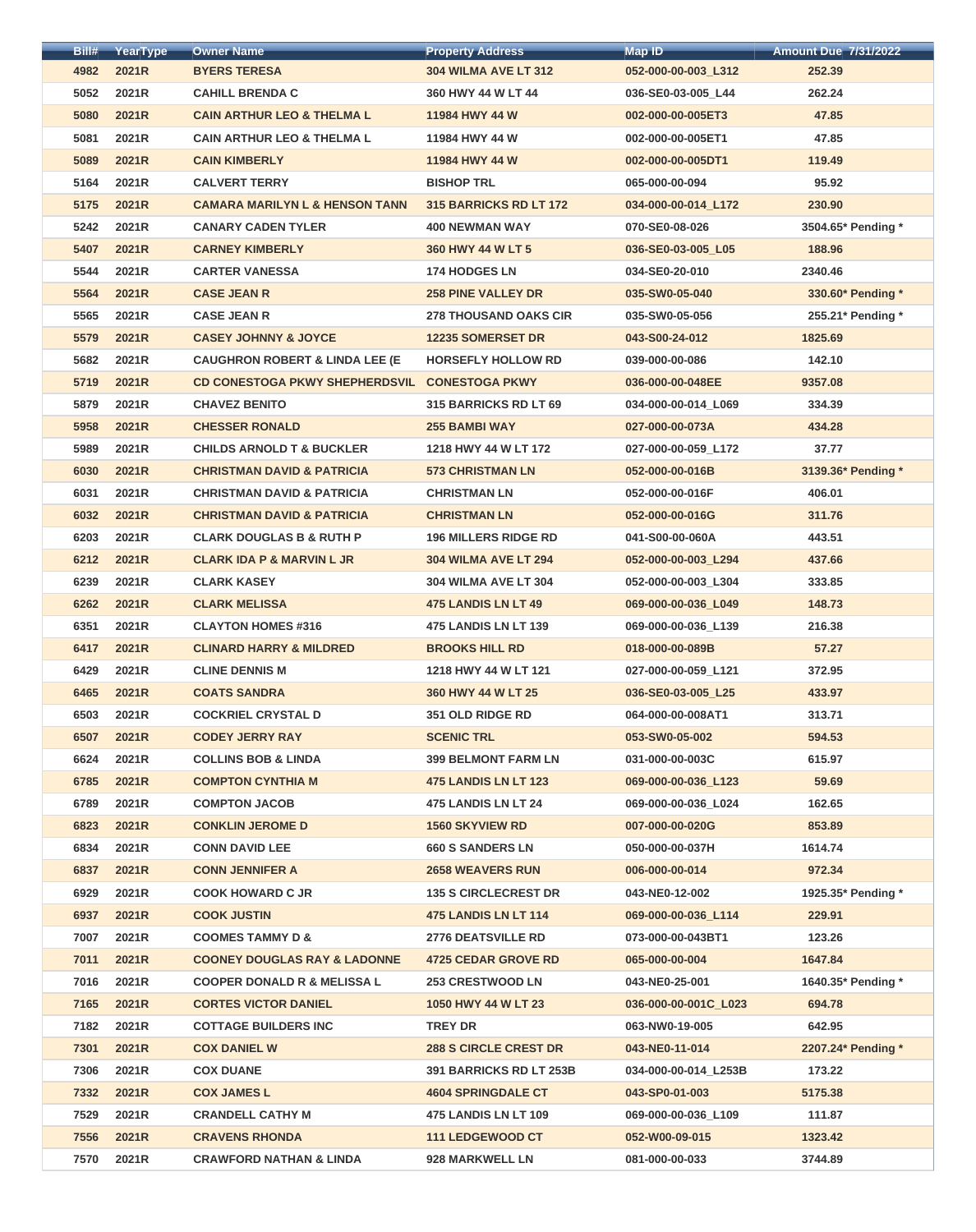| Bill# | YearType | <b>Owner Name</b>                         | <b>Property Address</b>       | <b>Map ID</b>        | <b>Amount Due 7/31/2022</b> |
|-------|----------|-------------------------------------------|-------------------------------|----------------------|-----------------------------|
| 4982  | 2021R    | <b>BYERS TERESA</b>                       | <b>304 WILMA AVE LT 312</b>   | 052-000-00-003_L312  | 252.39                      |
| 5052  | 2021R    | <b>CAHILL BRENDA C</b>                    | 360 HWY 44 W LT 44            | 036-SE0-03-005_L44   | 262.24                      |
| 5080  | 2021R    | <b>CAIN ARTHUR LEO &amp; THELMA L</b>     | 11984 HWY 44 W                | 002-000-00-005ET3    | 47.85                       |
| 5081  | 2021R    | <b>CAIN ARTHUR LEO &amp; THELMA L</b>     | 11984 HWY 44 W                | 002-000-00-005ET1    | 47.85                       |
| 5089  | 2021R    | <b>CAIN KIMBERLY</b>                      | 11984 HWY 44 W                | 002-000-00-005DT1    | 119.49                      |
| 5164  | 2021R    | <b>CALVERT TERRY</b>                      | <b>BISHOP TRL</b>             | 065-000-00-094       | 95.92                       |
| 5175  | 2021R    | <b>CAMARA MARILYN L &amp; HENSON TANN</b> | <b>315 BARRICKS RD LT 172</b> | 034-000-00-014 L172  | 230.90                      |
| 5242  | 2021R    | <b>CANARY CADEN TYLER</b>                 | <b>400 NEWMAN WAY</b>         | 070-SE0-08-026       | 3504.65* Pending *          |
| 5407  | 2021R    | <b>CARNEY KIMBERLY</b>                    | 360 HWY 44 W LT 5             | 036-SE0-03-005_L05   | 188.96                      |
| 5544  | 2021R    | <b>CARTER VANESSA</b>                     | <b>174 HODGES LN</b>          | 034-SE0-20-010       | 2340.46                     |
| 5564  | 2021R    | <b>CASE JEAN R</b>                        | <b>258 PINE VALLEY DR</b>     | 035-SW0-05-040       | 330.60* Pending *           |
| 5565  | 2021R    | <b>CASE JEAN R</b>                        | <b>278 THOUSAND OAKS CIR</b>  | 035-SW0-05-056       | 255.21* Pending *           |
| 5579  | 2021R    | <b>CASEY JOHNNY &amp; JOYCE</b>           | <b>12235 SOMERSET DR</b>      | 043-S00-24-012       | 1825.69                     |
| 5682  | 2021R    | <b>CAUGHRON ROBERT &amp; LINDA LEE (E</b> | <b>HORSEFLY HOLLOW RD</b>     | 039-000-00-086       | 142.10                      |
| 5719  | 2021R    | <b>CD CONESTOGA PKWY SHEPHERDSVIL</b>     | <b>CONESTOGA PKWY</b>         | 036-000-00-048EE     | 9357.08                     |
| 5879  | 2021R    | <b>CHAVEZ BENITO</b>                      | <b>315 BARRICKS RD LT 69</b>  | 034-000-00-014_L069  | 334.39                      |
| 5958  | 2021R    | <b>CHESSER RONALD</b>                     | <b>255 BAMBI WAY</b>          | 027-000-00-073A      | 434.28                      |
| 5989  | 2021R    | <b>CHILDS ARNOLD T &amp; BUCKLER</b>      | 1218 HWY 44 W LT 172          | 027-000-00-059 L172  | 37.77                       |
| 6030  | 2021R    | <b>CHRISTMAN DAVID &amp; PATRICIA</b>     | <b>573 CHRISTMAN LN</b>       | 052-000-00-016B      | 3139.36* Pending *          |
|       | 2021R    | <b>CHRISTMAN DAVID &amp; PATRICIA</b>     | <b>CHRISTMAN LN</b>           |                      | 406.01                      |
| 6031  |          |                                           |                               | 052-000-00-016F      |                             |
| 6032  | 2021R    | <b>CHRISTMAN DAVID &amp; PATRICIA</b>     | <b>CHRISTMAN LN</b>           | 052-000-00-016G      | 311.76                      |
| 6203  | 2021R    | <b>CLARK DOUGLAS B &amp; RUTH P</b>       | <b>196 MILLERS RIDGE RD</b>   | 041-S00-00-060A      | 443.51                      |
| 6212  | 2021R    | <b>CLARK IDA P &amp; MARVIN L JR</b>      | <b>304 WILMA AVE LT 294</b>   | 052-000-00-003 L294  | 437.66                      |
| 6239  | 2021R    | <b>CLARK KASEY</b>                        | <b>304 WILMA AVE LT 304</b>   | 052-000-00-003 L304  | 333.85                      |
| 6262  | 2021R    | <b>CLARK MELISSA</b>                      | 475 LANDIS LN LT 49           | 069-000-00-036_L049  | 148.73                      |
| 6351  | 2021R    | <b>CLAYTON HOMES #316</b>                 | <b>475 LANDIS LN LT 139</b>   | 069-000-00-036_L139  | 216.38                      |
| 6417  | 2021R    | <b>CLINARD HARRY &amp; MILDRED</b>        | <b>BROOKS HILL RD</b>         | 018-000-00-089B      | 57.27                       |
| 6429  | 2021R    | <b>CLINE DENNIS M</b>                     | 1218 HWY 44 W LT 121          | 027-000-00-059_L121  | 372.95                      |
| 6465  | 2021R    | <b>COATS SANDRA</b>                       | 360 HWY 44 W LT 25            | 036-SE0-03-005 L25   | 433.97                      |
| 6503  | 2021R    | <b>COCKRIEL CRYSTAL D</b>                 | <b>351 OLD RIDGE RD</b>       | 064-000-00-008AT1    | 313.71                      |
| 6507  | 2021R    | <b>CODEY JERRY RAY</b>                    | <b>SCENIC TRL</b>             | 053-SW0-05-002       | 594.53                      |
| 6624  | 2021R    | <b>COLLINS BOB &amp; LINDA</b>            | <b>399 BELMONT FARM LN</b>    | 031-000-00-003C      | 615.97                      |
| 6785  | 2021R    | <b>COMPTON CYNTHIA M</b>                  | <b>475 LANDIS LN LT 123</b>   | 069-000-00-036_L123  | 59.69                       |
| 6789  | 2021R    | <b>COMPTON JACOB</b>                      | 475 LANDIS LN LT 24           | 069-000-00-036_L024  | 162.65                      |
| 6823  | 2021R    | <b>CONKLIN JEROME D</b>                   | <b>1560 SKYVIEW RD</b>        | 007-000-00-020G      | 853.89                      |
| 6834  | 2021R    | <b>CONN DAVID LEE</b>                     | <b>660 S SANDERS LN</b>       | 050-000-00-037H      | 1614.74                     |
| 6837  | 2021R    | <b>CONN JENNIFER A</b>                    | <b>2658 WEAVERS RUN</b>       | 006-000-00-014       | 972.34                      |
| 6929  | 2021R    | <b>COOK HOWARD C JR</b>                   | <b>135 S CIRCLECREST DR</b>   | 043-NE0-12-002       | 1925.35* Pending *          |
| 6937  | 2021R    | <b>COOK JUSTIN</b>                        | 475 LANDIS LN LT 114          | 069-000-00-036_L114  | 229.91                      |
| 7007  | 2021R    | <b>COOMES TAMMY D &amp;</b>               | <b>2776 DEATSVILLE RD</b>     | 073-000-00-043BT1    | 123.26                      |
| 7011  | 2021R    | <b>COONEY DOUGLAS RAY &amp; LADONNE</b>   | <b>4725 CEDAR GROVE RD</b>    | 065-000-00-004       | 1647.84                     |
| 7016  | 2021R    | <b>COOPER DONALD R &amp; MELISSA L</b>    | <b>253 CRESTWOOD LN</b>       | 043-NE0-25-001       | 1640.35* Pending *          |
| 7165  | 2021R    | <b>CORTES VICTOR DANIEL</b>               | 1050 HWY 44 W LT 23           | 036-000-00-001C L023 | 694.78                      |
| 7182  | 2021R    | <b>COTTAGE BUILDERS INC</b>               | <b>TREY DR</b>                | 063-NW0-19-005       | 642.95                      |
| 7301  | 2021R    | <b>COX DANIEL W</b>                       | <b>288 S CIRCLE CREST DR</b>  | 043-NE0-11-014       | 2207.24* Pending *          |
| 7306  | 2021R    | <b>COX DUANE</b>                          | 391 BARRICKS RD LT 253B       | 034-000-00-014_L253B | 173.22                      |
| 7332  | 2021R    | <b>COX JAMES L</b>                        | <b>4604 SPRINGDALE CT</b>     | 043-SP0-01-003       | 5175.38                     |
| 7529  | 2021R    | <b>CRANDELL CATHY M</b>                   | <b>475 LANDIS LN LT 109</b>   | 069-000-00-036 L109  | 111.87                      |
| 7556  | 2021R    | <b>CRAVENS RHONDA</b>                     | <b>111 LEDGEWOOD CT</b>       | 052-W00-09-015       | 1323.42                     |
| 7570  | 2021R    | <b>CRAWFORD NATHAN &amp; LINDA</b>        | 928 MARKWELL LN               | 081-000-00-033       | 3744.89                     |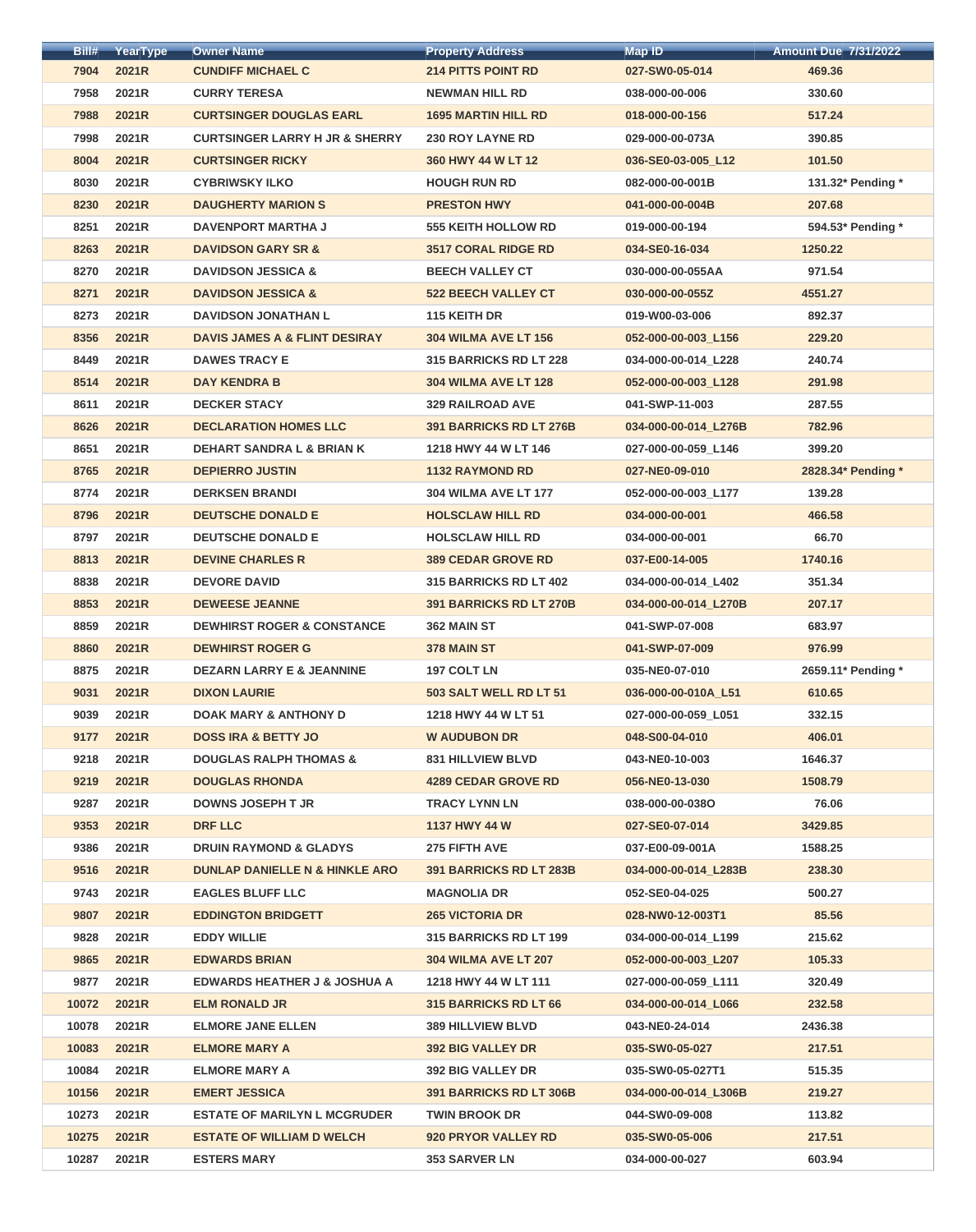| Bill# | YearType | <b>Owner Name</b>                                              | <b>Property Address</b>        | <b>Map ID</b>        | <b>Amount Due 7/31/2022</b> |
|-------|----------|----------------------------------------------------------------|--------------------------------|----------------------|-----------------------------|
| 7904  | 2021R    | <b>CUNDIFF MICHAEL C</b>                                       | <b>214 PITTS POINT RD</b>      | 027-SW0-05-014       | 469.36                      |
| 7958  | 2021R    | <b>CURRY TERESA</b>                                            | <b>NEWMAN HILL RD</b>          | 038-000-00-006       | 330.60                      |
| 7988  | 2021R    | <b>CURTSINGER DOUGLAS EARL</b>                                 | <b>1695 MARTIN HILL RD</b>     | 018-000-00-156       | 517.24                      |
| 7998  | 2021R    | <b>CURTSINGER LARRY H JR &amp; SHERRY</b>                      | <b>230 ROY LAYNE RD</b>        | 029-000-00-073A      | 390.85                      |
| 8004  | 2021R    | <b>CURTSINGER RICKY</b>                                        | 360 HWY 44 W LT 12             | 036-SE0-03-005_L12   | 101.50                      |
| 8030  | 2021R    | <b>CYBRIWSKY ILKO</b>                                          | <b>HOUGH RUN RD</b>            | 082-000-00-001B      | 131.32* Pending *           |
| 8230  | 2021R    | <b>DAUGHERTY MARION S</b>                                      | <b>PRESTON HWY</b>             | 041-000-00-004B      | 207.68                      |
| 8251  | 2021R    | <b>DAVENPORT MARTHA J</b>                                      | <b>555 KEITH HOLLOW RD</b>     | 019-000-00-194       | 594.53* Pending *           |
| 8263  | 2021R    | <b>DAVIDSON GARY SR &amp;</b>                                  | <b>3517 CORAL RIDGE RD</b>     | 034-SE0-16-034       | 1250.22                     |
| 8270  | 2021R    | <b>DAVIDSON JESSICA &amp;</b>                                  | <b>BEECH VALLEY CT</b>         | 030-000-00-055AA     | 971.54                      |
| 8271  | 2021R    | <b>DAVIDSON JESSICA &amp;</b>                                  | <b>522 BEECH VALLEY CT</b>     | 030-000-00-055Z      | 4551.27                     |
| 8273  | 2021R    | <b>DAVIDSON JONATHAN L</b>                                     | 115 KEITH DR                   | 019-W00-03-006       | 892.37                      |
| 8356  | 2021R    | <b>DAVIS JAMES A &amp; FLINT DESIRAY</b>                       | <b>304 WILMA AVE LT 156</b>    | 052-000-00-003_L156  | 229.20                      |
| 8449  | 2021R    | <b>DAWES TRACY E</b>                                           | 315 BARRICKS RD LT 228         | 034-000-00-014_L228  | 240.74                      |
| 8514  | 2021R    | <b>DAY KENDRA B</b>                                            | <b>304 WILMA AVE LT 128</b>    | 052-000-00-003_L128  | 291.98                      |
| 8611  | 2021R    | <b>DECKER STACY</b>                                            | <b>329 RAILROAD AVE</b>        | 041-SWP-11-003       | 287.55                      |
| 8626  | 2021R    | <b>DECLARATION HOMES LLC</b>                                   | 391 BARRICKS RD LT 276B        | 034-000-00-014_L276B | 782.96                      |
| 8651  | 2021R    | <b>DEHART SANDRA L &amp; BRIAN K</b>                           | 1218 HWY 44 W LT 146           | 027-000-00-059 L146  | 399.20                      |
| 8765  | 2021R    | <b>DEPIERRO JUSTIN</b>                                         | <b>1132 RAYMOND RD</b>         | 027-NE0-09-010       | 2828.34* Pending *          |
| 8774  | 2021R    | <b>DERKSEN BRANDI</b>                                          | <b>304 WILMA AVE LT 177</b>    | 052-000-00-003_L177  | 139.28                      |
| 8796  | 2021R    | <b>DEUTSCHE DONALD E</b>                                       | <b>HOLSCLAW HILL RD</b>        | 034-000-00-001       | 466.58                      |
| 8797  | 2021R    | <b>DEUTSCHE DONALD E</b>                                       | <b>HOLSCLAW HILL RD</b>        | 034-000-00-001       | 66.70                       |
| 8813  |          | <b>DEVINE CHARLES R</b>                                        | <b>389 CEDAR GROVE RD</b>      | 037-E00-14-005       | 1740.16                     |
|       | 2021R    |                                                                |                                |                      |                             |
| 8838  | 2021R    | <b>DEVORE DAVID</b>                                            | <b>315 BARRICKS RD LT 402</b>  | 034-000-00-014 L402  | 351.34                      |
| 8853  | 2021R    | <b>DEWEESE JEANNE</b><br><b>DEWHIRST ROGER &amp; CONSTANCE</b> | <b>391 BARRICKS RD LT 270B</b> | 034-000-00-014_L270B | 207.17                      |
| 8859  | 2021R    |                                                                | 362 MAIN ST                    | 041-SWP-07-008       | 683.97                      |
| 8860  | 2021R    | <b>DEWHIRST ROGER G</b>                                        | 378 MAIN ST                    | 041-SWP-07-009       | 976.99                      |
| 8875  | 2021R    | <b>DEZARN LARRY E &amp; JEANNINE</b>                           | <b>197 COLT LN</b>             | 035-NE0-07-010       | 2659.11* Pending *          |
| 9031  | 2021R    | <b>DIXON LAURIE</b>                                            | 503 SALT WELL RD LT 51         | 036-000-00-010A L51  | 610.65                      |
| 9039  | 2021R    | <b>DOAK MARY &amp; ANTHONY D</b>                               | 1218 HWY 44 W LT 51            | 027-000-00-059_L051  | 332.15                      |
| 9177  | 2021R    | <b>DOSS IRA &amp; BETTY JO</b>                                 | <b>W AUDUBON DR</b>            | 048-S00-04-010       | 406.01                      |
| 9218  | 2021R    | <b>DOUGLAS RALPH THOMAS &amp;</b>                              | <b>831 HILLVIEW BLVD</b>       | 043-NE0-10-003       | 1646.37                     |
| 9219  | 2021R    | <b>DOUGLAS RHONDA</b>                                          | <b>4289 CEDAR GROVE RD</b>     | 056-NE0-13-030       | 1508.79                     |
| 9287  | 2021R    | <b>DOWNS JOSEPH T JR</b>                                       | <b>TRACY LYNN LN</b>           | 038-000-00-0380      | 76.06                       |
| 9353  | 2021R    | <b>DRF LLC</b>                                                 | 1137 HWY 44 W                  | 027-SE0-07-014       | 3429.85                     |
| 9386  | 2021R    | <b>DRUIN RAYMOND &amp; GLADYS</b>                              | 275 FIFTH AVE                  | 037-E00-09-001A      | 1588.25                     |
| 9516  | 2021R    | <b>DUNLAP DANIELLE N &amp; HINKLE ARO</b>                      | 391 BARRICKS RD LT 283B        | 034-000-00-014_L283B | 238.30                      |
| 9743  | 2021R    | <b>EAGLES BLUFF LLC</b>                                        | <b>MAGNOLIA DR</b>             | 052-SE0-04-025       | 500.27                      |
| 9807  | 2021R    | <b>EDDINGTON BRIDGETT</b>                                      | <b>265 VICTORIA DR</b>         | 028-NW0-12-003T1     | 85.56                       |
| 9828  | 2021R    | <b>EDDY WILLIE</b>                                             | <b>315 BARRICKS RD LT 199</b>  | 034-000-00-014_L199  | 215.62                      |
| 9865  | 2021R    | <b>EDWARDS BRIAN</b>                                           | <b>304 WILMA AVE LT 207</b>    | 052-000-00-003 L207  | 105.33                      |
| 9877  | 2021R    | <b>EDWARDS HEATHER J &amp; JOSHUA A</b>                        | 1218 HWY 44 W LT 111           | 027-000-00-059_L111  | 320.49                      |
| 10072 | 2021R    | <b>ELM RONALD JR</b>                                           | <b>315 BARRICKS RD LT 66</b>   | 034-000-00-014 L066  | 232.58                      |
| 10078 | 2021R    | <b>ELMORE JANE ELLEN</b>                                       | <b>389 HILLVIEW BLVD</b>       | 043-NE0-24-014       | 2436.38                     |
| 10083 | 2021R    | <b>ELMORE MARY A</b>                                           | <b>392 BIG VALLEY DR</b>       | 035-SW0-05-027       | 217.51                      |
| 10084 | 2021R    | <b>ELMORE MARY A</b>                                           | <b>392 BIG VALLEY DR</b>       | 035-SW0-05-027T1     | 515.35                      |
| 10156 | 2021R    | <b>EMERT JESSICA</b>                                           | <b>391 BARRICKS RD LT 306B</b> | 034-000-00-014_L306B | 219.27                      |
| 10273 | 2021R    | <b>ESTATE OF MARILYN L MCGRUDER</b>                            | <b>TWIN BROOK DR</b>           | 044-SW0-09-008       | 113.82                      |
| 10275 | 2021R    | <b>ESTATE OF WILLIAM D WELCH</b>                               | 920 PRYOR VALLEY RD            | 035-SW0-05-006       | 217.51                      |
| 10287 | 2021R    | <b>ESTERS MARY</b>                                             | <b>353 SARVER LN</b>           | 034-000-00-027       | 603.94                      |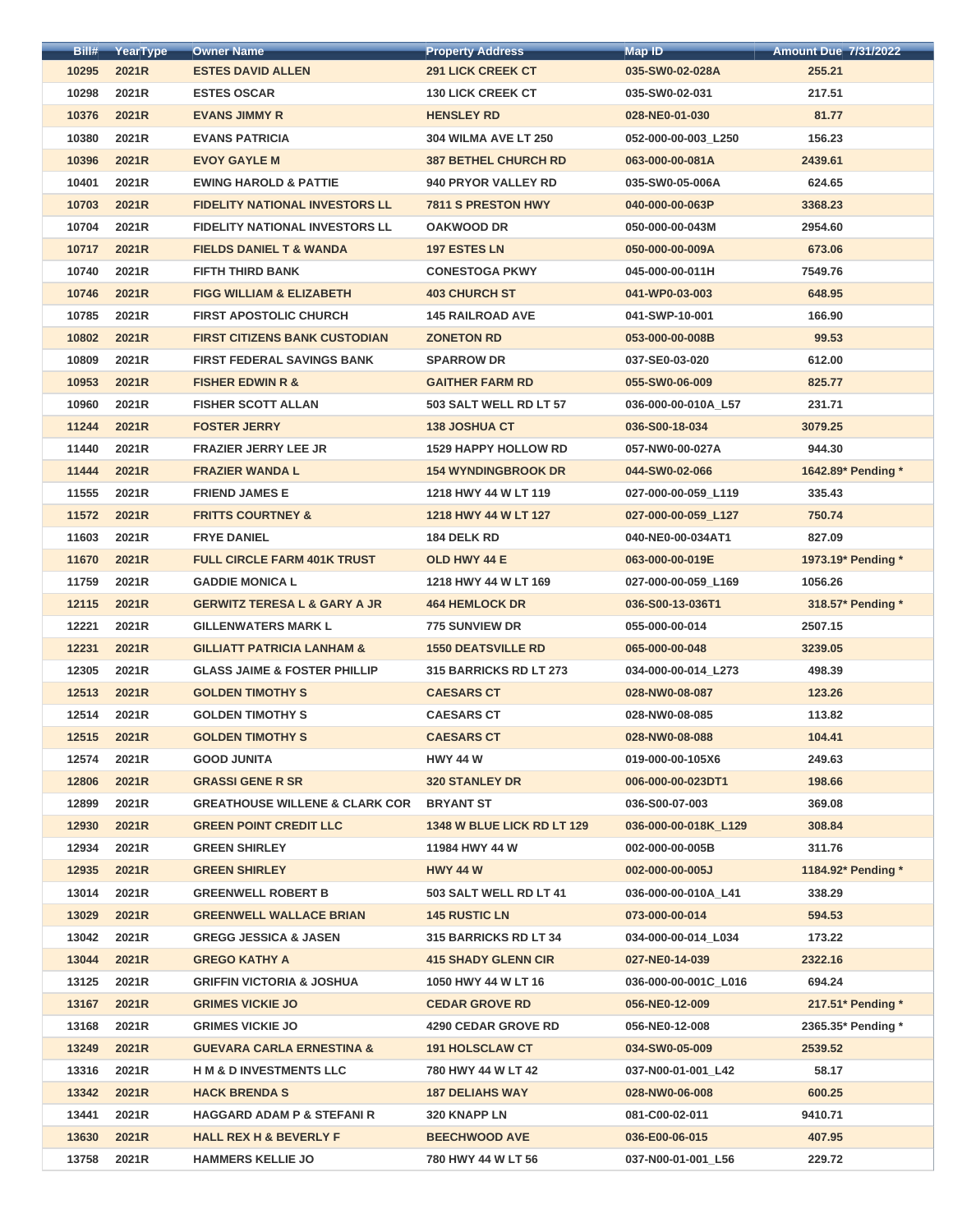| Bill# | YearType | <b>Owner Name</b>                         | <b>Property Address</b>       | Map ID               | <b>Amount Due 7/31/2022</b> |
|-------|----------|-------------------------------------------|-------------------------------|----------------------|-----------------------------|
| 10295 | 2021R    | <b>ESTES DAVID ALLEN</b>                  | <b>291 LICK CREEK CT</b>      | 035-SW0-02-028A      | 255.21                      |
| 10298 | 2021R    | <b>ESTES OSCAR</b>                        | <b>130 LICK CREEK CT</b>      | 035-SW0-02-031       | 217.51                      |
| 10376 | 2021R    | <b>EVANS JIMMY R</b>                      | <b>HENSLEY RD</b>             | 028-NE0-01-030       | 81.77                       |
| 10380 | 2021R    | <b>EVANS PATRICIA</b>                     | <b>304 WILMA AVE LT 250</b>   | 052-000-00-003_L250  | 156.23                      |
| 10396 | 2021R    | <b>EVOY GAYLE M</b>                       | <b>387 BETHEL CHURCH RD</b>   | 063-000-00-081A      | 2439.61                     |
| 10401 | 2021R    | <b>EWING HAROLD &amp; PATTIE</b>          | 940 PRYOR VALLEY RD           | 035-SW0-05-006A      | 624.65                      |
| 10703 | 2021R    | <b>FIDELITY NATIONAL INVESTORS LL</b>     | <b>7811 S PRESTON HWY</b>     | 040-000-00-063P      | 3368.23                     |
| 10704 | 2021R    | <b>FIDELITY NATIONAL INVESTORS LL</b>     | <b>OAKWOOD DR</b>             | 050-000-00-043M      | 2954.60                     |
| 10717 | 2021R    | <b>FIELDS DANIEL T &amp; WANDA</b>        | <b>197 ESTES LN</b>           | 050-000-00-009A      | 673.06                      |
| 10740 | 2021R    | <b>FIFTH THIRD BANK</b>                   | <b>CONESTOGA PKWY</b>         | 045-000-00-011H      | 7549.76                     |
| 10746 | 2021R    | <b>FIGG WILLIAM &amp; ELIZABETH</b>       | <b>403 CHURCH ST</b>          | 041-WP0-03-003       | 648.95                      |
| 10785 | 2021R    | <b>FIRST APOSTOLIC CHURCH</b>             | <b>145 RAILROAD AVE</b>       | 041-SWP-10-001       | 166.90                      |
| 10802 | 2021R    | <b>FIRST CITIZENS BANK CUSTODIAN</b>      | <b>ZONETON RD</b>             | 053-000-00-008B      | 99.53                       |
| 10809 | 2021R    | <b>FIRST FEDERAL SAVINGS BANK</b>         | <b>SPARROW DR</b>             | 037-SE0-03-020       | 612.00                      |
| 10953 | 2021R    | <b>FISHER EDWIN R &amp;</b>               | <b>GAITHER FARM RD</b>        | 055-SW0-06-009       | 825.77                      |
| 10960 | 2021R    | <b>FISHER SCOTT ALLAN</b>                 | 503 SALT WELL RD LT 57        | 036-000-00-010A_L57  | 231.71                      |
| 11244 | 2021R    | <b>FOSTER JERRY</b>                       | <b>138 JOSHUA CT</b>          | 036-S00-18-034       | 3079.25                     |
| 11440 | 2021R    | <b>FRAZIER JERRY LEE JR</b>               | <b>1529 HAPPY HOLLOW RD</b>   | 057-NW0-00-027A      | 944.30                      |
| 11444 | 2021R    | <b>FRAZIER WANDA L</b>                    | <b>154 WYNDINGBROOK DR</b>    | 044-SW0-02-066       | 1642.89* Pending *          |
| 11555 | 2021R    | <b>FRIEND JAMES E</b>                     | 1218 HWY 44 W LT 119          | 027-000-00-059_L119  | 335.43                      |
| 11572 | 2021R    | <b>FRITTS COURTNEY &amp;</b>              | 1218 HWY 44 W LT 127          | 027-000-00-059 L127  | 750.74                      |
| 11603 | 2021R    | <b>FRYE DANIEL</b>                        | 184 DELK RD                   | 040-NE0-00-034AT1    | 827.09                      |
| 11670 | 2021R    | <b>FULL CIRCLE FARM 401K TRUST</b>        | OLD HWY 44 E                  | 063-000-00-019E      | 1973.19* Pending *          |
| 11759 | 2021R    | <b>GADDIE MONICA L</b>                    | 1218 HWY 44 W LT 169          | 027-000-00-059_L169  | 1056.26                     |
| 12115 | 2021R    | <b>GERWITZ TERESA L &amp; GARY A JR</b>   | <b>464 HEMLOCK DR</b>         | 036-S00-13-036T1     | 318.57* Pending *           |
| 12221 | 2021R    | <b>GILLENWATERS MARK L</b>                | 775 SUNVIEW DR                | 055-000-00-014       | 2507.15                     |
| 12231 | 2021R    | <b>GILLIATT PATRICIA LANHAM &amp;</b>     | <b>1550 DEATSVILLE RD</b>     | 065-000-00-048       | 3239.05                     |
| 12305 | 2021R    | <b>GLASS JAIME &amp; FOSTER PHILLIP</b>   | <b>315 BARRICKS RD LT 273</b> | 034-000-00-014_L273  | 498.39                      |
| 12513 | 2021R    | <b>GOLDEN TIMOTHY S</b>                   | <b>CAESARS CT</b>             | 028-NW0-08-087       | 123.26                      |
| 12514 | 2021R    | <b>GOLDEN TIMOTHY S</b>                   | <b>CAESARS CT</b>             | 028-NW0-08-085       | 113.82                      |
| 12515 | 2021R    | <b>GOLDEN TIMOTHY S</b>                   | <b>CAESARS CT</b>             | 028-NW0-08-088       | 104.41                      |
| 12574 | 2021R    | <b>GOOD JUNITA</b>                        | <b>HWY 44 W</b>               | 019-000-00-105X6     | 249.63                      |
| 12806 | 2021R    | <b>GRASSI GENE R SR</b>                   | <b>320 STANLEY DR</b>         | 006-000-00-023DT1    | 198.66                      |
| 12899 | 2021R    | <b>GREATHOUSE WILLENE &amp; CLARK COR</b> | <b>BRYANT ST</b>              | 036-S00-07-003       | 369.08                      |
| 12930 | 2021R    | <b>GREEN POINT CREDIT LLC</b>             | 1348 W BLUE LICK RD LT 129    | 036-000-00-018K_L129 | 308.84                      |
| 12934 | 2021R    | <b>GREEN SHIRLEY</b>                      | 11984 HWY 44 W                | 002-000-00-005B      | 311.76                      |
| 12935 | 2021R    | <b>GREEN SHIRLEY</b>                      | <b>HWY 44 W</b>               | 002-000-00-005J      | 1184.92* Pending *          |
| 13014 | 2021R    | <b>GREENWELL ROBERT B</b>                 | 503 SALT WELL RD LT 41        | 036-000-00-010A_L41  | 338.29                      |
| 13029 | 2021R    | <b>GREENWELL WALLACE BRIAN</b>            | <b>145 RUSTIC LN</b>          | 073-000-00-014       | 594.53                      |
| 13042 | 2021R    | <b>GREGG JESSICA &amp; JASEN</b>          | 315 BARRICKS RD LT 34         | 034-000-00-014_L034  | 173.22                      |
| 13044 | 2021R    | <b>GREGO KATHY A</b>                      | <b>415 SHADY GLENN CIR</b>    | 027-NE0-14-039       | 2322.16                     |
| 13125 | 2021R    | <b>GRIFFIN VICTORIA &amp; JOSHUA</b>      | 1050 HWY 44 W LT 16           | 036-000-00-001C_L016 | 694.24                      |
| 13167 | 2021R    | <b>GRIMES VICKIE JO</b>                   | <b>CEDAR GROVE RD</b>         | 056-NE0-12-009       | 217.51* Pending *           |
| 13168 | 2021R    | <b>GRIMES VICKIE JO</b>                   | <b>4290 CEDAR GROVE RD</b>    | 056-NE0-12-008       | 2365.35* Pending *          |
| 13249 | 2021R    | <b>GUEVARA CARLA ERNESTINA &amp;</b>      | <b>191 HOLSCLAW CT</b>        | 034-SW0-05-009       | 2539.52                     |
| 13316 | 2021R    | <b>HM &amp; D INVESTMENTS LLC</b>         | 780 HWY 44 W LT 42            | 037-N00-01-001 L42   | 58.17                       |
| 13342 | 2021R    | <b>HACK BRENDA S</b>                      | <b>187 DELIAHS WAY</b>        | 028-NW0-06-008       | 600.25                      |
| 13441 | 2021R    | <b>HAGGARD ADAM P &amp; STEFANI R</b>     | 320 KNAPP LN                  | 081-C00-02-011       | 9410.71                     |
| 13630 | 2021R    | <b>HALL REX H &amp; BEVERLY F</b>         | <b>BEECHWOOD AVE</b>          | 036-E00-06-015       | 407.95                      |
| 13758 | 2021R    | <b>HAMMERS KELLIE JO</b>                  | 780 HWY 44 W LT 56            | 037-N00-01-001 L56   | 229.72                      |
|       |          |                                           |                               |                      |                             |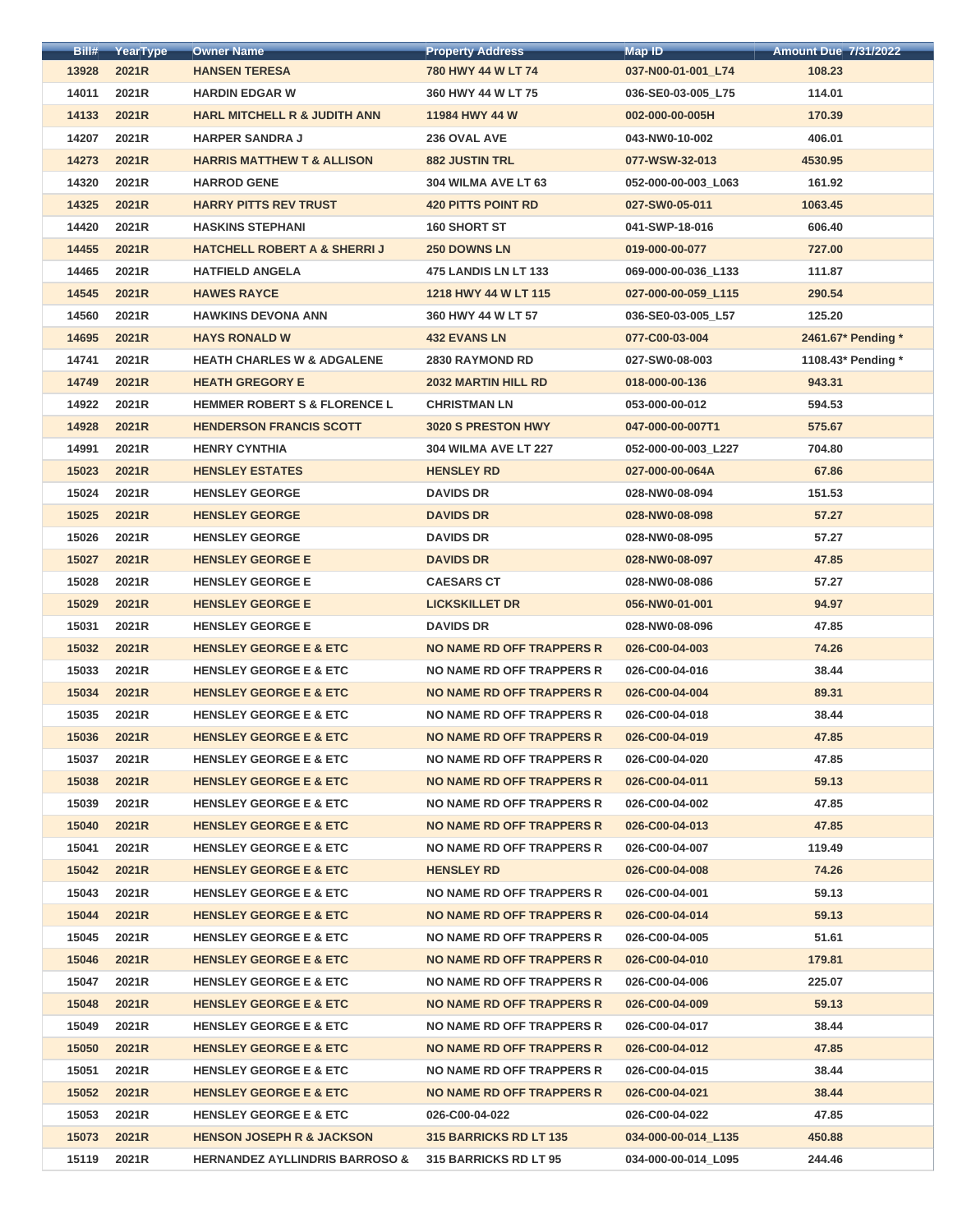| Bill# | YearType | <b>Owner Name</b>                         | <b>Property Address</b>       | <b>Map ID</b>       | <b>Amount Due 7/31/2022</b> |
|-------|----------|-------------------------------------------|-------------------------------|---------------------|-----------------------------|
| 13928 | 2021R    | <b>HANSEN TERESA</b>                      | 780 HWY 44 W LT 74            | 037-N00-01-001_L74  | 108.23                      |
| 14011 | 2021R    | <b>HARDIN EDGAR W</b>                     | 360 HWY 44 W LT 75            | 036-SE0-03-005_L75  | 114.01                      |
| 14133 | 2021R    | <b>HARL MITCHELL R &amp; JUDITH ANN</b>   | 11984 HWY 44 W                | 002-000-00-005H     | 170.39                      |
| 14207 | 2021R    | <b>HARPER SANDRA J</b>                    | 236 OVAL AVE                  | 043-NW0-10-002      | 406.01                      |
| 14273 | 2021R    | <b>HARRIS MATTHEW T &amp; ALLISON</b>     | <b>882 JUSTIN TRL</b>         | 077-WSW-32-013      | 4530.95                     |
| 14320 | 2021R    | <b>HARROD GENE</b>                        | 304 WILMA AVE LT 63           | 052-000-00-003 L063 | 161.92                      |
| 14325 | 2021R    | <b>HARRY PITTS REV TRUST</b>              | <b>420 PITTS POINT RD</b>     | 027-SW0-05-011      | 1063.45                     |
| 14420 | 2021R    | <b>HASKINS STEPHANI</b>                   | 160 SHORT ST                  | 041-SWP-18-016      | 606.40                      |
| 14455 | 2021R    | <b>HATCHELL ROBERT A &amp; SHERRIJ</b>    | <b>250 DOWNS LN</b>           | 019-000-00-077      | 727.00                      |
| 14465 | 2021R    | <b>HATFIELD ANGELA</b>                    | <b>475 LANDIS LN LT 133</b>   | 069-000-00-036_L133 | 111.87                      |
| 14545 | 2021R    | <b>HAWES RAYCE</b>                        | 1218 HWY 44 W LT 115          | 027-000-00-059 L115 | 290.54                      |
| 14560 | 2021R    | <b>HAWKINS DEVONA ANN</b>                 | 360 HWY 44 W LT 57            | 036-SE0-03-005_L57  | 125.20                      |
| 14695 | 2021R    | <b>HAYS RONALD W</b>                      | <b>432 EVANS LN</b>           | 077-C00-03-004      | 2461.67* Pending *          |
| 14741 | 2021R    | <b>HEATH CHARLES W &amp; ADGALENE</b>     | <b>2830 RAYMOND RD</b>        | 027-SW0-08-003      | 1108.43* Pending *          |
| 14749 | 2021R    | <b>HEATH GREGORY E</b>                    | <b>2032 MARTIN HILL RD</b>    | 018-000-00-136      | 943.31                      |
| 14922 | 2021R    | <b>HEMMER ROBERT S &amp; FLORENCE L</b>   | <b>CHRISTMAN LN</b>           | 053-000-00-012      | 594.53                      |
| 14928 | 2021R    | <b>HENDERSON FRANCIS SCOTT</b>            | 3020 S PRESTON HWY            | 047-000-00-007T1    | 575.67                      |
| 14991 | 2021R    | <b>HENRY CYNTHIA</b>                      | <b>304 WILMA AVE LT 227</b>   | 052-000-00-003_L227 | 704.80                      |
| 15023 | 2021R    | <b>HENSLEY ESTATES</b>                    | <b>HENSLEY RD</b>             | 027-000-00-064A     | 67.86                       |
| 15024 | 2021R    | <b>HENSLEY GEORGE</b>                     | <b>DAVIDS DR</b>              | 028-NW0-08-094      | 151.53                      |
| 15025 | 2021R    | <b>HENSLEY GEORGE</b>                     | <b>DAVIDS DR</b>              | 028-NW0-08-098      | 57.27                       |
| 15026 | 2021R    | <b>HENSLEY GEORGE</b>                     | <b>DAVIDS DR</b>              | 028-NW0-08-095      | 57.27                       |
| 15027 | 2021R    | <b>HENSLEY GEORGE E</b>                   | <b>DAVIDS DR</b>              | 028-NW0-08-097      | 47.85                       |
| 15028 | 2021R    | <b>HENSLEY GEORGE E</b>                   | <b>CAESARS CT</b>             | 028-NW0-08-086      | 57.27                       |
| 15029 | 2021R    | <b>HENSLEY GEORGE E</b>                   | <b>LICKSKILLET DR</b>         | 056-NW0-01-001      | 94.97                       |
| 15031 | 2021R    | <b>HENSLEY GEORGE E</b>                   | <b>DAVIDS DR</b>              | 028-NW0-08-096      | 47.85                       |
| 15032 | 2021R    | <b>HENSLEY GEORGE E &amp; ETC</b>         | NO NAME RD OFF TRAPPERS R     | 026-C00-04-003      | 74.26                       |
| 15033 | 2021R    | <b>HENSLEY GEORGE E &amp; ETC</b>         | NO NAME RD OFF TRAPPERS R     | 026-C00-04-016      | 38.44                       |
| 15034 | 2021R    | <b>HENSLEY GEORGE E &amp; ETC</b>         | NO NAME RD OFF TRAPPERS R     | 026-C00-04-004      | 89.31                       |
| 15035 | 2021R    | <b>HENSLEY GEORGE E &amp; ETC</b>         | NO NAME RD OFF TRAPPERS R     | 026-C00-04-018      | 38.44                       |
| 15036 | 2021R    | <b>HENSLEY GEORGE E &amp; ETC</b>         | NO NAME RD OFF TRAPPERS R     | 026-C00-04-019      | 47.85                       |
| 15037 | 2021R    | <b>HENSLEY GEORGE E &amp; ETC</b>         | NO NAME RD OFF TRAPPERS R     | 026-C00-04-020      | 47.85                       |
| 15038 | 2021R    | <b>HENSLEY GEORGE E &amp; ETC</b>         | NO NAME RD OFF TRAPPERS R     | 026-C00-04-011      | 59.13                       |
| 15039 | 2021R    | <b>HENSLEY GEORGE E &amp; ETC</b>         | NO NAME RD OFF TRAPPERS R     | 026-C00-04-002      | 47.85                       |
| 15040 | 2021R    | <b>HENSLEY GEORGE E &amp; ETC</b>         | NO NAME RD OFF TRAPPERS R     | 026-C00-04-013      | 47.85                       |
| 15041 | 2021R    | <b>HENSLEY GEORGE E &amp; ETC</b>         | NO NAME RD OFF TRAPPERS R     | 026-C00-04-007      | 119.49                      |
| 15042 | 2021R    | <b>HENSLEY GEORGE E &amp; ETC</b>         | <b>HENSLEY RD</b>             | 026-C00-04-008      | 74.26                       |
| 15043 | 2021R    | <b>HENSLEY GEORGE E &amp; ETC</b>         | NO NAME RD OFF TRAPPERS R     | 026-C00-04-001      | 59.13                       |
| 15044 | 2021R    | <b>HENSLEY GEORGE E &amp; ETC</b>         | NO NAME RD OFF TRAPPERS R     | 026-C00-04-014      | 59.13                       |
| 15045 | 2021R    | <b>HENSLEY GEORGE E &amp; ETC</b>         | NO NAME RD OFF TRAPPERS R     | 026-C00-04-005      | 51.61                       |
| 15046 | 2021R    | <b>HENSLEY GEORGE E &amp; ETC</b>         | NO NAME RD OFF TRAPPERS R     | 026-C00-04-010      | 179.81                      |
| 15047 | 2021R    | <b>HENSLEY GEORGE E &amp; ETC</b>         | NO NAME RD OFF TRAPPERS R     | 026-C00-04-006      | 225.07                      |
| 15048 | 2021R    | <b>HENSLEY GEORGE E &amp; ETC</b>         | NO NAME RD OFF TRAPPERS R     | 026-C00-04-009      | 59.13                       |
| 15049 | 2021R    | <b>HENSLEY GEORGE E &amp; ETC</b>         | NO NAME RD OFF TRAPPERS R     | 026-C00-04-017      | 38.44                       |
| 15050 | 2021R    | <b>HENSLEY GEORGE E &amp; ETC</b>         | NO NAME RD OFF TRAPPERS R     | 026-C00-04-012      | 47.85                       |
| 15051 | 2021R    | <b>HENSLEY GEORGE E &amp; ETC</b>         | NO NAME RD OFF TRAPPERS R     | 026-C00-04-015      | 38.44                       |
| 15052 | 2021R    | <b>HENSLEY GEORGE E &amp; ETC</b>         | NO NAME RD OFF TRAPPERS R     | 026-C00-04-021      | 38.44                       |
| 15053 | 2021R    | <b>HENSLEY GEORGE E &amp; ETC</b>         | 026-C00-04-022                | 026-C00-04-022      | 47.85                       |
| 15073 | 2021R    | <b>HENSON JOSEPH R &amp; JACKSON</b>      | <b>315 BARRICKS RD LT 135</b> | 034-000-00-014 L135 | 450.88                      |
| 15119 | 2021R    | <b>HERNANDEZ AYLLINDRIS BARROSO &amp;</b> | 315 BARRICKS RD LT 95         | 034-000-00-014 L095 | 244.46                      |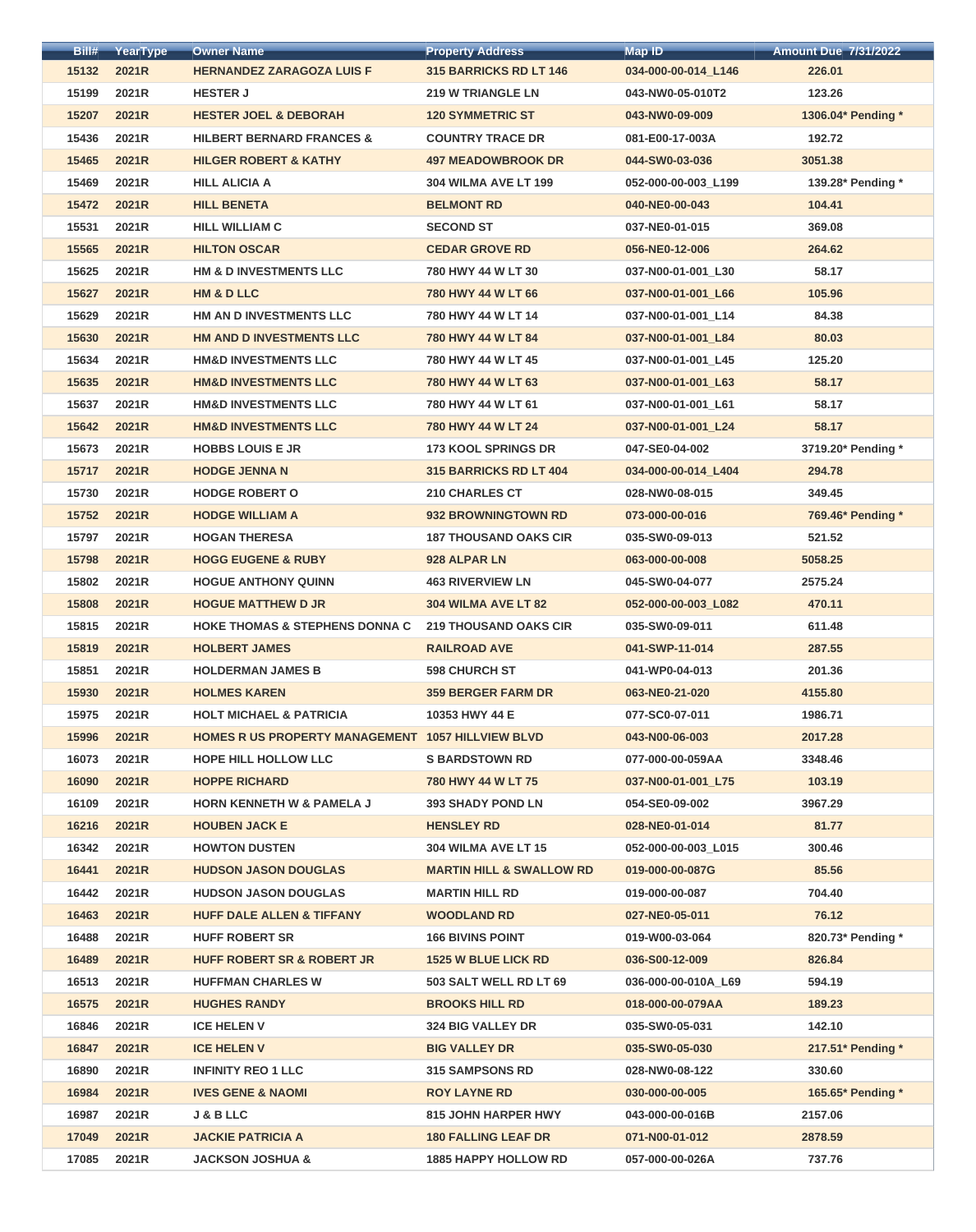| Bill# | YearType | <b>Owner Name</b>                                 | <b>Property Address</b>             | <b>Map ID</b>       | <b>Amount Due 7/31/2022</b> |
|-------|----------|---------------------------------------------------|-------------------------------------|---------------------|-----------------------------|
| 15132 | 2021R    | <b>HERNANDEZ ZARAGOZA LUIS F</b>                  | 315 BARRICKS RD LT 146              | 034-000-00-014_L146 | 226.01                      |
| 15199 | 2021R    | <b>HESTER J</b>                                   | <b>219 W TRIANGLE LN</b>            | 043-NW0-05-010T2    | 123.26                      |
| 15207 | 2021R    | <b>HESTER JOEL &amp; DEBORAH</b>                  | <b>120 SYMMETRIC ST</b>             | 043-NW0-09-009      | 1306.04* Pending *          |
| 15436 | 2021R    | <b>HILBERT BERNARD FRANCES &amp;</b>              | <b>COUNTRY TRACE DR</b>             | 081-E00-17-003A     | 192.72                      |
| 15465 | 2021R    | <b>HILGER ROBERT &amp; KATHY</b>                  | <b>497 MEADOWBROOK DR</b>           | 044-SW0-03-036      | 3051.38                     |
| 15469 | 2021R    | <b>HILL ALICIA A</b>                              | <b>304 WILMA AVE LT 199</b>         | 052-000-00-003 L199 | 139.28* Pending *           |
| 15472 | 2021R    | <b>HILL BENETA</b>                                | <b>BELMONT RD</b>                   | 040-NE0-00-043      | 104.41                      |
| 15531 | 2021R    | <b>HILL WILLIAM C</b>                             | <b>SECOND ST</b>                    | 037-NE0-01-015      | 369.08                      |
| 15565 | 2021R    | <b>HILTON OSCAR</b>                               | <b>CEDAR GROVE RD</b>               | 056-NE0-12-006      | 264.62                      |
| 15625 | 2021R    | HM & D INVESTMENTS LLC                            | 780 HWY 44 W LT 30                  | 037-N00-01-001_L30  | 58.17                       |
| 15627 | 2021R    | <b>HM &amp; D LLC</b>                             | 780 HWY 44 W LT 66                  | 037-N00-01-001_L66  | 105.96                      |
| 15629 | 2021R    | HM AN D INVESTMENTS LLC                           | 780 HWY 44 W LT 14                  | 037-N00-01-001_L14  | 84.38                       |
| 15630 | 2021R    | HM AND D INVESTMENTS LLC                          | 780 HWY 44 W LT 84                  | 037-N00-01-001 L84  | 80.03                       |
| 15634 | 2021R    | <b>HM&amp;D INVESTMENTS LLC</b>                   | 780 HWY 44 W LT 45                  | 037-N00-01-001 L45  | 125.20                      |
| 15635 | 2021R    | <b>HM&amp;D INVESTMENTS LLC</b>                   | 780 HWY 44 W LT 63                  | 037-N00-01-001 L63  | 58.17                       |
| 15637 | 2021R    | <b>HM&amp;D INVESTMENTS LLC</b>                   | 780 HWY 44 W LT 61                  | 037-N00-01-001_L61  | 58.17                       |
| 15642 | 2021R    | <b>HM&amp;D INVESTMENTS LLC</b>                   | 780 HWY 44 W LT 24                  | 037-N00-01-001_L24  | 58.17                       |
| 15673 | 2021R    | <b>HOBBS LOUIS E JR</b>                           | <b>173 KOOL SPRINGS DR</b>          | 047-SE0-04-002      | 3719.20* Pending *          |
| 15717 | 2021R    | <b>HODGE JENNA N</b>                              | <b>315 BARRICKS RD LT 404</b>       | 034-000-00-014_L404 | 294.78                      |
| 15730 | 2021R    | <b>HODGE ROBERT O</b>                             | <b>210 CHARLES CT</b>               | 028-NW0-08-015      | 349.45                      |
| 15752 | 2021R    | <b>HODGE WILLIAM A</b>                            | 932 BROWNINGTOWN RD                 | 073-000-00-016      | 769.46* Pending *           |
| 15797 | 2021R    | <b>HOGAN THERESA</b>                              | <b>187 THOUSAND OAKS CIR</b>        | 035-SW0-09-013      | 521.52                      |
| 15798 | 2021R    | <b>HOGG EUGENE &amp; RUBY</b>                     | 928 ALPAR LN                        | 063-000-00-008      | 5058.25                     |
| 15802 | 2021R    | <b>HOGUE ANTHONY QUINN</b>                        | <b>463 RIVERVIEW LN</b>             | 045-SW0-04-077      | 2575.24                     |
| 15808 | 2021R    | <b>HOGUE MATTHEW D JR</b>                         | 304 WILMA AVE LT 82                 | 052-000-00-003_L082 | 470.11                      |
| 15815 | 2021R    | <b>HOKE THOMAS &amp; STEPHENS DONNA C</b>         | <b>219 THOUSAND OAKS CIR</b>        | 035-SW0-09-011      | 611.48                      |
| 15819 | 2021R    | <b>HOLBERT JAMES</b>                              | <b>RAILROAD AVE</b>                 | 041-SWP-11-014      | 287.55                      |
| 15851 | 2021R    | <b>HOLDERMAN JAMES B</b>                          | <b>598 CHURCH ST</b>                | 041-WP0-04-013      | 201.36                      |
| 15930 | 2021R    | <b>HOLMES KAREN</b>                               | <b>359 BERGER FARM DR</b>           | 063-NE0-21-020      | 4155.80                     |
| 15975 | 2021R    | <b>HOLT MICHAEL &amp; PATRICIA</b>                | 10353 HWY 44 E                      | 077-SC0-07-011      | 1986.71                     |
| 15996 | 2021R    | HOMES R US PROPERTY MANAGEMENT 1057 HILLVIEW BLVD |                                     | 043-N00-06-003      | 2017.28                     |
| 16073 | 2021R    | <b>HOPE HILL HOLLOW LLC</b>                       | <b>S BARDSTOWN RD</b>               | 077-000-00-059AA    | 3348.46                     |
| 16090 | 2021R    | <b>HOPPE RICHARD</b>                              | 780 HWY 44 W LT 75                  | 037-N00-01-001_L75  | 103.19                      |
| 16109 | 2021R    | <b>HORN KENNETH W &amp; PAMELA J</b>              | <b>393 SHADY POND LN</b>            | 054-SE0-09-002      | 3967.29                     |
| 16216 | 2021R    | <b>HOUBEN JACK E</b>                              | <b>HENSLEY RD</b>                   | 028-NE0-01-014      | 81.77                       |
| 16342 | 2021R    | <b>HOWTON DUSTEN</b>                              | 304 WILMA AVE LT 15                 | 052-000-00-003 L015 | 300.46                      |
| 16441 | 2021R    | <b>HUDSON JASON DOUGLAS</b>                       | <b>MARTIN HILL &amp; SWALLOW RD</b> | 019-000-00-087G     | 85.56                       |
| 16442 | 2021R    | <b>HUDSON JASON DOUGLAS</b>                       | <b>MARTIN HILL RD</b>               | 019-000-00-087      | 704.40                      |
| 16463 | 2021R    | <b>HUFF DALE ALLEN &amp; TIFFANY</b>              | <b>WOODLAND RD</b>                  | 027-NE0-05-011      | 76.12                       |
| 16488 | 2021R    | <b>HUFF ROBERT SR</b>                             | <b>166 BIVINS POINT</b>             | 019-W00-03-064      | 820.73* Pending *           |
| 16489 | 2021R    | <b>HUFF ROBERT SR &amp; ROBERT JR</b>             | <b>1525 W BLUE LICK RD</b>          | 036-S00-12-009      | 826.84                      |
| 16513 | 2021R    | <b>HUFFMAN CHARLES W</b>                          | 503 SALT WELL RD LT 69              | 036-000-00-010A_L69 | 594.19                      |
| 16575 | 2021R    | <b>HUGHES RANDY</b>                               | <b>BROOKS HILL RD</b>               | 018-000-00-079AA    | 189.23                      |
| 16846 | 2021R    | <b>ICE HELEN V</b>                                | <b>324 BIG VALLEY DR</b>            | 035-SW0-05-031      | 142.10                      |
| 16847 | 2021R    | <b>ICE HELEN V</b>                                | <b>BIG VALLEY DR</b>                | 035-SW0-05-030      | 217.51* Pending *           |
| 16890 | 2021R    | <b>INFINITY REO 1 LLC</b>                         | <b>315 SAMPSONS RD</b>              | 028-NW0-08-122      | 330.60                      |
| 16984 | 2021R    | <b>IVES GENE &amp; NAOMI</b>                      | <b>ROY LAYNE RD</b>                 | 030-000-00-005      | 165.65* Pending *           |
| 16987 | 2021R    | <b>J &amp; B LLC</b>                              | <b>815 JOHN HARPER HWY</b>          | 043-000-00-016B     | 2157.06                     |
| 17049 | 2021R    | <b>JACKIE PATRICIA A</b>                          | <b>180 FALLING LEAF DR</b>          | 071-N00-01-012      | 2878.59                     |
| 17085 | 2021R    | <b>JACKSON JOSHUA &amp;</b>                       | <b>1885 HAPPY HOLLOW RD</b>         | 057-000-00-026A     | 737.76                      |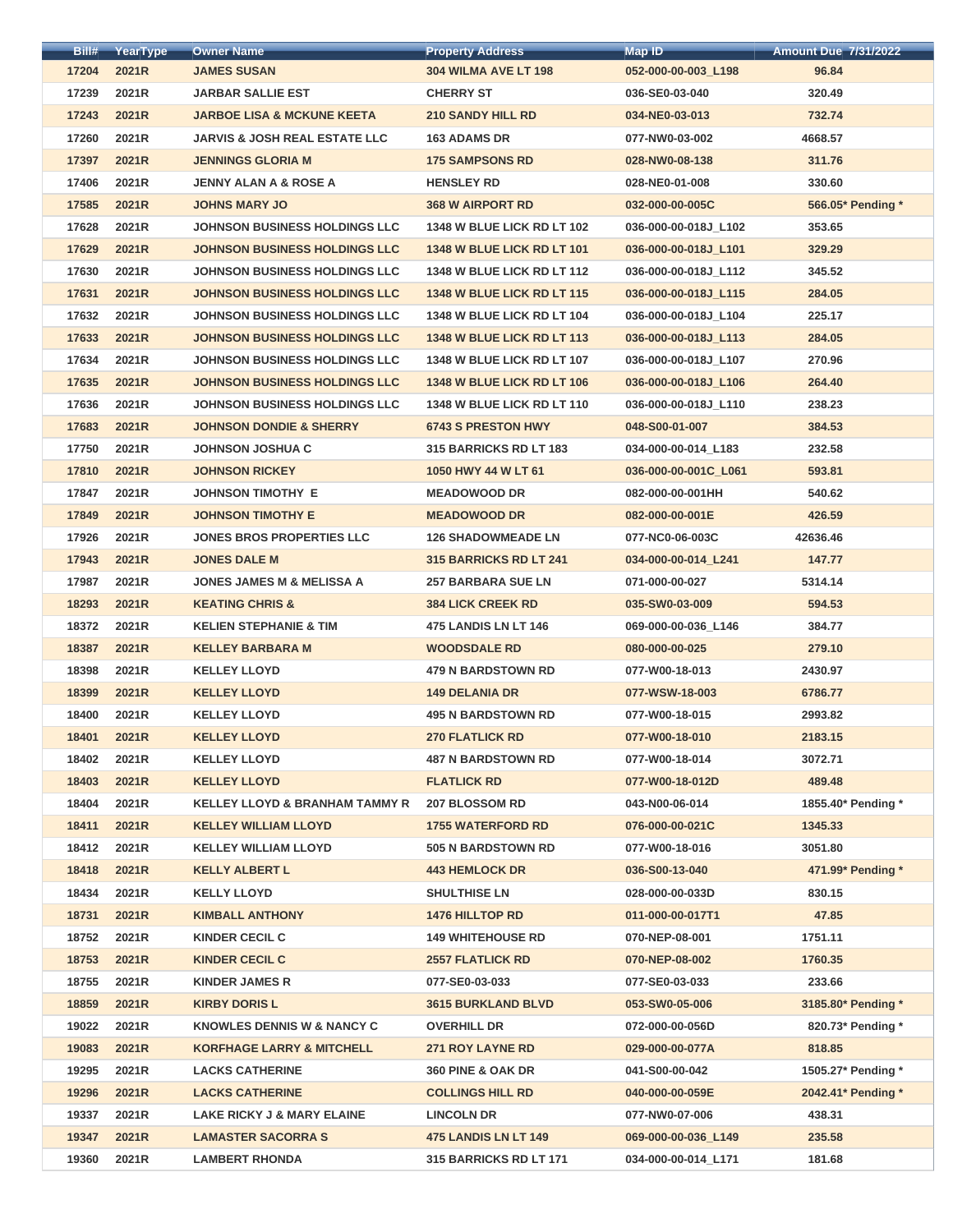| Bill# | YearType | <b>Owner Name</b>                         | <b>Property Address</b>           | <b>Map ID</b>        | <b>Amount Due 7/31/2022</b> |
|-------|----------|-------------------------------------------|-----------------------------------|----------------------|-----------------------------|
| 17204 | 2021R    | <b>JAMES SUSAN</b>                        | 304 WILMA AVE LT 198              | 052-000-00-003_L198  | 96.84                       |
| 17239 | 2021R    | <b>JARBAR SALLIE EST</b>                  | <b>CHERRY ST</b>                  | 036-SE0-03-040       | 320.49                      |
| 17243 | 2021R    | <b>JARBOE LISA &amp; MCKUNE KEETA</b>     | <b>210 SANDY HILL RD</b>          | 034-NE0-03-013       | 732.74                      |
| 17260 | 2021R    | <b>JARVIS &amp; JOSH REAL ESTATE LLC</b>  | <b>163 ADAMS DR</b>               | 077-NW0-03-002       | 4668.57                     |
| 17397 | 2021R    | <b>JENNINGS GLORIA M</b>                  | <b>175 SAMPSONS RD</b>            | 028-NW0-08-138       | 311.76                      |
| 17406 | 2021R    | <b>JENNY ALAN A &amp; ROSE A</b>          | <b>HENSLEY RD</b>                 | 028-NE0-01-008       | 330.60                      |
| 17585 | 2021R    | <b>JOHNS MARY JO</b>                      | <b>368 W AIRPORT RD</b>           | 032-000-00-005C      | 566.05* Pending *           |
| 17628 | 2021R    | <b>JOHNSON BUSINESS HOLDINGS LLC</b>      | 1348 W BLUE LICK RD LT 102        | 036-000-00-018J_L102 | 353.65                      |
| 17629 | 2021R    | <b>JOHNSON BUSINESS HOLDINGS LLC</b>      | <b>1348 W BLUE LICK RD LT 101</b> | 036-000-00-018J L101 | 329.29                      |
| 17630 | 2021R    | <b>JOHNSON BUSINESS HOLDINGS LLC</b>      | <b>1348 W BLUE LICK RD LT 112</b> | 036-000-00-018J_L112 | 345.52                      |
| 17631 | 2021R    | JOHNSON BUSINESS HOLDINGS LLC             | 1348 W BLUE LICK RD LT 115        | 036-000-00-018J L115 | 284.05                      |
| 17632 | 2021R    | <b>JOHNSON BUSINESS HOLDINGS LLC</b>      | 1348 W BLUE LICK RD LT 104        | 036-000-00-018J L104 | 225.17                      |
| 17633 | 2021R    | <b>JOHNSON BUSINESS HOLDINGS LLC</b>      | 1348 W BLUE LICK RD LT 113        | 036-000-00-018J L113 | 284.05                      |
| 17634 | 2021R    | <b>JOHNSON BUSINESS HOLDINGS LLC</b>      | 1348 W BLUE LICK RD LT 107        | 036-000-00-018J_L107 | 270.96                      |
| 17635 | 2021R    | JOHNSON BUSINESS HOLDINGS LLC             | 1348 W BLUE LICK RD LT 106        | 036-000-00-018J L106 | 264.40                      |
| 17636 | 2021R    | <b>JOHNSON BUSINESS HOLDINGS LLC</b>      | <b>1348 W BLUE LICK RD LT 110</b> | 036-000-00-018J_L110 | 238.23                      |
| 17683 | 2021R    | <b>JOHNSON DONDIE &amp; SHERRY</b>        | <b>6743 S PRESTON HWY</b>         | 048-S00-01-007       | 384.53                      |
| 17750 | 2021R    | <b>JOHNSON JOSHUA C</b>                   | 315 BARRICKS RD LT 183            | 034-000-00-014 L183  | 232.58                      |
| 17810 | 2021R    | <b>JOHNSON RICKEY</b>                     | 1050 HWY 44 W LT 61               | 036-000-00-001C_L061 | 593.81                      |
| 17847 | 2021R    | <b>JOHNSON TIMOTHY E</b>                  | <b>MEADOWOOD DR</b>               | 082-000-00-001HH     | 540.62                      |
| 17849 | 2021R    | <b>JOHNSON TIMOTHY E</b>                  | <b>MEADOWOOD DR</b>               | 082-000-00-001E      | 426.59                      |
| 17926 | 2021R    | <b>JONES BROS PROPERTIES LLC</b>          | <b>126 SHADOWMEADE LN</b>         | 077-NC0-06-003C      | 42636.46                    |
| 17943 |          | <b>JONES DALE M</b>                       | <b>315 BARRICKS RD LT 241</b>     | 034-000-00-014 L241  | 147.77                      |
|       | 2021R    |                                           |                                   |                      |                             |
| 17987 | 2021R    | <b>JONES JAMES M &amp; MELISSA A</b>      | <b>257 BARBARA SUE LN</b>         | 071-000-00-027       | 5314.14                     |
| 18293 | 2021R    | <b>KEATING CHRIS &amp;</b>                | <b>384 LICK CREEK RD</b>          | 035-SW0-03-009       | 594.53                      |
| 18372 | 2021R    | <b>KELIEN STEPHANIE &amp; TIM</b>         | 475 LANDIS LN LT 146              | 069-000-00-036 L146  | 384.77                      |
| 18387 | 2021R    | <b>KELLEY BARBARA M</b>                   | <b>WOODSDALE RD</b>               | 080-000-00-025       | 279.10                      |
| 18398 | 2021R    | <b>KELLEY LLOYD</b>                       | <b>479 N BARDSTOWN RD</b>         | 077-W00-18-013       | 2430.97                     |
| 18399 | 2021R    | <b>KELLEY LLOYD</b>                       | <b>149 DELANIA DR</b>             | 077-WSW-18-003       | 6786.77                     |
| 18400 | 2021R    | <b>KELLEY LLOYD</b>                       | <b>495 N BARDSTOWN RD</b>         | 077-W00-18-015       | 2993.82                     |
| 18401 | 2021R    | <b>KELLEY LLOYD</b>                       | <b>270 FLATLICK RD</b>            | 077-W00-18-010       | 2183.15                     |
| 18402 | 2021R    | <b>KELLEY LLOYD</b>                       | <b>487 N BARDSTOWN RD</b>         | 077-W00-18-014       | 3072.71                     |
| 18403 | 2021R    | <b>KELLEY LLOYD</b>                       | <b>FLATLICK RD</b>                | 077-W00-18-012D      | 489.48                      |
| 18404 | 2021R    | <b>KELLEY LLOYD &amp; BRANHAM TAMMY R</b> | <b>207 BLOSSOM RD</b>             | 043-N00-06-014       | 1855.40* Pending *          |
| 18411 | 2021R    | <b>KELLEY WILLIAM LLOYD</b>               | <b>1755 WATERFORD RD</b>          | 076-000-00-021C      | 1345.33                     |
| 18412 | 2021R    | <b>KELLEY WILLIAM LLOYD</b>               | <b>505 N BARDSTOWN RD</b>         | 077-W00-18-016       | 3051.80                     |
| 18418 | 2021R    | <b>KELLY ALBERT L</b>                     | <b>443 HEMLOCK DR</b>             | 036-S00-13-040       | 471.99* Pending *           |
| 18434 | 2021R    | <b>KELLY LLOYD</b>                        | <b>SHULTHISE LN</b>               | 028-000-00-033D      | 830.15                      |
| 18731 | 2021R    | <b>KIMBALL ANTHONY</b>                    | <b>1476 HILLTOP RD</b>            | 011-000-00-017T1     | 47.85                       |
| 18752 | 2021R    | <b>KINDER CECIL C</b>                     | <b>149 WHITEHOUSE RD</b>          | 070-NEP-08-001       | 1751.11                     |
| 18753 | 2021R    | <b>KINDER CECIL C</b>                     | <b>2557 FLATLICK RD</b>           | 070-NEP-08-002       | 1760.35                     |
| 18755 | 2021R    | <b>KINDER JAMES R</b>                     | 077-SE0-03-033                    | 077-SE0-03-033       | 233.66                      |
| 18859 | 2021R    | <b>KIRBY DORIS L</b>                      | <b>3615 BURKLAND BLVD</b>         | 053-SW0-05-006       | 3185.80* Pending *          |
| 19022 | 2021R    | <b>KNOWLES DENNIS W &amp; NANCY C</b>     | <b>OVERHILL DR</b>                | 072-000-00-056D      | 820.73* Pending *           |
| 19083 | 2021R    | <b>KORFHAGE LARRY &amp; MITCHELL</b>      | <b>271 ROY LAYNE RD</b>           | 029-000-00-077A      | 818.85                      |
| 19295 | 2021R    | <b>LACKS CATHERINE</b>                    | 360 PINE & OAK DR                 | 041-S00-00-042       | 1505.27* Pending *          |
| 19296 | 2021R    | <b>LACKS CATHERINE</b>                    | <b>COLLINGS HILL RD</b>           | 040-000-00-059E      | 2042.41* Pending *          |
| 19337 | 2021R    | LAKE RICKY J & MARY ELAINE                | <b>LINCOLN DR</b>                 | 077-NW0-07-006       | 438.31                      |
| 19347 | 2021R    | <b>LAMASTER SACORRA S</b>                 | <b>475 LANDIS LN LT 149</b>       | 069-000-00-036 L149  | 235.58                      |
| 19360 | 2021R    | <b>LAMBERT RHONDA</b>                     | 315 BARRICKS RD LT 171            | 034-000-00-014 L171  | 181.68                      |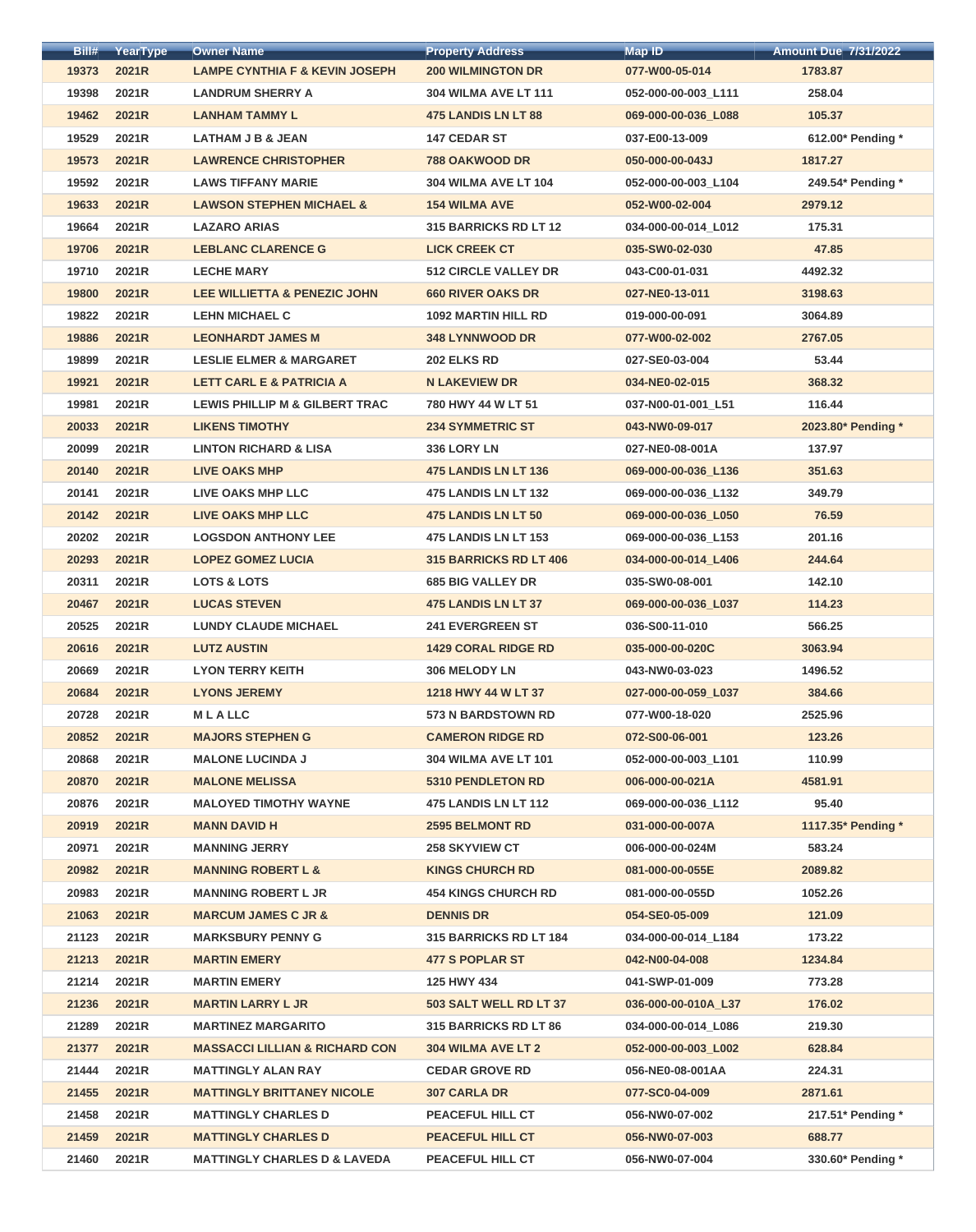| Bill# | YearType | <b>Owner Name</b>                         | <b>Property Address</b>       | <b>Map ID</b>       | <b>Amount Due 7/31/2022</b> |
|-------|----------|-------------------------------------------|-------------------------------|---------------------|-----------------------------|
| 19373 | 2021R    | <b>LAMPE CYNTHIA F &amp; KEVIN JOSEPH</b> | <b>200 WILMINGTON DR</b>      | 077-W00-05-014      | 1783.87                     |
| 19398 | 2021R    | <b>LANDRUM SHERRY A</b>                   | <b>304 WILMA AVE LT 111</b>   | 052-000-00-003_L111 | 258.04                      |
| 19462 | 2021R    | <b>LANHAM TAMMY L</b>                     | <b>475 LANDIS LN LT 88</b>    | 069-000-00-036_L088 | 105.37                      |
| 19529 | 2021R    | LATHAM J B & JEAN                         | <b>147 CEDAR ST</b>           | 037-E00-13-009      | 612.00* Pending *           |
| 19573 | 2021R    | <b>LAWRENCE CHRISTOPHER</b>               | <b>788 OAKWOOD DR</b>         | 050-000-00-043J     | 1817.27                     |
| 19592 | 2021R    | <b>LAWS TIFFANY MARIE</b>                 | <b>304 WILMA AVE LT 104</b>   | 052-000-00-003 L104 | 249.54* Pending *           |
| 19633 | 2021R    | <b>LAWSON STEPHEN MICHAEL &amp;</b>       | <b>154 WILMA AVE</b>          | 052-W00-02-004      | 2979.12                     |
| 19664 | 2021R    | <b>LAZARO ARIAS</b>                       | <b>315 BARRICKS RD LT 12</b>  | 034-000-00-014_L012 | 175.31                      |
| 19706 | 2021R    | <b>LEBLANC CLARENCE G</b>                 | <b>LICK CREEK CT</b>          | 035-SW0-02-030      | 47.85                       |
| 19710 | 2021R    | <b>LECHE MARY</b>                         | <b>512 CIRCLE VALLEY DR</b>   | 043-C00-01-031      | 4492.32                     |
| 19800 | 2021R    | <b>LEE WILLIETTA &amp; PENEZIC JOHN</b>   | <b>660 RIVER OAKS DR</b>      | 027-NE0-13-011      | 3198.63                     |
| 19822 | 2021R    | <b>LEHN MICHAEL C</b>                     | <b>1092 MARTIN HILL RD</b>    | 019-000-00-091      | 3064.89                     |
| 19886 | 2021R    | <b>LEONHARDT JAMES M</b>                  | <b>348 LYNNWOOD DR</b>        | 077-W00-02-002      | 2767.05                     |
| 19899 | 2021R    | <b>LESLIE ELMER &amp; MARGARET</b>        | <b>202 ELKS RD</b>            | 027-SE0-03-004      | 53.44                       |
| 19921 | 2021R    | <b>LETT CARL E &amp; PATRICIA A</b>       | <b>N LAKEVIEW DR</b>          | 034-NE0-02-015      | 368.32                      |
| 19981 | 2021R    | <b>LEWIS PHILLIP M &amp; GILBERT TRAC</b> | 780 HWY 44 W LT 51            | 037-N00-01-001_L51  | 116.44                      |
| 20033 | 2021R    | <b>LIKENS TIMOTHY</b>                     | <b>234 SYMMETRIC ST</b>       | 043-NW0-09-017      | 2023.80* Pending *          |
| 20099 | 2021R    | <b>LINTON RICHARD &amp; LISA</b>          | 336 LORY LN                   | 027-NE0-08-001A     | 137.97                      |
| 20140 | 2021R    | <b>LIVE OAKS MHP</b>                      | 475 LANDIS LN LT 136          | 069-000-00-036_L136 | 351.63                      |
| 20141 | 2021R    | LIVE OAKS MHP LLC                         | <b>475 LANDIS LN LT 132</b>   | 069-000-00-036_L132 | 349.79                      |
| 20142 | 2021R    | <b>LIVE OAKS MHP LLC</b>                  | <b>475 LANDIS LN LT 50</b>    | 069-000-00-036_L050 | 76.59                       |
| 20202 | 2021R    | <b>LOGSDON ANTHONY LEE</b>                | <b>475 LANDIS LN LT 153</b>   | 069-000-00-036_L153 | 201.16                      |
| 20293 | 2021R    | <b>LOPEZ GOMEZ LUCIA</b>                  | <b>315 BARRICKS RD LT 406</b> | 034-000-00-014_L406 | 244.64                      |
| 20311 | 2021R    | <b>LOTS &amp; LOTS</b>                    | <b>685 BIG VALLEY DR</b>      | 035-SW0-08-001      | 142.10                      |
| 20467 | 2021R    | <b>LUCAS STEVEN</b>                       | <b>475 LANDIS LN LT 37</b>    | 069-000-00-036_L037 | 114.23                      |
| 20525 | 2021R    | <b>LUNDY CLAUDE MICHAEL</b>               | <b>241 EVERGREEN ST</b>       | 036-S00-11-010      | 566.25                      |
| 20616 | 2021R    | <b>LUTZ AUSTIN</b>                        | <b>1429 CORAL RIDGE RD</b>    | 035-000-00-020C     | 3063.94                     |
| 20669 | 2021R    | <b>LYON TERRY KEITH</b>                   | 306 MELODY LN                 | 043-NW0-03-023      | 1496.52                     |
| 20684 | 2021R    | <b>LYONS JEREMY</b>                       | 1218 HWY 44 W LT 37           | 027-000-00-059 L037 | 384.66                      |
| 20728 | 2021R    | <b>MLALLC</b>                             | <b>573 N BARDSTOWN RD</b>     | 077-W00-18-020      | 2525.96                     |
| 20852 | 2021R    | <b>MAJORS STEPHEN G</b>                   | <b>CAMERON RIDGE RD</b>       | 072-S00-06-001      | 123.26                      |
| 20868 | 2021R    | <b>MALONE LUCINDA J</b>                   | <b>304 WILMA AVE LT 101</b>   | 052-000-00-003_L101 | 110.99                      |
| 20870 | 2021R    | <b>MALONE MELISSA</b>                     | <b>5310 PENDLETON RD</b>      | 006-000-00-021A     | 4581.91                     |
| 20876 | 2021R    | <b>MALOYED TIMOTHY WAYNE</b>              | <b>475 LANDIS LN LT 112</b>   | 069-000-00-036_L112 | 95.40                       |
| 20919 | 2021R    | <b>MANN DAVID H</b>                       | <b>2595 BELMONT RD</b>        | 031-000-00-007A     | 1117.35* Pending *          |
| 20971 | 2021R    | <b>MANNING JERRY</b>                      | <b>258 SKYVIEW CT</b>         | 006-000-00-024M     | 583.24                      |
| 20982 | 2021R    | <b>MANNING ROBERT L &amp;</b>             | <b>KINGS CHURCH RD</b>        | 081-000-00-055E     | 2089.82                     |
| 20983 | 2021R    | <b>MANNING ROBERT L JR</b>                | <b>454 KINGS CHURCH RD</b>    | 081-000-00-055D     | 1052.26                     |
| 21063 | 2021R    | <b>MARCUM JAMES C JR &amp;</b>            | <b>DENNIS DR</b>              | 054-SE0-05-009      | 121.09                      |
| 21123 | 2021R    | <b>MARKSBURY PENNY G</b>                  | <b>315 BARRICKS RD LT 184</b> | 034-000-00-014_L184 | 173.22                      |
| 21213 | 2021R    | <b>MARTIN EMERY</b>                       | <b>477 S POPLAR ST</b>        | 042-N00-04-008      | 1234.84                     |
| 21214 | 2021R    | <b>MARTIN EMERY</b>                       | 125 HWY 434                   | 041-SWP-01-009      | 773.28                      |
| 21236 | 2021R    | <b>MARTIN LARRY L JR</b>                  | 503 SALT WELL RD LT 37        | 036-000-00-010A L37 | 176.02                      |
| 21289 | 2021R    | <b>MARTINEZ MARGARITO</b>                 | <b>315 BARRICKS RD LT 86</b>  | 034-000-00-014 L086 | 219.30                      |
| 21377 | 2021R    | <b>MASSACCI LILLIAN &amp; RICHARD CON</b> | 304 WILMA AVE LT 2            | 052-000-00-003_L002 | 628.84                      |
| 21444 | 2021R    | <b>MATTINGLY ALAN RAY</b>                 | <b>CEDAR GROVE RD</b>         | 056-NE0-08-001AA    | 224.31                      |
| 21455 | 2021R    | <b>MATTINGLY BRITTANEY NICOLE</b>         | <b>307 CARLA DR</b>           | 077-SC0-04-009      | 2871.61                     |
| 21458 | 2021R    | <b>MATTINGLY CHARLES D</b>                | <b>PEACEFUL HILL CT</b>       | 056-NW0-07-002      | 217.51* Pending *           |
| 21459 | 2021R    | <b>MATTINGLY CHARLES D</b>                | <b>PEACEFUL HILL CT</b>       | 056-NW0-07-003      | 688.77                      |
| 21460 | 2021R    | <b>MATTINGLY CHARLES D &amp; LAVEDA</b>   | PEACEFUL HILL CT              | 056-NW0-07-004      | 330.60* Pending *           |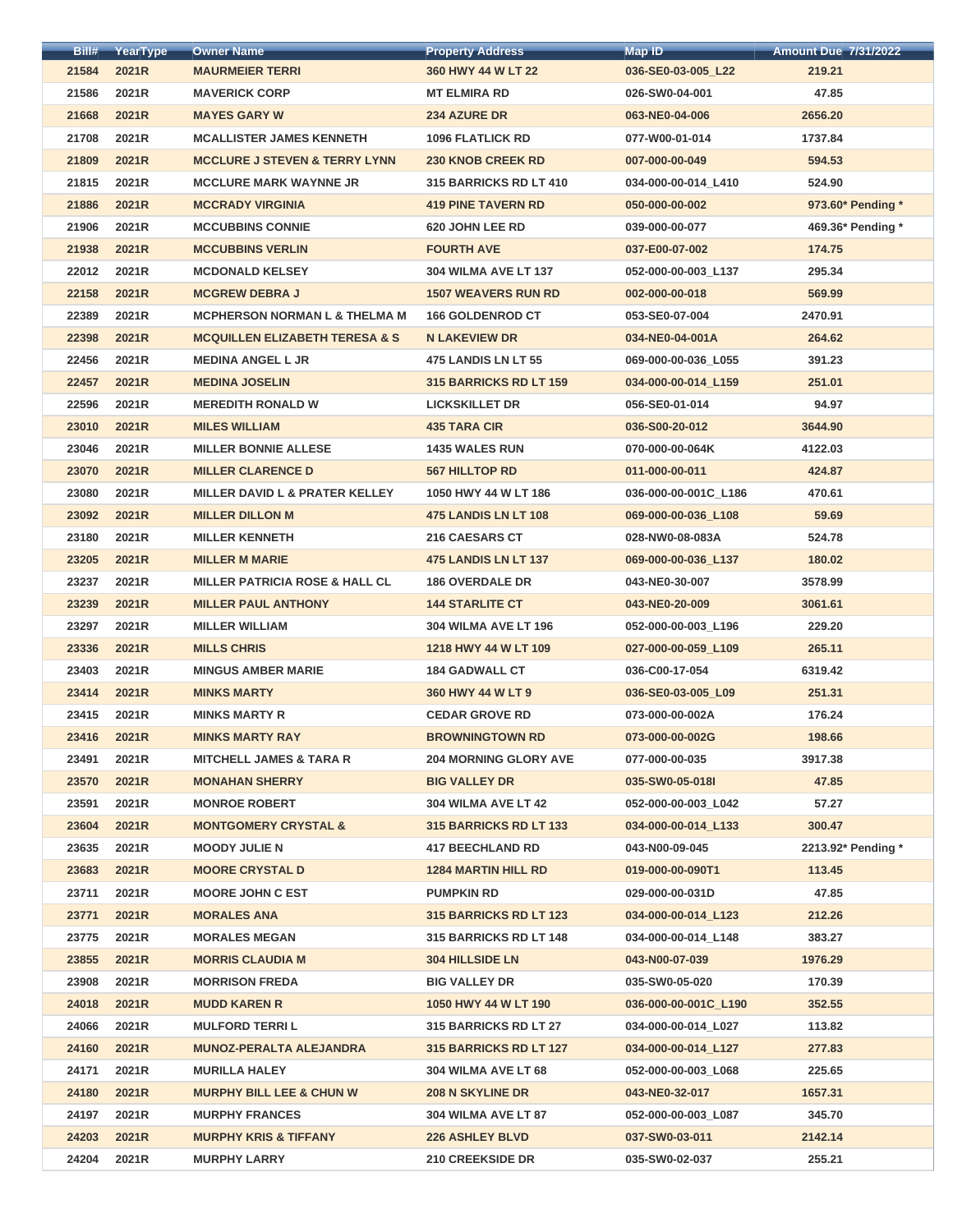| Bill# | YearType     | <b>Owner Name</b>                         | <b>Property Address</b>       | <b>Map ID</b>        | <b>Amount Due 7/31/2022</b> |
|-------|--------------|-------------------------------------------|-------------------------------|----------------------|-----------------------------|
| 21584 | 2021R        | <b>MAURMEIER TERRI</b>                    | 360 HWY 44 W LT 22            | 036-SE0-03-005_L22   | 219.21                      |
| 21586 | 2021R        | <b>MAVERICK CORP</b>                      | <b>MT ELMIRA RD</b>           | 026-SW0-04-001       | 47.85                       |
| 21668 | 2021R        | <b>MAYES GARY W</b>                       | <b>234 AZURE DR</b>           | 063-NE0-04-006       | 2656.20                     |
| 21708 | 2021R        | <b>MCALLISTER JAMES KENNETH</b>           | <b>1096 FLATLICK RD</b>       | 077-W00-01-014       | 1737.84                     |
| 21809 | 2021R        | <b>MCCLURE J STEVEN &amp; TERRY LYNN</b>  | <b>230 KNOB CREEK RD</b>      | 007-000-00-049       | 594.53                      |
| 21815 | 2021R        | <b>MCCLURE MARK WAYNNE JR</b>             | 315 BARRICKS RD LT 410        | 034-000-00-014 L410  | 524.90                      |
| 21886 | 2021R        | <b>MCCRADY VIRGINIA</b>                   | <b>419 PINE TAVERN RD</b>     | 050-000-00-002       | 973.60* Pending *           |
| 21906 | 2021R        | <b>MCCUBBINS CONNIE</b>                   | 620 JOHN LEE RD               | 039-000-00-077       | 469.36* Pending *           |
| 21938 | 2021R        | <b>MCCUBBINS VERLIN</b>                   | <b>FOURTH AVE</b>             | 037-E00-07-002       | 174.75                      |
| 22012 | 2021R        | <b>MCDONALD KELSEY</b>                    | <b>304 WILMA AVE LT 137</b>   | 052-000-00-003_L137  | 295.34                      |
| 22158 | 2021R        | <b>MCGREW DEBRA J</b>                     | <b>1507 WEAVERS RUN RD</b>    | 002-000-00-018       | 569.99                      |
| 22389 | 2021R        | <b>MCPHERSON NORMAN L &amp; THELMA M</b>  | <b>166 GOLDENROD CT</b>       | 053-SE0-07-004       | 2470.91                     |
| 22398 | 2021R        | <b>MCQUILLEN ELIZABETH TERESA &amp; S</b> | <b>N LAKEVIEW DR</b>          | 034-NE0-04-001A      | 264.62                      |
| 22456 | 2021R        | <b>MEDINA ANGEL L JR</b>                  | 475 LANDIS LN LT 55           | 069-000-00-036_L055  | 391.23                      |
| 22457 | 2021R        | <b>MEDINA JOSELIN</b>                     | 315 BARRICKS RD LT 159        | 034-000-00-014 L159  | 251.01                      |
| 22596 | 2021R        | <b>MEREDITH RONALD W</b>                  | <b>LICKSKILLET DR</b>         | 056-SE0-01-014       | 94.97                       |
| 23010 | 2021R        | <b>MILES WILLIAM</b>                      | <b>435 TARA CIR</b>           | 036-S00-20-012       | 3644.90                     |
| 23046 | 2021R        | <b>MILLER BONNIE ALLESE</b>               | <b>1435 WALES RUN</b>         | 070-000-00-064K      | 4122.03                     |
| 23070 | 2021R        | <b>MILLER CLARENCE D</b>                  | <b>567 HILLTOP RD</b>         | 011-000-00-011       | 424.87                      |
| 23080 | 2021R        | <b>MILLER DAVID L &amp; PRATER KELLEY</b> | 1050 HWY 44 W LT 186          | 036-000-00-001C_L186 | 470.61                      |
| 23092 | 2021R        | <b>MILLER DILLON M</b>                    | 475 LANDIS LN LT 108          | 069-000-00-036_L108  | 59.69                       |
| 23180 | 2021R        | <b>MILLER KENNETH</b>                     | 216 CAESARS CT                | 028-NW0-08-083A      | 524.78                      |
| 23205 | 2021R        | <b>MILLER M MARIE</b>                     | 475 LANDIS LN LT 137          | 069-000-00-036 L137  | 180.02                      |
| 23237 | 2021R        | <b>MILLER PATRICIA ROSE &amp; HALL CL</b> | <b>186 OVERDALE DR</b>        | 043-NE0-30-007       | 3578.99                     |
| 23239 | 2021R        | <b>MILLER PAUL ANTHONY</b>                | <b>144 STARLITE CT</b>        | 043-NE0-20-009       | 3061.61                     |
| 23297 | 2021R        | <b>MILLER WILLIAM</b>                     | <b>304 WILMA AVE LT 196</b>   | 052-000-00-003 L196  | 229.20                      |
| 23336 | <b>2021R</b> | <b>MILLS CHRIS</b>                        | 1218 HWY 44 W LT 109          | 027-000-00-059 L109  | 265.11                      |
| 23403 | 2021R        | <b>MINGUS AMBER MARIE</b>                 | <b>184 GADWALL CT</b>         | 036-C00-17-054       | 6319.42                     |
| 23414 | 2021R        | <b>MINKS MARTY</b>                        | 360 HWY 44 W LT 9             | 036-SE0-03-005_L09   | 251.31                      |
| 23415 | 2021R        | <b>MINKS MARTY R</b>                      | <b>CEDAR GROVE RD</b>         | 073-000-00-002A      | 176.24                      |
| 23416 | 2021R        | <b>MINKS MARTY RAY</b>                    | <b>BROWNINGTOWN RD</b>        | 073-000-00-002G      | 198.66                      |
| 23491 | 2021R        | <b>MITCHELL JAMES &amp; TARA R</b>        | <b>204 MORNING GLORY AVE</b>  | 077-000-00-035       | 3917.38                     |
| 23570 | 2021R        | <b>MONAHAN SHERRY</b>                     | <b>BIG VALLEY DR</b>          | 035-SW0-05-018I      | 47.85                       |
| 23591 | 2021R        | <b>MONROE ROBERT</b>                      | 304 WILMA AVE LT 42           | 052-000-00-003 L042  | 57.27                       |
| 23604 | 2021R        | <b>MONTGOMERY CRYSTAL &amp;</b>           | <b>315 BARRICKS RD LT 133</b> | 034-000-00-014_L133  | 300.47                      |
| 23635 | 2021R        | <b>MOODY JULIE N</b>                      | <b>417 BEECHLAND RD</b>       | 043-N00-09-045       | 2213.92* Pending *          |
| 23683 | 2021R        | <b>MOORE CRYSTAL D</b>                    | <b>1284 MARTIN HILL RD</b>    | 019-000-00-090T1     | 113.45                      |
| 23711 | 2021R        | <b>MOORE JOHN C EST</b>                   | <b>PUMPKIN RD</b>             | 029-000-00-031D      | 47.85                       |
| 23771 | 2021R        | <b>MORALES ANA</b>                        | <b>315 BARRICKS RD LT 123</b> | 034-000-00-014 L123  | 212.26                      |
| 23775 | 2021R        | <b>MORALES MEGAN</b>                      | <b>315 BARRICKS RD LT 148</b> | 034-000-00-014_L148  | 383.27                      |
| 23855 | 2021R        | <b>MORRIS CLAUDIA M</b>                   | <b>304 HILLSIDE LN</b>        | 043-N00-07-039       | 1976.29                     |
| 23908 | 2021R        | <b>MORRISON FREDA</b>                     | <b>BIG VALLEY DR</b>          | 035-SW0-05-020       | 170.39                      |
| 24018 | 2021R        | <b>MUDD KAREN R</b>                       | 1050 HWY 44 W LT 190          | 036-000-00-001C L190 | 352.55                      |
| 24066 | 2021R        | <b>MULFORD TERRIL</b>                     | <b>315 BARRICKS RD LT 27</b>  | 034-000-00-014_L027  | 113.82                      |
| 24160 | 2021R        | <b>MUNOZ-PERALTA ALEJANDRA</b>            | <b>315 BARRICKS RD LT 127</b> | 034-000-00-014 L127  | 277.83                      |
| 24171 | 2021R        | <b>MURILLA HALEY</b>                      | 304 WILMA AVE LT 68           | 052-000-00-003 L068  | 225.65                      |
| 24180 | 2021R        | <b>MURPHY BILL LEE &amp; CHUN W</b>       | <b>208 N SKYLINE DR</b>       | 043-NE0-32-017       | 1657.31                     |
| 24197 | 2021R        | <b>MURPHY FRANCES</b>                     | 304 WILMA AVE LT 87           | 052-000-00-003 L087  | 345.70                      |
| 24203 | 2021R        | <b>MURPHY KRIS &amp; TIFFANY</b>          | <b>226 ASHLEY BLVD</b>        | 037-SW0-03-011       | 2142.14                     |
| 24204 | 2021R        | <b>MURPHY LARRY</b>                       | 210 CREEKSIDE DR              | 035-SW0-02-037       | 255.21                      |
|       |              |                                           |                               |                      |                             |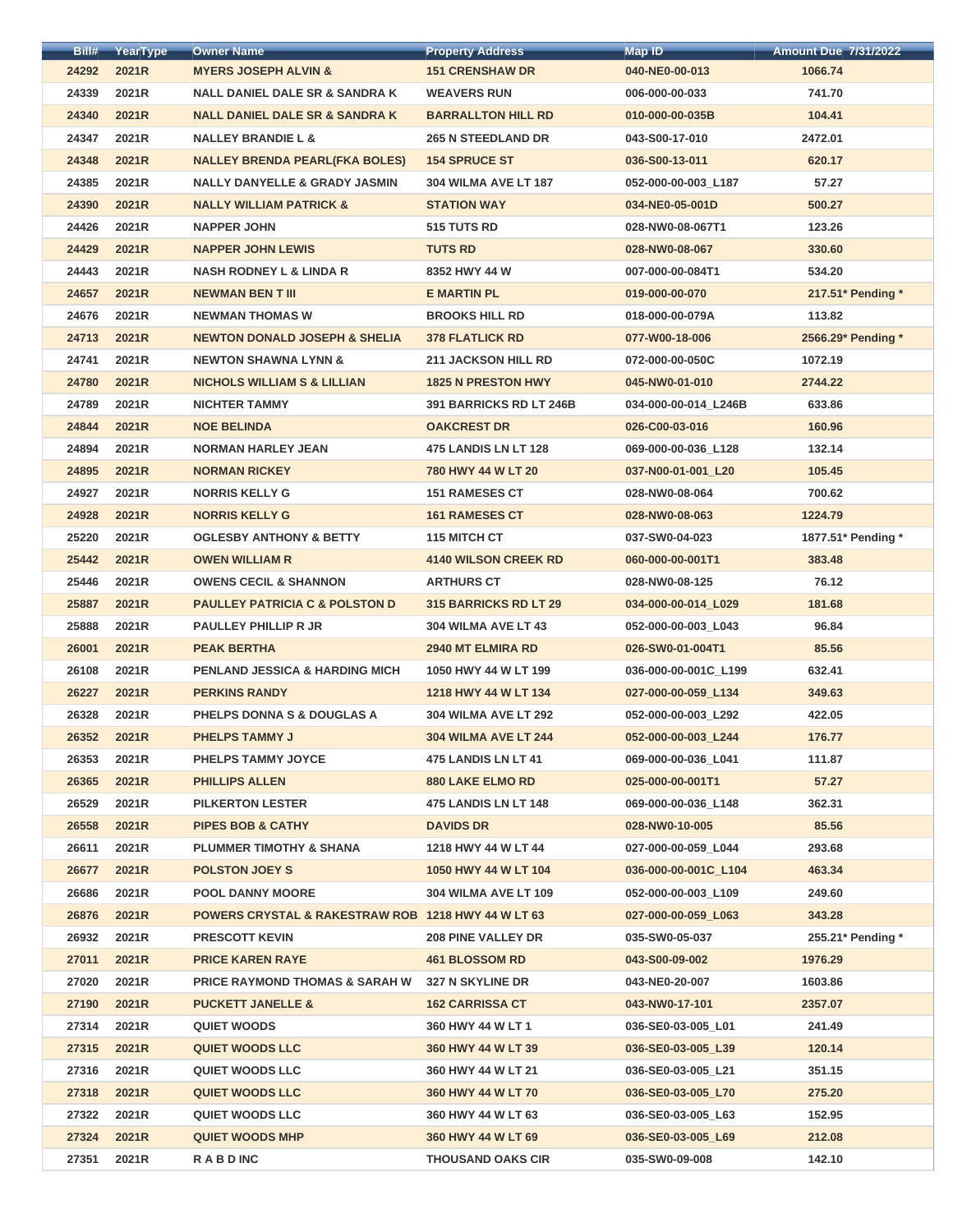| Bill# | YearType | <b>Owner Name</b>                                             | <b>Property Address</b>      | <b>Map ID</b>        | <b>Amount Due 7/31/2022</b> |
|-------|----------|---------------------------------------------------------------|------------------------------|----------------------|-----------------------------|
| 24292 | 2021R    | <b>MYERS JOSEPH ALVIN &amp;</b>                               | <b>151 CRENSHAW DR</b>       | 040-NE0-00-013       | 1066.74                     |
| 24339 | 2021R    | <b>NALL DANIEL DALE SR &amp; SANDRA K</b>                     | <b>WEAVERS RUN</b>           | 006-000-00-033       | 741.70                      |
| 24340 | 2021R    | <b>NALL DANIEL DALE SR &amp; SANDRA K</b>                     | <b>BARRALLTON HILL RD</b>    | 010-000-00-035B      | 104.41                      |
| 24347 | 2021R    | <b>NALLEY BRANDIE L &amp;</b>                                 | <b>265 N STEEDLAND DR</b>    | 043-S00-17-010       | 2472.01                     |
| 24348 | 2021R    | <b>NALLEY BRENDA PEARL(FKA BOLES)</b>                         | <b>154 SPRUCE ST</b>         | 036-S00-13-011       | 620.17                      |
| 24385 | 2021R    | <b>NALLY DANYELLE &amp; GRADY JASMIN</b>                      | <b>304 WILMA AVE LT 187</b>  | 052-000-00-003 L187  | 57.27                       |
| 24390 | 2021R    | <b>NALLY WILLIAM PATRICK &amp;</b>                            | <b>STATION WAY</b>           | 034-NE0-05-001D      | 500.27                      |
| 24426 | 2021R    | <b>NAPPER JOHN</b>                                            | 515 TUTS RD                  | 028-NW0-08-067T1     | 123.26                      |
| 24429 | 2021R    | <b>NAPPER JOHN LEWIS</b>                                      | <b>TUTS RD</b>               | 028-NW0-08-067       | 330.60                      |
| 24443 | 2021R    | <b>NASH RODNEY L &amp; LINDA R</b>                            | 8352 HWY 44 W                | 007-000-00-084T1     | 534.20                      |
| 24657 | 2021R    | <b>NEWMAN BEN T III</b>                                       | <b>E MARTIN PL</b>           | 019-000-00-070       | 217.51* Pending *           |
| 24676 | 2021R    | <b>NEWMAN THOMAS W</b>                                        | <b>BROOKS HILL RD</b>        | 018-000-00-079A      | 113.82                      |
| 24713 | 2021R    | <b>NEWTON DONALD JOSEPH &amp; SHELIA</b>                      | <b>378 FLATLICK RD</b>       | 077-W00-18-006       | 2566.29* Pending *          |
| 24741 | 2021R    | <b>NEWTON SHAWNA LYNN &amp;</b>                               | <b>211 JACKSON HILL RD</b>   | 072-000-00-050C      | 1072.19                     |
| 24780 | 2021R    | <b>NICHOLS WILLIAM S &amp; LILLIAN</b>                        | <b>1825 N PRESTON HWY</b>    | 045-NW0-01-010       | 2744.22                     |
| 24789 | 2021R    | <b>NICHTER TAMMY</b>                                          | 391 BARRICKS RD LT 246B      | 034-000-00-014_L246B | 633.86                      |
| 24844 | 2021R    | <b>NOE BELINDA</b>                                            | <b>OAKCREST DR</b>           | 026-C00-03-016       | 160.96                      |
| 24894 | 2021R    | <b>NORMAN HARLEY JEAN</b>                                     | 475 LANDIS LN LT 128         | 069-000-00-036_L128  | 132.14                      |
| 24895 | 2021R    | <b>NORMAN RICKEY</b>                                          | 780 HWY 44 W LT 20           | 037-N00-01-001_L20   | 105.45                      |
| 24927 | 2021R    | <b>NORRIS KELLY G</b>                                         | <b>151 RAMESES CT</b>        | 028-NW0-08-064       | 700.62                      |
| 24928 | 2021R    | <b>NORRIS KELLY G</b>                                         | <b>161 RAMESES CT</b>        | 028-NW0-08-063       | 1224.79                     |
| 25220 | 2021R    | <b>OGLESBY ANTHONY &amp; BETTY</b>                            | 115 MITCH CT                 | 037-SW0-04-023       | 1877.51* Pending *          |
| 25442 | 2021R    | <b>OWEN WILLIAM R</b>                                         | <b>4140 WILSON CREEK RD</b>  | 060-000-00-001T1     | 383.48                      |
| 25446 | 2021R    | <b>OWENS CECIL &amp; SHANNON</b>                              | <b>ARTHURS CT</b>            | 028-NW0-08-125       | 76.12                       |
| 25887 | 2021R    | <b>PAULLEY PATRICIA C &amp; POLSTON D</b>                     | <b>315 BARRICKS RD LT 29</b> | 034-000-00-014 L029  | 181.68                      |
| 25888 | 2021R    | <b>PAULLEY PHILLIP R JR</b>                                   | 304 WILMA AVE LT 43          | 052-000-00-003_L043  | 96.84                       |
| 26001 | 2021R    | <b>PEAK BERTHA</b>                                            | <b>2940 MT ELMIRA RD</b>     | 026-SW0-01-004T1     | 85.56                       |
| 26108 | 2021R    | <b>PENLAND JESSICA &amp; HARDING MICH</b>                     | 1050 HWY 44 W LT 199         | 036-000-00-001C_L199 | 632.41                      |
| 26227 | 2021R    | <b>PERKINS RANDY</b>                                          | 1218 HWY 44 W LT 134         | 027-000-00-059 L134  | 349.63                      |
| 26328 | 2021R    | PHELPS DONNA S & DOUGLAS A                                    | <b>304 WILMA AVE LT 292</b>  | 052-000-00-003 L292  | 422.05                      |
| 26352 | 2021R    | <b>PHELPS TAMMY J</b>                                         | <b>304 WILMA AVE LT 244</b>  | 052-000-00-003 L244  | 176.77                      |
| 26353 | 2021R    | <b>PHELPS TAMMY JOYCE</b>                                     | 475 LANDIS LN LT 41          | 069-000-00-036 L041  | 111.87                      |
| 26365 | 2021R    | <b>PHILLIPS ALLEN</b>                                         | <b>880 LAKE ELMO RD</b>      | 025-000-00-001T1     | 57.27                       |
| 26529 | 2021R    | <b>PILKERTON LESTER</b>                                       | <b>475 LANDIS LN LT 148</b>  | 069-000-00-036 L148  | 362.31                      |
| 26558 | 2021R    | <b>PIPES BOB &amp; CATHY</b>                                  | <b>DAVIDS DR</b>             | 028-NW0-10-005       | 85.56                       |
| 26611 | 2021R    | <b>PLUMMER TIMOTHY &amp; SHANA</b>                            | 1218 HWY 44 W LT 44          | 027-000-00-059 L044  | 293.68                      |
| 26677 | 2021R    | <b>POLSTON JOEY S</b>                                         | 1050 HWY 44 W LT 104         | 036-000-00-001C_L104 | 463.34                      |
| 26686 | 2021R    | <b>POOL DANNY MOORE</b>                                       | <b>304 WILMA AVE LT 109</b>  | 052-000-00-003 L109  | 249.60                      |
| 26876 | 2021R    | <b>POWERS CRYSTAL &amp; RAKESTRAW ROB 1218 HWY 44 W LT 63</b> |                              | 027-000-00-059 L063  | 343.28                      |
| 26932 | 2021R    | <b>PRESCOTT KEVIN</b>                                         | <b>208 PINE VALLEY DR</b>    | 035-SW0-05-037       | 255.21* Pending *           |
| 27011 | 2021R    | <b>PRICE KAREN RAYE</b>                                       | <b>461 BLOSSOM RD</b>        | 043-S00-09-002       | 1976.29                     |
| 27020 | 2021R    | <b>PRICE RAYMOND THOMAS &amp; SARAH W</b>                     | 327 N SKYLINE DR             | 043-NE0-20-007       | 1603.86                     |
| 27190 | 2021R    | <b>PUCKETT JANELLE &amp;</b>                                  | <b>162 CARRISSA CT</b>       | 043-NW0-17-101       | 2357.07                     |
| 27314 | 2021R    | <b>QUIET WOODS</b>                                            | 360 HWY 44 W LT 1            | 036-SE0-03-005 L01   | 241.49                      |
| 27315 | 2021R    | <b>QUIET WOODS LLC</b>                                        | 360 HWY 44 W LT 39           | 036-SE0-03-005_L39   | 120.14                      |
| 27316 | 2021R    | <b>QUIET WOODS LLC</b>                                        | 360 HWY 44 W LT 21           | 036-SE0-03-005 L21   | 351.15                      |
| 27318 | 2021R    | <b>QUIET WOODS LLC</b>                                        | 360 HWY 44 W LT 70           | 036-SE0-03-005_L70   | 275.20                      |
| 27322 | 2021R    | <b>QUIET WOODS LLC</b>                                        | 360 HWY 44 W LT 63           | 036-SE0-03-005 L63   | 152.95                      |
| 27324 | 2021R    | <b>QUIET WOODS MHP</b>                                        | 360 HWY 44 W LT 69           | 036-SE0-03-005 L69   | 212.08                      |
| 27351 | 2021R    | <b>RABDINC</b>                                                | <b>THOUSAND OAKS CIR</b>     | 035-SW0-09-008       | 142.10                      |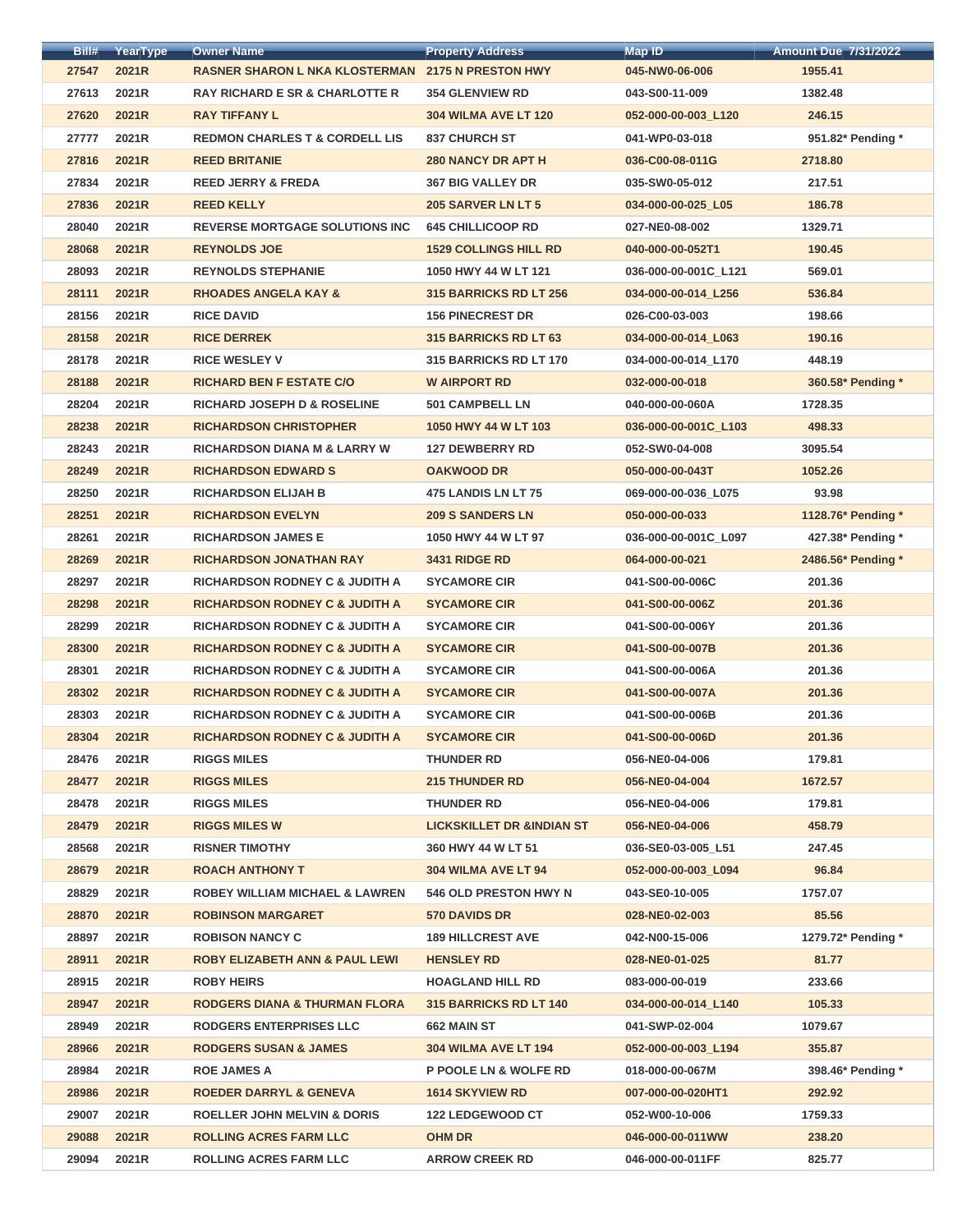| Bill# | YearType | <b>Owner Name</b>                                        | <b>Property Address</b>              | <b>Map ID</b>        | <b>Amount Due 7/31/2022</b> |
|-------|----------|----------------------------------------------------------|--------------------------------------|----------------------|-----------------------------|
| 27547 | 2021R    | <b>RASNER SHARON L NKA KLOSTERMAN 2175 N PRESTON HWY</b> |                                      | 045-NW0-06-006       | 1955.41                     |
| 27613 | 2021R    | <b>RAY RICHARD E SR &amp; CHARLOTTE R</b>                | <b>354 GLENVIEW RD</b>               | 043-S00-11-009       | 1382.48                     |
| 27620 | 2021R    | <b>RAY TIFFANY L</b>                                     | <b>304 WILMA AVE LT 120</b>          | 052-000-00-003_L120  | 246.15                      |
| 27777 | 2021R    | <b>REDMON CHARLES T &amp; CORDELL LIS</b>                | <b>837 CHURCH ST</b>                 | 041-WP0-03-018       | 951.82* Pending *           |
| 27816 | 2021R    | <b>REED BRITANIE</b>                                     | <b>280 NANCY DR APT H</b>            | 036-C00-08-011G      | 2718.80                     |
| 27834 | 2021R    | <b>REED JERRY &amp; FREDA</b>                            | <b>367 BIG VALLEY DR</b>             | 035-SW0-05-012       | 217.51                      |
| 27836 | 2021R    | <b>REED KELLY</b>                                        | 205 SARVER LN LT 5                   | 034-000-00-025_L05   | 186.78                      |
| 28040 | 2021R    | <b>REVERSE MORTGAGE SOLUTIONS INC</b>                    | <b>645 CHILLICOOP RD</b>             | 027-NE0-08-002       | 1329.71                     |
| 28068 | 2021R    | <b>REYNOLDS JOE</b>                                      | <b>1529 COLLINGS HILL RD</b>         | 040-000-00-052T1     | 190.45                      |
| 28093 | 2021R    | <b>REYNOLDS STEPHANIE</b>                                | 1050 HWY 44 W LT 121                 | 036-000-00-001C L121 | 569.01                      |
| 28111 | 2021R    | <b>RHOADES ANGELA KAY &amp;</b>                          | 315 BARRICKS RD LT 256               | 034-000-00-014 L256  | 536.84                      |
| 28156 | 2021R    | <b>RICE DAVID</b>                                        | <b>156 PINECREST DR</b>              | 026-C00-03-003       | 198.66                      |
| 28158 | 2021R    | <b>RICE DERREK</b>                                       | 315 BARRICKS RD LT 63                | 034-000-00-014_L063  | 190.16                      |
| 28178 | 2021R    | <b>RICE WESLEY V</b>                                     | 315 BARRICKS RD LT 170               | 034-000-00-014_L170  | 448.19                      |
| 28188 | 2021R    | <b>RICHARD BEN F ESTATE C/O</b>                          | <b>W AIRPORT RD</b>                  | 032-000-00-018       | 360.58* Pending *           |
| 28204 | 2021R    | <b>RICHARD JOSEPH D &amp; ROSELINE</b>                   | <b>501 CAMPBELL LN</b>               | 040-000-00-060A      | 1728.35                     |
| 28238 | 2021R    | <b>RICHARDSON CHRISTOPHER</b>                            | 1050 HWY 44 W LT 103                 | 036-000-00-001C_L103 | 498.33                      |
| 28243 | 2021R    | <b>RICHARDSON DIANA M &amp; LARRY W</b>                  | <b>127 DEWBERRY RD</b>               | 052-SW0-04-008       | 3095.54                     |
| 28249 | 2021R    | <b>RICHARDSON EDWARD S</b>                               | <b>OAKWOOD DR</b>                    | 050-000-00-043T      | 1052.26                     |
| 28250 | 2021R    | <b>RICHARDSON ELIJAH B</b>                               | 475 LANDIS LN LT 75                  | 069-000-00-036_L075  | 93.98                       |
| 28251 | 2021R    | <b>RICHARDSON EVELYN</b>                                 | <b>209 S SANDERS LN</b>              | 050-000-00-033       | 1128.76* Pending *          |
| 28261 | 2021R    | <b>RICHARDSON JAMES E</b>                                | 1050 HWY 44 W LT 97                  | 036-000-00-001C_L097 | 427.38* Pending *           |
| 28269 | 2021R    | <b>RICHARDSON JONATHAN RAY</b>                           | <b>3431 RIDGE RD</b>                 | 064-000-00-021       | 2486.56* Pending *          |
| 28297 | 2021R    | <b>RICHARDSON RODNEY C &amp; JUDITH A</b>                | <b>SYCAMORE CIR</b>                  | 041-S00-00-006C      | 201.36                      |
| 28298 | 2021R    | <b>RICHARDSON RODNEY C &amp; JUDITH A</b>                | <b>SYCAMORE CIR</b>                  | 041-S00-00-006Z      | 201.36                      |
| 28299 | 2021R    | <b>RICHARDSON RODNEY C &amp; JUDITH A</b>                | <b>SYCAMORE CIR</b>                  | 041-S00-00-006Y      | 201.36                      |
| 28300 | 2021R    | <b>RICHARDSON RODNEY C &amp; JUDITH A</b>                | <b>SYCAMORE CIR</b>                  | 041-S00-00-007B      | 201.36                      |
| 28301 | 2021R    | <b>RICHARDSON RODNEY C &amp; JUDITH A</b>                | <b>SYCAMORE CIR</b>                  | 041-S00-00-006A      | 201.36                      |
| 28302 | 2021R    | <b>RICHARDSON RODNEY C &amp; JUDITH A</b>                | <b>SYCAMORE CIR</b>                  | 041-S00-00-007A      | 201.36                      |
| 28303 | 2021R    | <b>RICHARDSON RODNEY C &amp; JUDITH A</b>                | <b>SYCAMORE CIR</b>                  | 041-S00-00-006B      | 201.36                      |
| 28304 | 2021R    | <b>RICHARDSON RODNEY C &amp; JUDITH A</b>                | <b>SYCAMORE CIR</b>                  | 041-S00-00-006D      | 201.36                      |
| 28476 | 2021R    | <b>RIGGS MILES</b>                                       | <b>THUNDER RD</b>                    | 056-NE0-04-006       | 179.81                      |
| 28477 | 2021R    | <b>RIGGS MILES</b>                                       | <b>215 THUNDER RD</b>                | 056-NE0-04-004       | 1672.57                     |
| 28478 | 2021R    | <b>RIGGS MILES</b>                                       | <b>THUNDER RD</b>                    | 056-NE0-04-006       | 179.81                      |
| 28479 | 2021R    | <b>RIGGS MILES W</b>                                     | <b>LICKSKILLET DR &amp;INDIAN ST</b> | 056-NE0-04-006       | 458.79                      |
| 28568 | 2021R    | <b>RISNER TIMOTHY</b>                                    | 360 HWY 44 W LT 51                   | 036-SE0-03-005 L51   | 247.45                      |
| 28679 | 2021R    | <b>ROACH ANTHONY T</b>                                   | 304 WILMA AVE LT 94                  | 052-000-00-003_L094  | 96.84                       |
| 28829 | 2021R    | <b>ROBEY WILLIAM MICHAEL &amp; LAWREN</b>                | <b>546 OLD PRESTON HWY N</b>         | 043-SE0-10-005       | 1757.07                     |
| 28870 | 2021R    | <b>ROBINSON MARGARET</b>                                 | <b>570 DAVIDS DR</b>                 | 028-NE0-02-003       | 85.56                       |
| 28897 | 2021R    | <b>ROBISON NANCY C</b>                                   | <b>189 HILLCREST AVE</b>             | 042-N00-15-006       | 1279.72* Pending *          |
| 28911 | 2021R    | <b>ROBY ELIZABETH ANN &amp; PAUL LEWI</b>                | <b>HENSLEY RD</b>                    | 028-NE0-01-025       | 81.77                       |
| 28915 | 2021R    | <b>ROBY HEIRS</b>                                        | <b>HOAGLAND HILL RD</b>              | 083-000-00-019       | 233.66                      |
| 28947 | 2021R    | <b>RODGERS DIANA &amp; THURMAN FLORA</b>                 | 315 BARRICKS RD LT 140               | 034-000-00-014 L140  | 105.33                      |
| 28949 | 2021R    | <b>RODGERS ENTERPRISES LLC</b>                           | 662 MAIN ST                          | 041-SWP-02-004       | 1079.67                     |
| 28966 | 2021R    | <b>RODGERS SUSAN &amp; JAMES</b>                         | <b>304 WILMA AVE LT 194</b>          | 052-000-00-003_L194  | 355.87                      |
| 28984 | 2021R    | <b>ROE JAMES A</b>                                       | <b>P POOLE LN &amp; WOLFE RD</b>     | 018-000-00-067M      | 398.46* Pending *           |
| 28986 | 2021R    | <b>ROEDER DARRYL &amp; GENEVA</b>                        | <b>1614 SKYVIEW RD</b>               | 007-000-00-020HT1    | 292.92                      |
| 29007 | 2021R    | <b>ROELLER JOHN MELVIN &amp; DORIS</b>                   | <b>122 LEDGEWOOD CT</b>              | 052-W00-10-006       | 1759.33                     |
| 29088 | 2021R    | <b>ROLLING ACRES FARM LLC</b>                            | <b>OHM DR</b>                        | 046-000-00-011WW     | 238.20                      |
| 29094 | 2021R    | <b>ROLLING ACRES FARM LLC</b>                            | <b>ARROW CREEK RD</b>                | 046-000-00-011FF     | 825.77                      |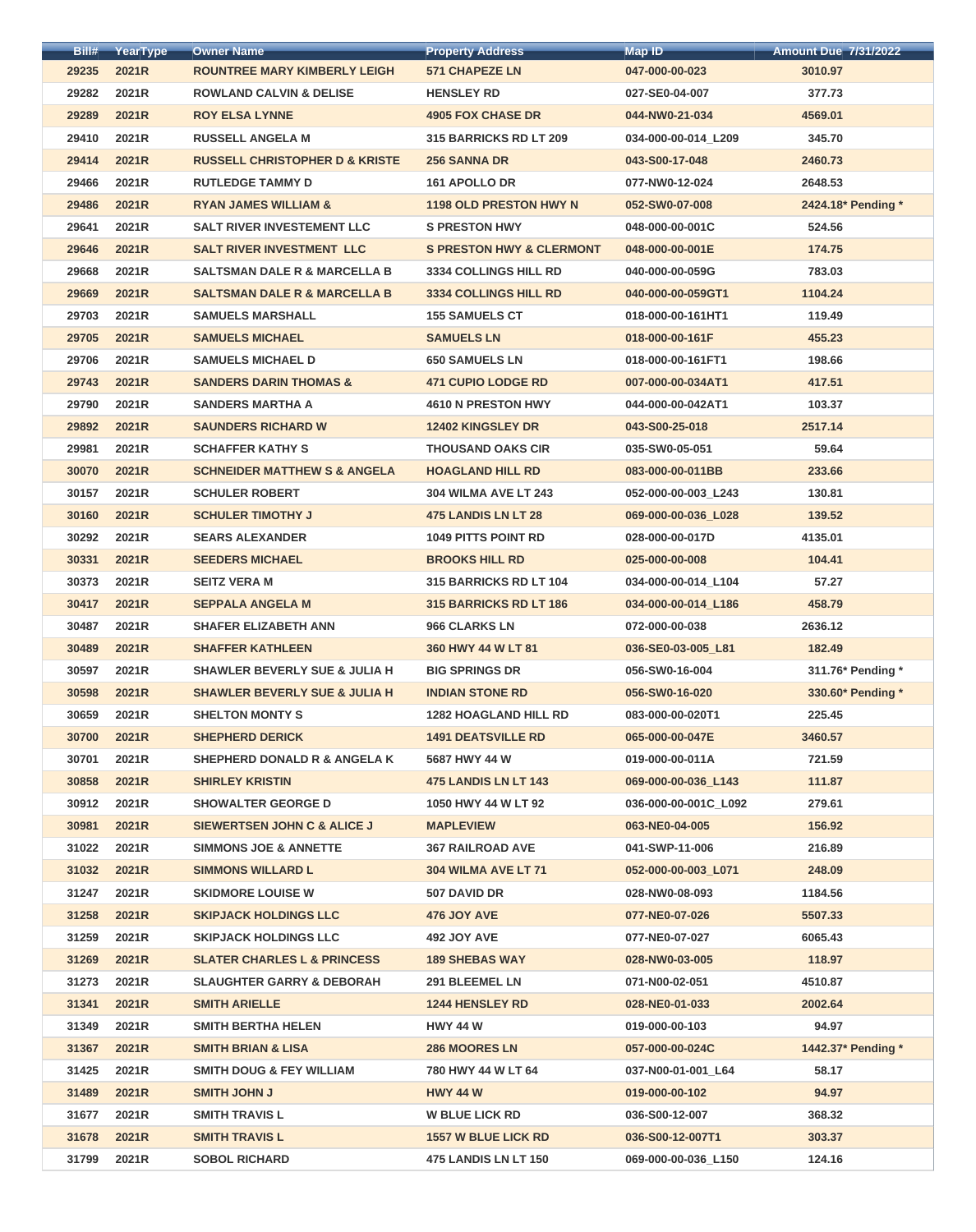| Bill# | YearType | <b>Owner Name</b>                         | <b>Property Address</b>             | <b>Map ID</b>        | <b>Amount Due 7/31/2022</b> |
|-------|----------|-------------------------------------------|-------------------------------------|----------------------|-----------------------------|
| 29235 | 2021R    | <b>ROUNTREE MARY KIMBERLY LEIGH</b>       | <b>571 CHAPEZE LN</b>               | 047-000-00-023       | 3010.97                     |
| 29282 | 2021R    | <b>ROWLAND CALVIN &amp; DELISE</b>        | <b>HENSLEY RD</b>                   | 027-SE0-04-007       | 377.73                      |
| 29289 | 2021R    | <b>ROY ELSA LYNNE</b>                     | <b>4905 FOX CHASE DR</b>            | 044-NW0-21-034       | 4569.01                     |
| 29410 | 2021R    | <b>RUSSELL ANGELA M</b>                   | <b>315 BARRICKS RD LT 209</b>       | 034-000-00-014_L209  | 345.70                      |
| 29414 | 2021R    | <b>RUSSELL CHRISTOPHER D &amp; KRISTE</b> | <b>256 SANNA DR</b>                 | 043-S00-17-048       | 2460.73                     |
| 29466 | 2021R    | <b>RUTLEDGE TAMMY D</b>                   | 161 APOLLO DR                       | 077-NW0-12-024       | 2648.53                     |
| 29486 | 2021R    | <b>RYAN JAMES WILLIAM &amp;</b>           | <b>1198 OLD PRESTON HWY N</b>       | 052-SW0-07-008       | 2424.18* Pending *          |
| 29641 | 2021R    | <b>SALT RIVER INVESTEMENT LLC</b>         | <b>S PRESTON HWY</b>                | 048-000-00-001C      | 524.56                      |
| 29646 | 2021R    | <b>SALT RIVER INVESTMENT LLC</b>          | <b>S PRESTON HWY &amp; CLERMONT</b> | 048-000-00-001E      | 174.75                      |
| 29668 | 2021R    | <b>SALTSMAN DALE R &amp; MARCELLA B</b>   | <b>3334 COLLINGS HILL RD</b>        | 040-000-00-059G      | 783.03                      |
| 29669 | 2021R    | <b>SALTSMAN DALE R &amp; MARCELLA B</b>   | <b>3334 COLLINGS HILL RD</b>        | 040-000-00-059GT1    | 1104.24                     |
| 29703 | 2021R    | <b>SAMUELS MARSHALL</b>                   | <b>155 SAMUELS CT</b>               | 018-000-00-161HT1    | 119.49                      |
| 29705 | 2021R    | <b>SAMUELS MICHAEL</b>                    | <b>SAMUELS LN</b>                   | 018-000-00-161F      | 455.23                      |
| 29706 | 2021R    | <b>SAMUELS MICHAEL D</b>                  | <b>650 SAMUELS LN</b>               | 018-000-00-161FT1    | 198.66                      |
| 29743 | 2021R    | <b>SANDERS DARIN THOMAS &amp;</b>         | <b>471 CUPIO LODGE RD</b>           | 007-000-00-034AT1    | 417.51                      |
| 29790 | 2021R    | <b>SANDERS MARTHA A</b>                   | 4610 N PRESTON HWY                  | 044-000-00-042AT1    | 103.37                      |
| 29892 | 2021R    | <b>SAUNDERS RICHARD W</b>                 | 12402 KINGSLEY DR                   | 043-S00-25-018       | 2517.14                     |
| 29981 | 2021R    | <b>SCHAFFER KATHY S</b>                   | <b>THOUSAND OAKS CIR</b>            | 035-SW0-05-051       | 59.64                       |
| 30070 | 2021R    | <b>SCHNEIDER MATTHEW S &amp; ANGELA</b>   | <b>HOAGLAND HILL RD</b>             | 083-000-00-011BB     | 233.66                      |
| 30157 | 2021R    | <b>SCHULER ROBERT</b>                     | <b>304 WILMA AVE LT 243</b>         | 052-000-00-003_L243  | 130.81                      |
| 30160 | 2021R    | <b>SCHULER TIMOTHY J</b>                  | 475 LANDIS LN LT 28                 | 069-000-00-036_L028  | 139.52                      |
| 30292 | 2021R    | <b>SEARS ALEXANDER</b>                    | <b>1049 PITTS POINT RD</b>          | 028-000-00-017D      | 4135.01                     |
| 30331 | 2021R    | <b>SEEDERS MICHAEL</b>                    | <b>BROOKS HILL RD</b>               | 025-000-00-008       | 104.41                      |
| 30373 | 2021R    | <b>SEITZ VERA M</b>                       | <b>315 BARRICKS RD LT 104</b>       | 034-000-00-014 L104  | 57.27                       |
| 30417 | 2021R    | <b>SEPPALA ANGELA M</b>                   | <b>315 BARRICKS RD LT 186</b>       | 034-000-00-014_L186  | 458.79                      |
| 30487 | 2021R    | <b>SHAFER ELIZABETH ANN</b>               | 966 CLARKS LN                       | 072-000-00-038       | 2636.12                     |
| 30489 | 2021R    | <b>SHAFFER KATHLEEN</b>                   | 360 HWY 44 W LT 81                  | 036-SE0-03-005_L81   | 182.49                      |
| 30597 | 2021R    | <b>SHAWLER BEVERLY SUE &amp; JULIA H</b>  | <b>BIG SPRINGS DR</b>               | 056-SW0-16-004       | 311.76* Pending *           |
| 30598 | 2021R    | <b>SHAWLER BEVERLY SUE &amp; JULIA H</b>  | <b>INDIAN STONE RD</b>              | 056-SW0-16-020       | 330.60* Pending *           |
| 30659 | 2021R    | <b>SHELTON MONTY S</b>                    | <b>1282 HOAGLAND HILL RD</b>        | 083-000-00-020T1     | 225.45                      |
| 30700 | 2021R    | <b>SHEPHERD DERICK</b>                    | <b>1491 DEATSVILLE RD</b>           | 065-000-00-047E      | 3460.57                     |
| 30701 | 2021R    | <b>SHEPHERD DONALD R &amp; ANGELA K</b>   | 5687 HWY 44 W                       | 019-000-00-011A      | 721.59                      |
| 30858 | 2021R    | <b>SHIRLEY KRISTIN</b>                    | <b>475 LANDIS LN LT 143</b>         | 069-000-00-036 L143  | 111.87                      |
| 30912 | 2021R    | <b>SHOWALTER GEORGE D</b>                 | 1050 HWY 44 W LT 92                 | 036-000-00-001C_L092 | 279.61                      |
| 30981 | 2021R    | <b>SIEWERTSEN JOHN C &amp; ALICE J</b>    | <b>MAPLEVIEW</b>                    | 063-NE0-04-005       | 156.92                      |
| 31022 | 2021R    | <b>SIMMONS JOE &amp; ANNETTE</b>          | <b>367 RAILROAD AVE</b>             | 041-SWP-11-006       | 216.89                      |
| 31032 | 2021R    | <b>SIMMONS WILLARD L</b>                  | 304 WILMA AVE LT 71                 | 052-000-00-003_L071  | 248.09                      |
| 31247 | 2021R    | <b>SKIDMORE LOUISE W</b>                  | 507 DAVID DR                        | 028-NW0-08-093       | 1184.56                     |
| 31258 | 2021R    | <b>SKIPJACK HOLDINGS LLC</b>              | 476 JOY AVE                         | 077-NE0-07-026       | 5507.33                     |
| 31259 | 2021R    | <b>SKIPJACK HOLDINGS LLC</b>              | <b>492 JOY AVE</b>                  | 077-NE0-07-027       | 6065.43                     |
| 31269 | 2021R    | <b>SLATER CHARLES L &amp; PRINCESS</b>    | <b>189 SHEBAS WAY</b>               | 028-NW0-03-005       | 118.97                      |
| 31273 | 2021R    | <b>SLAUGHTER GARRY &amp; DEBORAH</b>      | 291 BLEEMEL LN                      | 071-N00-02-051       | 4510.87                     |
| 31341 | 2021R    | <b>SMITH ARIELLE</b>                      | <b>1244 HENSLEY RD</b>              | 028-NE0-01-033       | 2002.64                     |
| 31349 | 2021R    | <b>SMITH BERTHA HELEN</b>                 | <b>HWY 44 W</b>                     | 019-000-00-103       | 94.97                       |
| 31367 | 2021R    | <b>SMITH BRIAN &amp; LISA</b>             | <b>286 MOORES LN</b>                | 057-000-00-024C      | 1442.37* Pending *          |
| 31425 | 2021R    | <b>SMITH DOUG &amp; FEY WILLIAM</b>       | 780 HWY 44 W LT 64                  | 037-N00-01-001_L64   | 58.17                       |
| 31489 | 2021R    | <b>SMITH JOHN J</b>                       | <b>HWY 44 W</b>                     | 019-000-00-102       | 94.97                       |
| 31677 | 2021R    | <b>SMITH TRAVIS L</b>                     | <b>W BLUE LICK RD</b>               | 036-S00-12-007       | 368.32                      |
| 31678 | 2021R    | <b>SMITH TRAVIS L</b>                     | <b>1557 W BLUE LICK RD</b>          | 036-S00-12-007T1     | 303.37                      |
| 31799 | 2021R    | <b>SOBOL RICHARD</b>                      | <b>475 LANDIS LN LT 150</b>         | 069-000-00-036 L150  | 124.16                      |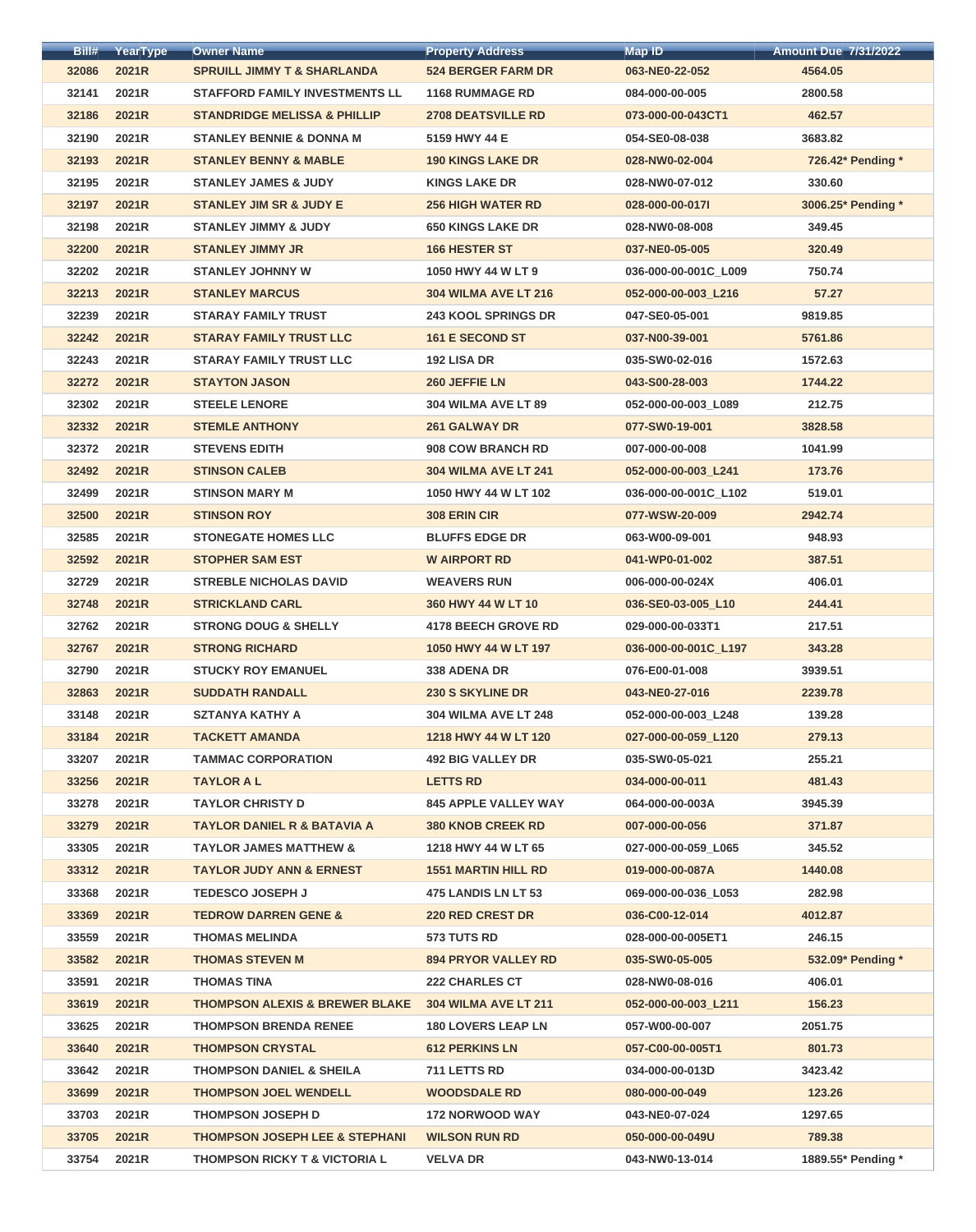| Bill# | YearType | <b>Owner Name</b>                         | <b>Property Address</b>     | <b>Map ID</b>        | <b>Amount Due 7/31/2022</b> |
|-------|----------|-------------------------------------------|-----------------------------|----------------------|-----------------------------|
| 32086 | 2021R    | <b>SPRUILL JIMMY T &amp; SHARLANDA</b>    | <b>524 BERGER FARM DR</b>   | 063-NE0-22-052       | 4564.05                     |
| 32141 | 2021R    | <b>STAFFORD FAMILY INVESTMENTS LL</b>     | <b>1168 RUMMAGE RD</b>      | 084-000-00-005       | 2800.58                     |
| 32186 | 2021R    | <b>STANDRIDGE MELISSA &amp; PHILLIP</b>   | <b>2708 DEATSVILLE RD</b>   | 073-000-00-043CT1    | 462.57                      |
| 32190 | 2021R    | <b>STANLEY BENNIE &amp; DONNA M</b>       | 5159 HWY 44 E               | 054-SE0-08-038       | 3683.82                     |
| 32193 | 2021R    | <b>STANLEY BENNY &amp; MABLE</b>          | <b>190 KINGS LAKE DR</b>    | 028-NW0-02-004       | 726.42* Pending *           |
| 32195 | 2021R    | <b>STANLEY JAMES &amp; JUDY</b>           | <b>KINGS LAKE DR</b>        | 028-NW0-07-012       | 330.60                      |
| 32197 | 2021R    | <b>STANLEY JIM SR &amp; JUDY E</b>        | <b>256 HIGH WATER RD</b>    | 028-000-00-0171      | 3006.25* Pending *          |
| 32198 | 2021R    | <b>STANLEY JIMMY &amp; JUDY</b>           | <b>650 KINGS LAKE DR</b>    | 028-NW0-08-008       | 349.45                      |
| 32200 | 2021R    | <b>STANLEY JIMMY JR</b>                   | <b>166 HESTER ST</b>        | 037-NE0-05-005       | 320.49                      |
| 32202 | 2021R    | <b>STANLEY JOHNNY W</b>                   | 1050 HWY 44 W LT 9          | 036-000-00-001C L009 | 750.74                      |
| 32213 | 2021R    | <b>STANLEY MARCUS</b>                     | <b>304 WILMA AVE LT 216</b> | 052-000-00-003 L216  | 57.27                       |
| 32239 | 2021R    | <b>STARAY FAMILY TRUST</b>                | <b>243 KOOL SPRINGS DR</b>  | 047-SE0-05-001       | 9819.85                     |
| 32242 | 2021R    | <b>STARAY FAMILY TRUST LLC</b>            | <b>161 E SECOND ST</b>      | 037-N00-39-001       | 5761.86                     |
| 32243 | 2021R    | <b>STARAY FAMILY TRUST LLC</b>            | <b>192 LISA DR</b>          | 035-SW0-02-016       | 1572.63                     |
| 32272 | 2021R    | <b>STAYTON JASON</b>                      | 260 JEFFIE LN               | 043-S00-28-003       | 1744.22                     |
| 32302 | 2021R    | <b>STEELE LENORE</b>                      | 304 WILMA AVE LT 89         | 052-000-00-003_L089  | 212.75                      |
| 32332 | 2021R    | <b>STEMLE ANTHONY</b>                     | <b>261 GALWAY DR</b>        | 077-SW0-19-001       | 3828.58                     |
| 32372 | 2021R    | <b>STEVENS EDITH</b>                      | <b>908 COW BRANCH RD</b>    | 007-000-00-008       | 1041.99                     |
| 32492 | 2021R    | <b>STINSON CALEB</b>                      | <b>304 WILMA AVE LT 241</b> | 052-000-00-003_L241  | 173.76                      |
| 32499 | 2021R    | <b>STINSON MARY M</b>                     | 1050 HWY 44 W LT 102        | 036-000-00-001C_L102 | 519.01                      |
| 32500 | 2021R    | <b>STINSON ROY</b>                        | <b>308 ERIN CIR</b>         | 077-WSW-20-009       | 2942.74                     |
| 32585 | 2021R    | <b>STONEGATE HOMES LLC</b>                | <b>BLUFFS EDGE DR</b>       | 063-W00-09-001       | 948.93                      |
| 32592 | 2021R    | <b>STOPHER SAM EST</b>                    | <b>W AIRPORT RD</b>         | 041-WP0-01-002       | 387.51                      |
| 32729 | 2021R    | <b>STREBLE NICHOLAS DAVID</b>             | <b>WEAVERS RUN</b>          | 006-000-00-024X      | 406.01                      |
| 32748 | 2021R    | <b>STRICKLAND CARL</b>                    | 360 HWY 44 W LT 10          | 036-SE0-03-005_L10   | 244.41                      |
| 32762 | 2021R    | <b>STRONG DOUG &amp; SHELLY</b>           | <b>4178 BEECH GROVE RD</b>  | 029-000-00-033T1     | 217.51                      |
| 32767 | 2021R    | <b>STRONG RICHARD</b>                     | 1050 HWY 44 W LT 197        | 036-000-00-001C_L197 | 343.28                      |
| 32790 | 2021R    | <b>STUCKY ROY EMANUEL</b>                 | 338 ADENA DR                | 076-E00-01-008       | 3939.51                     |
| 32863 | 2021R    | <b>SUDDATH RANDALL</b>                    | <b>230 S SKYLINE DR</b>     | 043-NE0-27-016       | 2239.78                     |
| 33148 | 2021R    | <b>SZTANYA KATHY A</b>                    | <b>304 WILMA AVE LT 248</b> | 052-000-00-003_L248  | 139.28                      |
| 33184 | 2021R    | <b>TACKETT AMANDA</b>                     | 1218 HWY 44 W LT 120        | 027-000-00-059_L120  | 279.13                      |
| 33207 | 2021R    | <b>TAMMAC CORPORATION</b>                 | <b>492 BIG VALLEY DR</b>    | 035-SW0-05-021       | 255.21                      |
| 33256 | 2021R    | <b>TAYLOR A L</b>                         | <b>LETTS RD</b>             | 034-000-00-011       | 481.43                      |
| 33278 | 2021R    | <b>TAYLOR CHRISTY D</b>                   | <b>845 APPLE VALLEY WAY</b> | 064-000-00-003A      | 3945.39                     |
| 33279 | 2021R    | <b>TAYLOR DANIEL R &amp; BATAVIA A</b>    | <b>380 KNOB CREEK RD</b>    | 007-000-00-056       | 371.87                      |
| 33305 | 2021R    | <b>TAYLOR JAMES MATTHEW &amp;</b>         | 1218 HWY 44 W LT 65         | 027-000-00-059 L065  | 345.52                      |
| 33312 | 2021R    | <b>TAYLOR JUDY ANN &amp; ERNEST</b>       | <b>1551 MARTIN HILL RD</b>  | 019-000-00-087A      | 1440.08                     |
| 33368 | 2021R    | <b>TEDESCO JOSEPH J</b>                   | <b>475 LANDIS LN LT 53</b>  | 069-000-00-036_L053  | 282.98                      |
| 33369 | 2021R    | <b>TEDROW DARREN GENE &amp;</b>           | <b>220 RED CREST DR</b>     | 036-C00-12-014       | 4012.87                     |
| 33559 | 2021R    | <b>THOMAS MELINDA</b>                     | <b>573 TUTS RD</b>          | 028-000-00-005ET1    | 246.15                      |
| 33582 | 2021R    | <b>THOMAS STEVEN M</b>                    | <b>894 PRYOR VALLEY RD</b>  | 035-SW0-05-005       | 532.09* Pending *           |
| 33591 | 2021R    | <b>THOMAS TINA</b>                        | <b>222 CHARLES CT</b>       | 028-NW0-08-016       | 406.01                      |
| 33619 | 2021R    | <b>THOMPSON ALEXIS &amp; BREWER BLAKE</b> | 304 WILMA AVE LT 211        | 052-000-00-003 L211  | 156.23                      |
| 33625 | 2021R    | <b>THOMPSON BRENDA RENEE</b>              | <b>180 LOVERS LEAP LN</b>   | 057-W00-00-007       | 2051.75                     |
| 33640 | 2021R    | <b>THOMPSON CRYSTAL</b>                   | <b>612 PERKINS LN</b>       | 057-C00-00-005T1     | 801.73                      |
| 33642 | 2021R    | <b>THOMPSON DANIEL &amp; SHEILA</b>       | 711 LETTS RD                | 034-000-00-013D      | 3423.42                     |
| 33699 | 2021R    | <b>THOMPSON JOEL WENDELL</b>              | <b>WOODSDALE RD</b>         | 080-000-00-049       | 123.26                      |
| 33703 | 2021R    | <b>THOMPSON JOSEPH D</b>                  | <b>172 NORWOOD WAY</b>      | 043-NE0-07-024       | 1297.65                     |
| 33705 | 2021R    | <b>THOMPSON JOSEPH LEE &amp; STEPHANI</b> | <b>WILSON RUN RD</b>        | 050-000-00-049U      | 789.38                      |
| 33754 | 2021R    | <b>THOMPSON RICKY T &amp; VICTORIA L</b>  | <b>VELVA DR</b>             | 043-NW0-13-014       | 1889.55* Pending *          |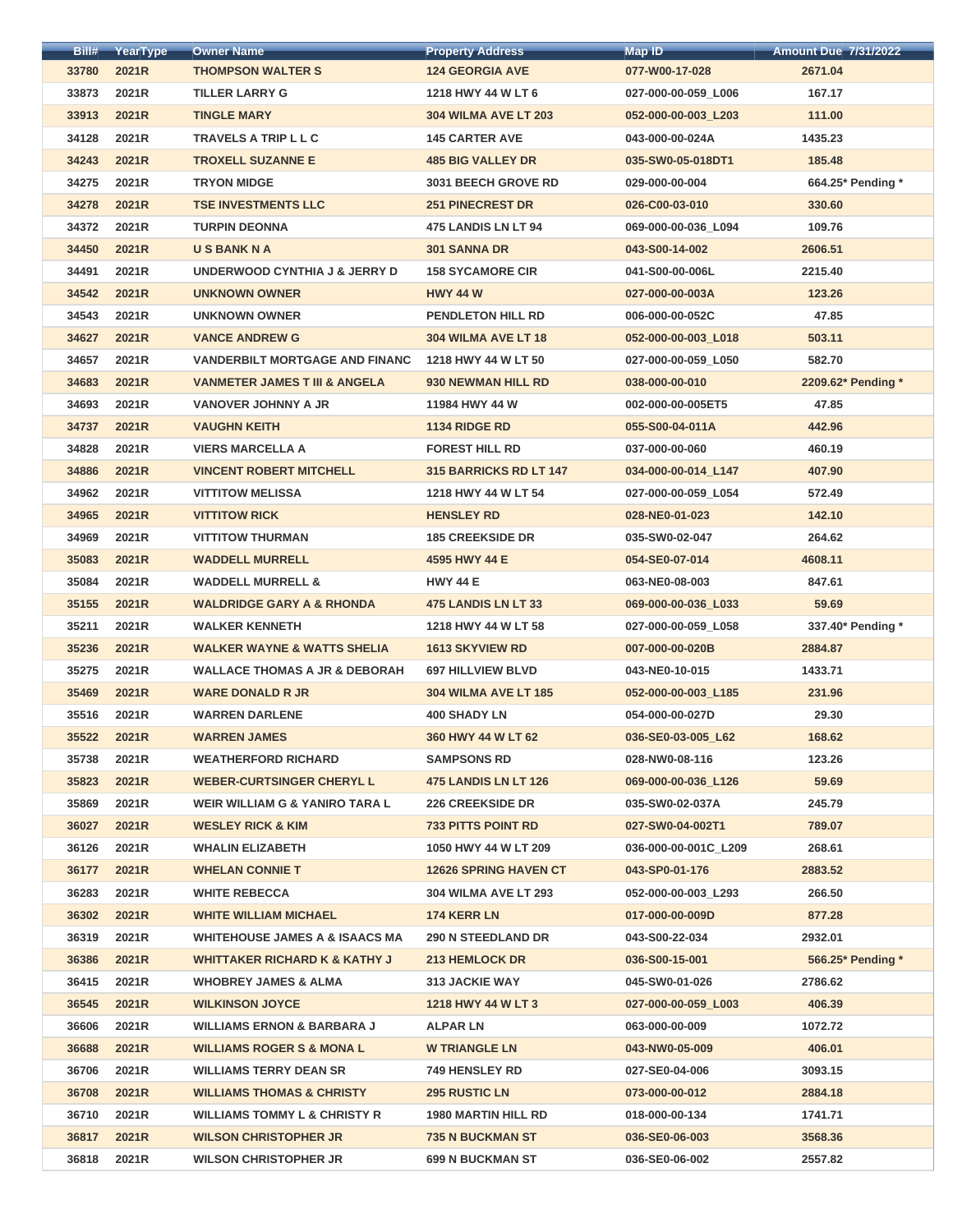| <b>THOMPSON WALTER S</b><br><b>124 GEORGIA AVE</b><br>2671.04<br>33780<br>2021R<br>077-W00-17-028<br>33873<br>2021R<br><b>TILLER LARRY G</b><br>1218 HWY 44 W LT 6<br>027-000-00-059_L006<br>167.17<br>33913<br>2021R<br>111.00<br><b>TINGLE MARY</b><br><b>304 WILMA AVE LT 203</b><br>052-000-00-003_L203<br>34128<br><b>TRAVELS A TRIP L L C</b><br><b>145 CARTER AVE</b><br>1435.23<br>2021R<br>043-000-00-024A<br>2021R<br><b>TROXELL SUZANNE E</b><br>185.48<br>34243<br><b>485 BIG VALLEY DR</b><br>035-SW0-05-018DT1<br>34275<br>2021R<br><b>TRYON MIDGE</b><br><b>3031 BEECH GROVE RD</b><br>664.25* Pending *<br>029-000-00-004<br>34278<br>2021R<br><b>TSE INVESTMENTS LLC</b><br><b>251 PINECREST DR</b><br>330.60<br>026-C00-03-010<br>34372<br>2021R<br>109.76<br><b>TURPIN DEONNA</b><br>475 LANDIS LN LT 94<br>069-000-00-036_L094<br>34450<br><b>301 SANNA DR</b><br>2606.51<br>2021R<br><b>USBANKNA</b><br>043-S00-14-002<br>34491<br>2021R<br>UNDERWOOD CYNTHIA J & JERRY D<br><b>158 SYCAMORE CIR</b><br>041-S00-00-006L<br>2215.40<br>34542<br>2021R<br><b>HWY 44 W</b><br>123.26<br><b>UNKNOWN OWNER</b><br>027-000-00-003A<br>34543<br>2021R<br><b>PENDLETON HILL RD</b><br>47.85<br><b>UNKNOWN OWNER</b><br>006-000-00-052C<br>34627<br>2021R<br><b>VANCE ANDREW G</b><br>304 WILMA AVE LT 18<br>052-000-00-003_L018<br>503.11<br>34657<br><b>VANDERBILT MORTGAGE AND FINANC</b><br>2021R<br>1218 HWY 44 W LT 50<br>027-000-00-059_L050<br>582.70<br>34683<br>2021R<br><b>VANMETER JAMES T III &amp; ANGELA</b><br>930 NEWMAN HILL RD<br>2209.62* Pending *<br>038-000-00-010<br>34693<br>47.85<br>2021R<br><b>VANOVER JOHNNY A JR</b><br>11984 HWY 44 W<br>002-000-00-005ET5<br>34737<br>2021R<br><b>VAUGHN KEITH</b><br><b>1134 RIDGE RD</b><br>055-S00-04-011A<br>442.96<br>34828<br>2021R<br><b>VIERS MARCELLA A</b><br><b>FOREST HILL RD</b><br>460.19<br>037-000-00-060<br><b>VINCENT ROBERT MITCHELL</b><br>34886<br>2021R<br><b>315 BARRICKS RD LT 147</b><br>407.90<br>034-000-00-014_L147<br>34962<br><b>VITTITOW MELISSA</b><br>2021R<br>1218 HWY 44 W LT 54<br>027-000-00-059_L054<br>572.49<br>34965<br>142.10<br>2021R<br><b>VITTITOW RICK</b><br><b>HENSLEY RD</b><br>028-NE0-01-023<br>34969<br>2021R<br><b>VITTITOW THURMAN</b><br><b>185 CREEKSIDE DR</b><br>264.62<br>035-SW0-02-047<br>4608.11<br>35083<br>2021R<br><b>WADDELL MURRELL</b><br>4595 HWY 44 E<br>054-SE0-07-014<br>2021R<br><b>HWY 44 E</b><br>847.61<br>35084<br><b>WADDELL MURRELL &amp;</b><br>063-NE0-08-003<br>59.69<br>35155<br>2021R<br><b>WALDRIDGE GARY A &amp; RHONDA</b><br><b>475 LANDIS LN LT 33</b><br>069-000-00-036_L033<br>35211<br>2021R<br><b>WALKER KENNETH</b><br>1218 HWY 44 W LT 58<br>337.40* Pending *<br>027-000-00-059_L058<br>35236<br>2021R<br><b>WALKER WAYNE &amp; WATTS SHELIA</b><br><b>1613 SKYVIEW RD</b><br>007-000-00-020B<br>2884.87<br>2021R<br>35275<br><b>WALLACE THOMAS A JR &amp; DEBORAH</b><br><b>697 HILLVIEW BLVD</b><br>043-NE0-10-015<br>1433.71<br>35469<br>2021R<br><b>WARE DONALD R JR</b><br>231.96<br><b>304 WILMA AVE LT 185</b><br>052-000-00-003_L185<br>35516<br>2021R<br><b>WARREN DARLENE</b><br><b>400 SHADY LN</b><br>29.30<br>054-000-00-027D<br>168.62<br>35522<br>2021R<br><b>WARREN JAMES</b><br>360 HWY 44 W LT 62<br>036-SE0-03-005 L62<br>35738<br>2021R<br><b>WEATHERFORD RICHARD</b><br><b>SAMPSONS RD</b><br>028-NW0-08-116<br>123.26<br>35823<br>2021R<br><b>WEBER-CURTSINGER CHERYL L</b><br>475 LANDIS LN LT 126<br>59.69<br>069-000-00-036_L126<br>245.79<br>35869<br>2021R<br><b>WEIR WILLIAM G &amp; YANIRO TARA L</b><br><b>226 CREEKSIDE DR</b><br>035-SW0-02-037A<br><b>WESLEY RICK &amp; KIM</b><br><b>733 PITTS POINT RD</b><br>36027<br>2021R<br>027-SW0-04-002T1<br>789.07<br>36126<br>2021R<br><b>WHALIN ELIZABETH</b><br>1050 HWY 44 W LT 209<br>036-000-00-001C L209<br>268.61<br>36177<br>2021R<br><b>WHELAN CONNIE T</b><br><b>12626 SPRING HAVEN CT</b><br>043-SP0-01-176<br>2883.52<br>36283<br>2021R<br><b>WHITE REBECCA</b><br>266.50<br><b>304 WILMA AVE LT 293</b><br>052-000-00-003_L293<br><b>WHITE WILLIAM MICHAEL</b><br>174 KERR LN<br>36302<br>2021R<br>017-000-00-009D<br>877.28 | Bill# | YearType | <b>Owner Name</b> | <b>Property Address</b> | Map ID | <b>Amount Due 7/31/2022</b> |
|---------------------------------------------------------------------------------------------------------------------------------------------------------------------------------------------------------------------------------------------------------------------------------------------------------------------------------------------------------------------------------------------------------------------------------------------------------------------------------------------------------------------------------------------------------------------------------------------------------------------------------------------------------------------------------------------------------------------------------------------------------------------------------------------------------------------------------------------------------------------------------------------------------------------------------------------------------------------------------------------------------------------------------------------------------------------------------------------------------------------------------------------------------------------------------------------------------------------------------------------------------------------------------------------------------------------------------------------------------------------------------------------------------------------------------------------------------------------------------------------------------------------------------------------------------------------------------------------------------------------------------------------------------------------------------------------------------------------------------------------------------------------------------------------------------------------------------------------------------------------------------------------------------------------------------------------------------------------------------------------------------------------------------------------------------------------------------------------------------------------------------------------------------------------------------------------------------------------------------------------------------------------------------------------------------------------------------------------------------------------------------------------------------------------------------------------------------------------------------------------------------------------------------------------------------------------------------------------------------------------------------------------------------------------------------------------------------------------------------------------------------------------------------------------------------------------------------------------------------------------------------------------------------------------------------------------------------------------------------------------------------------------------------------------------------------------------------------------------------------------------------------------------------------------------------------------------------------------------------------------------------------------------------------------------------------------------------------------------------------------------------------------------------------------------------------------------------------------------------------------------------------------------------------------------------------------------------------------------------------------------------------------------------------------------------------------------------------------------------------------------------------------------------------------------------------------------------------------------------------------------------------------------------------------------------------------------------------------------------------------------------------------------------------------------------------------------------------------------------------------------------------------------------------------------------------------------|-------|----------|-------------------|-------------------------|--------|-----------------------------|
|                                                                                                                                                                                                                                                                                                                                                                                                                                                                                                                                                                                                                                                                                                                                                                                                                                                                                                                                                                                                                                                                                                                                                                                                                                                                                                                                                                                                                                                                                                                                                                                                                                                                                                                                                                                                                                                                                                                                                                                                                                                                                                                                                                                                                                                                                                                                                                                                                                                                                                                                                                                                                                                                                                                                                                                                                                                                                                                                                                                                                                                                                                                                                                                                                                                                                                                                                                                                                                                                                                                                                                                                                                                                                                                                                                                                                                                                                                                                                                                                                                                                                                                                                                                                   |       |          |                   |                         |        |                             |
|                                                                                                                                                                                                                                                                                                                                                                                                                                                                                                                                                                                                                                                                                                                                                                                                                                                                                                                                                                                                                                                                                                                                                                                                                                                                                                                                                                                                                                                                                                                                                                                                                                                                                                                                                                                                                                                                                                                                                                                                                                                                                                                                                                                                                                                                                                                                                                                                                                                                                                                                                                                                                                                                                                                                                                                                                                                                                                                                                                                                                                                                                                                                                                                                                                                                                                                                                                                                                                                                                                                                                                                                                                                                                                                                                                                                                                                                                                                                                                                                                                                                                                                                                                                                   |       |          |                   |                         |        |                             |
|                                                                                                                                                                                                                                                                                                                                                                                                                                                                                                                                                                                                                                                                                                                                                                                                                                                                                                                                                                                                                                                                                                                                                                                                                                                                                                                                                                                                                                                                                                                                                                                                                                                                                                                                                                                                                                                                                                                                                                                                                                                                                                                                                                                                                                                                                                                                                                                                                                                                                                                                                                                                                                                                                                                                                                                                                                                                                                                                                                                                                                                                                                                                                                                                                                                                                                                                                                                                                                                                                                                                                                                                                                                                                                                                                                                                                                                                                                                                                                                                                                                                                                                                                                                                   |       |          |                   |                         |        |                             |
|                                                                                                                                                                                                                                                                                                                                                                                                                                                                                                                                                                                                                                                                                                                                                                                                                                                                                                                                                                                                                                                                                                                                                                                                                                                                                                                                                                                                                                                                                                                                                                                                                                                                                                                                                                                                                                                                                                                                                                                                                                                                                                                                                                                                                                                                                                                                                                                                                                                                                                                                                                                                                                                                                                                                                                                                                                                                                                                                                                                                                                                                                                                                                                                                                                                                                                                                                                                                                                                                                                                                                                                                                                                                                                                                                                                                                                                                                                                                                                                                                                                                                                                                                                                                   |       |          |                   |                         |        |                             |
|                                                                                                                                                                                                                                                                                                                                                                                                                                                                                                                                                                                                                                                                                                                                                                                                                                                                                                                                                                                                                                                                                                                                                                                                                                                                                                                                                                                                                                                                                                                                                                                                                                                                                                                                                                                                                                                                                                                                                                                                                                                                                                                                                                                                                                                                                                                                                                                                                                                                                                                                                                                                                                                                                                                                                                                                                                                                                                                                                                                                                                                                                                                                                                                                                                                                                                                                                                                                                                                                                                                                                                                                                                                                                                                                                                                                                                                                                                                                                                                                                                                                                                                                                                                                   |       |          |                   |                         |        |                             |
|                                                                                                                                                                                                                                                                                                                                                                                                                                                                                                                                                                                                                                                                                                                                                                                                                                                                                                                                                                                                                                                                                                                                                                                                                                                                                                                                                                                                                                                                                                                                                                                                                                                                                                                                                                                                                                                                                                                                                                                                                                                                                                                                                                                                                                                                                                                                                                                                                                                                                                                                                                                                                                                                                                                                                                                                                                                                                                                                                                                                                                                                                                                                                                                                                                                                                                                                                                                                                                                                                                                                                                                                                                                                                                                                                                                                                                                                                                                                                                                                                                                                                                                                                                                                   |       |          |                   |                         |        |                             |
|                                                                                                                                                                                                                                                                                                                                                                                                                                                                                                                                                                                                                                                                                                                                                                                                                                                                                                                                                                                                                                                                                                                                                                                                                                                                                                                                                                                                                                                                                                                                                                                                                                                                                                                                                                                                                                                                                                                                                                                                                                                                                                                                                                                                                                                                                                                                                                                                                                                                                                                                                                                                                                                                                                                                                                                                                                                                                                                                                                                                                                                                                                                                                                                                                                                                                                                                                                                                                                                                                                                                                                                                                                                                                                                                                                                                                                                                                                                                                                                                                                                                                                                                                                                                   |       |          |                   |                         |        |                             |
|                                                                                                                                                                                                                                                                                                                                                                                                                                                                                                                                                                                                                                                                                                                                                                                                                                                                                                                                                                                                                                                                                                                                                                                                                                                                                                                                                                                                                                                                                                                                                                                                                                                                                                                                                                                                                                                                                                                                                                                                                                                                                                                                                                                                                                                                                                                                                                                                                                                                                                                                                                                                                                                                                                                                                                                                                                                                                                                                                                                                                                                                                                                                                                                                                                                                                                                                                                                                                                                                                                                                                                                                                                                                                                                                                                                                                                                                                                                                                                                                                                                                                                                                                                                                   |       |          |                   |                         |        |                             |
|                                                                                                                                                                                                                                                                                                                                                                                                                                                                                                                                                                                                                                                                                                                                                                                                                                                                                                                                                                                                                                                                                                                                                                                                                                                                                                                                                                                                                                                                                                                                                                                                                                                                                                                                                                                                                                                                                                                                                                                                                                                                                                                                                                                                                                                                                                                                                                                                                                                                                                                                                                                                                                                                                                                                                                                                                                                                                                                                                                                                                                                                                                                                                                                                                                                                                                                                                                                                                                                                                                                                                                                                                                                                                                                                                                                                                                                                                                                                                                                                                                                                                                                                                                                                   |       |          |                   |                         |        |                             |
|                                                                                                                                                                                                                                                                                                                                                                                                                                                                                                                                                                                                                                                                                                                                                                                                                                                                                                                                                                                                                                                                                                                                                                                                                                                                                                                                                                                                                                                                                                                                                                                                                                                                                                                                                                                                                                                                                                                                                                                                                                                                                                                                                                                                                                                                                                                                                                                                                                                                                                                                                                                                                                                                                                                                                                                                                                                                                                                                                                                                                                                                                                                                                                                                                                                                                                                                                                                                                                                                                                                                                                                                                                                                                                                                                                                                                                                                                                                                                                                                                                                                                                                                                                                                   |       |          |                   |                         |        |                             |
|                                                                                                                                                                                                                                                                                                                                                                                                                                                                                                                                                                                                                                                                                                                                                                                                                                                                                                                                                                                                                                                                                                                                                                                                                                                                                                                                                                                                                                                                                                                                                                                                                                                                                                                                                                                                                                                                                                                                                                                                                                                                                                                                                                                                                                                                                                                                                                                                                                                                                                                                                                                                                                                                                                                                                                                                                                                                                                                                                                                                                                                                                                                                                                                                                                                                                                                                                                                                                                                                                                                                                                                                                                                                                                                                                                                                                                                                                                                                                                                                                                                                                                                                                                                                   |       |          |                   |                         |        |                             |
|                                                                                                                                                                                                                                                                                                                                                                                                                                                                                                                                                                                                                                                                                                                                                                                                                                                                                                                                                                                                                                                                                                                                                                                                                                                                                                                                                                                                                                                                                                                                                                                                                                                                                                                                                                                                                                                                                                                                                                                                                                                                                                                                                                                                                                                                                                                                                                                                                                                                                                                                                                                                                                                                                                                                                                                                                                                                                                                                                                                                                                                                                                                                                                                                                                                                                                                                                                                                                                                                                                                                                                                                                                                                                                                                                                                                                                                                                                                                                                                                                                                                                                                                                                                                   |       |          |                   |                         |        |                             |
|                                                                                                                                                                                                                                                                                                                                                                                                                                                                                                                                                                                                                                                                                                                                                                                                                                                                                                                                                                                                                                                                                                                                                                                                                                                                                                                                                                                                                                                                                                                                                                                                                                                                                                                                                                                                                                                                                                                                                                                                                                                                                                                                                                                                                                                                                                                                                                                                                                                                                                                                                                                                                                                                                                                                                                                                                                                                                                                                                                                                                                                                                                                                                                                                                                                                                                                                                                                                                                                                                                                                                                                                                                                                                                                                                                                                                                                                                                                                                                                                                                                                                                                                                                                                   |       |          |                   |                         |        |                             |
|                                                                                                                                                                                                                                                                                                                                                                                                                                                                                                                                                                                                                                                                                                                                                                                                                                                                                                                                                                                                                                                                                                                                                                                                                                                                                                                                                                                                                                                                                                                                                                                                                                                                                                                                                                                                                                                                                                                                                                                                                                                                                                                                                                                                                                                                                                                                                                                                                                                                                                                                                                                                                                                                                                                                                                                                                                                                                                                                                                                                                                                                                                                                                                                                                                                                                                                                                                                                                                                                                                                                                                                                                                                                                                                                                                                                                                                                                                                                                                                                                                                                                                                                                                                                   |       |          |                   |                         |        |                             |
|                                                                                                                                                                                                                                                                                                                                                                                                                                                                                                                                                                                                                                                                                                                                                                                                                                                                                                                                                                                                                                                                                                                                                                                                                                                                                                                                                                                                                                                                                                                                                                                                                                                                                                                                                                                                                                                                                                                                                                                                                                                                                                                                                                                                                                                                                                                                                                                                                                                                                                                                                                                                                                                                                                                                                                                                                                                                                                                                                                                                                                                                                                                                                                                                                                                                                                                                                                                                                                                                                                                                                                                                                                                                                                                                                                                                                                                                                                                                                                                                                                                                                                                                                                                                   |       |          |                   |                         |        |                             |
|                                                                                                                                                                                                                                                                                                                                                                                                                                                                                                                                                                                                                                                                                                                                                                                                                                                                                                                                                                                                                                                                                                                                                                                                                                                                                                                                                                                                                                                                                                                                                                                                                                                                                                                                                                                                                                                                                                                                                                                                                                                                                                                                                                                                                                                                                                                                                                                                                                                                                                                                                                                                                                                                                                                                                                                                                                                                                                                                                                                                                                                                                                                                                                                                                                                                                                                                                                                                                                                                                                                                                                                                                                                                                                                                                                                                                                                                                                                                                                                                                                                                                                                                                                                                   |       |          |                   |                         |        |                             |
|                                                                                                                                                                                                                                                                                                                                                                                                                                                                                                                                                                                                                                                                                                                                                                                                                                                                                                                                                                                                                                                                                                                                                                                                                                                                                                                                                                                                                                                                                                                                                                                                                                                                                                                                                                                                                                                                                                                                                                                                                                                                                                                                                                                                                                                                                                                                                                                                                                                                                                                                                                                                                                                                                                                                                                                                                                                                                                                                                                                                                                                                                                                                                                                                                                                                                                                                                                                                                                                                                                                                                                                                                                                                                                                                                                                                                                                                                                                                                                                                                                                                                                                                                                                                   |       |          |                   |                         |        |                             |
|                                                                                                                                                                                                                                                                                                                                                                                                                                                                                                                                                                                                                                                                                                                                                                                                                                                                                                                                                                                                                                                                                                                                                                                                                                                                                                                                                                                                                                                                                                                                                                                                                                                                                                                                                                                                                                                                                                                                                                                                                                                                                                                                                                                                                                                                                                                                                                                                                                                                                                                                                                                                                                                                                                                                                                                                                                                                                                                                                                                                                                                                                                                                                                                                                                                                                                                                                                                                                                                                                                                                                                                                                                                                                                                                                                                                                                                                                                                                                                                                                                                                                                                                                                                                   |       |          |                   |                         |        |                             |
|                                                                                                                                                                                                                                                                                                                                                                                                                                                                                                                                                                                                                                                                                                                                                                                                                                                                                                                                                                                                                                                                                                                                                                                                                                                                                                                                                                                                                                                                                                                                                                                                                                                                                                                                                                                                                                                                                                                                                                                                                                                                                                                                                                                                                                                                                                                                                                                                                                                                                                                                                                                                                                                                                                                                                                                                                                                                                                                                                                                                                                                                                                                                                                                                                                                                                                                                                                                                                                                                                                                                                                                                                                                                                                                                                                                                                                                                                                                                                                                                                                                                                                                                                                                                   |       |          |                   |                         |        |                             |
|                                                                                                                                                                                                                                                                                                                                                                                                                                                                                                                                                                                                                                                                                                                                                                                                                                                                                                                                                                                                                                                                                                                                                                                                                                                                                                                                                                                                                                                                                                                                                                                                                                                                                                                                                                                                                                                                                                                                                                                                                                                                                                                                                                                                                                                                                                                                                                                                                                                                                                                                                                                                                                                                                                                                                                                                                                                                                                                                                                                                                                                                                                                                                                                                                                                                                                                                                                                                                                                                                                                                                                                                                                                                                                                                                                                                                                                                                                                                                                                                                                                                                                                                                                                                   |       |          |                   |                         |        |                             |
|                                                                                                                                                                                                                                                                                                                                                                                                                                                                                                                                                                                                                                                                                                                                                                                                                                                                                                                                                                                                                                                                                                                                                                                                                                                                                                                                                                                                                                                                                                                                                                                                                                                                                                                                                                                                                                                                                                                                                                                                                                                                                                                                                                                                                                                                                                                                                                                                                                                                                                                                                                                                                                                                                                                                                                                                                                                                                                                                                                                                                                                                                                                                                                                                                                                                                                                                                                                                                                                                                                                                                                                                                                                                                                                                                                                                                                                                                                                                                                                                                                                                                                                                                                                                   |       |          |                   |                         |        |                             |
|                                                                                                                                                                                                                                                                                                                                                                                                                                                                                                                                                                                                                                                                                                                                                                                                                                                                                                                                                                                                                                                                                                                                                                                                                                                                                                                                                                                                                                                                                                                                                                                                                                                                                                                                                                                                                                                                                                                                                                                                                                                                                                                                                                                                                                                                                                                                                                                                                                                                                                                                                                                                                                                                                                                                                                                                                                                                                                                                                                                                                                                                                                                                                                                                                                                                                                                                                                                                                                                                                                                                                                                                                                                                                                                                                                                                                                                                                                                                                                                                                                                                                                                                                                                                   |       |          |                   |                         |        |                             |
|                                                                                                                                                                                                                                                                                                                                                                                                                                                                                                                                                                                                                                                                                                                                                                                                                                                                                                                                                                                                                                                                                                                                                                                                                                                                                                                                                                                                                                                                                                                                                                                                                                                                                                                                                                                                                                                                                                                                                                                                                                                                                                                                                                                                                                                                                                                                                                                                                                                                                                                                                                                                                                                                                                                                                                                                                                                                                                                                                                                                                                                                                                                                                                                                                                                                                                                                                                                                                                                                                                                                                                                                                                                                                                                                                                                                                                                                                                                                                                                                                                                                                                                                                                                                   |       |          |                   |                         |        |                             |
|                                                                                                                                                                                                                                                                                                                                                                                                                                                                                                                                                                                                                                                                                                                                                                                                                                                                                                                                                                                                                                                                                                                                                                                                                                                                                                                                                                                                                                                                                                                                                                                                                                                                                                                                                                                                                                                                                                                                                                                                                                                                                                                                                                                                                                                                                                                                                                                                                                                                                                                                                                                                                                                                                                                                                                                                                                                                                                                                                                                                                                                                                                                                                                                                                                                                                                                                                                                                                                                                                                                                                                                                                                                                                                                                                                                                                                                                                                                                                                                                                                                                                                                                                                                                   |       |          |                   |                         |        |                             |
|                                                                                                                                                                                                                                                                                                                                                                                                                                                                                                                                                                                                                                                                                                                                                                                                                                                                                                                                                                                                                                                                                                                                                                                                                                                                                                                                                                                                                                                                                                                                                                                                                                                                                                                                                                                                                                                                                                                                                                                                                                                                                                                                                                                                                                                                                                                                                                                                                                                                                                                                                                                                                                                                                                                                                                                                                                                                                                                                                                                                                                                                                                                                                                                                                                                                                                                                                                                                                                                                                                                                                                                                                                                                                                                                                                                                                                                                                                                                                                                                                                                                                                                                                                                                   |       |          |                   |                         |        |                             |
|                                                                                                                                                                                                                                                                                                                                                                                                                                                                                                                                                                                                                                                                                                                                                                                                                                                                                                                                                                                                                                                                                                                                                                                                                                                                                                                                                                                                                                                                                                                                                                                                                                                                                                                                                                                                                                                                                                                                                                                                                                                                                                                                                                                                                                                                                                                                                                                                                                                                                                                                                                                                                                                                                                                                                                                                                                                                                                                                                                                                                                                                                                                                                                                                                                                                                                                                                                                                                                                                                                                                                                                                                                                                                                                                                                                                                                                                                                                                                                                                                                                                                                                                                                                                   |       |          |                   |                         |        |                             |
|                                                                                                                                                                                                                                                                                                                                                                                                                                                                                                                                                                                                                                                                                                                                                                                                                                                                                                                                                                                                                                                                                                                                                                                                                                                                                                                                                                                                                                                                                                                                                                                                                                                                                                                                                                                                                                                                                                                                                                                                                                                                                                                                                                                                                                                                                                                                                                                                                                                                                                                                                                                                                                                                                                                                                                                                                                                                                                                                                                                                                                                                                                                                                                                                                                                                                                                                                                                                                                                                                                                                                                                                                                                                                                                                                                                                                                                                                                                                                                                                                                                                                                                                                                                                   |       |          |                   |                         |        |                             |
|                                                                                                                                                                                                                                                                                                                                                                                                                                                                                                                                                                                                                                                                                                                                                                                                                                                                                                                                                                                                                                                                                                                                                                                                                                                                                                                                                                                                                                                                                                                                                                                                                                                                                                                                                                                                                                                                                                                                                                                                                                                                                                                                                                                                                                                                                                                                                                                                                                                                                                                                                                                                                                                                                                                                                                                                                                                                                                                                                                                                                                                                                                                                                                                                                                                                                                                                                                                                                                                                                                                                                                                                                                                                                                                                                                                                                                                                                                                                                                                                                                                                                                                                                                                                   |       |          |                   |                         |        |                             |
|                                                                                                                                                                                                                                                                                                                                                                                                                                                                                                                                                                                                                                                                                                                                                                                                                                                                                                                                                                                                                                                                                                                                                                                                                                                                                                                                                                                                                                                                                                                                                                                                                                                                                                                                                                                                                                                                                                                                                                                                                                                                                                                                                                                                                                                                                                                                                                                                                                                                                                                                                                                                                                                                                                                                                                                                                                                                                                                                                                                                                                                                                                                                                                                                                                                                                                                                                                                                                                                                                                                                                                                                                                                                                                                                                                                                                                                                                                                                                                                                                                                                                                                                                                                                   |       |          |                   |                         |        |                             |
|                                                                                                                                                                                                                                                                                                                                                                                                                                                                                                                                                                                                                                                                                                                                                                                                                                                                                                                                                                                                                                                                                                                                                                                                                                                                                                                                                                                                                                                                                                                                                                                                                                                                                                                                                                                                                                                                                                                                                                                                                                                                                                                                                                                                                                                                                                                                                                                                                                                                                                                                                                                                                                                                                                                                                                                                                                                                                                                                                                                                                                                                                                                                                                                                                                                                                                                                                                                                                                                                                                                                                                                                                                                                                                                                                                                                                                                                                                                                                                                                                                                                                                                                                                                                   |       |          |                   |                         |        |                             |
|                                                                                                                                                                                                                                                                                                                                                                                                                                                                                                                                                                                                                                                                                                                                                                                                                                                                                                                                                                                                                                                                                                                                                                                                                                                                                                                                                                                                                                                                                                                                                                                                                                                                                                                                                                                                                                                                                                                                                                                                                                                                                                                                                                                                                                                                                                                                                                                                                                                                                                                                                                                                                                                                                                                                                                                                                                                                                                                                                                                                                                                                                                                                                                                                                                                                                                                                                                                                                                                                                                                                                                                                                                                                                                                                                                                                                                                                                                                                                                                                                                                                                                                                                                                                   |       |          |                   |                         |        |                             |
|                                                                                                                                                                                                                                                                                                                                                                                                                                                                                                                                                                                                                                                                                                                                                                                                                                                                                                                                                                                                                                                                                                                                                                                                                                                                                                                                                                                                                                                                                                                                                                                                                                                                                                                                                                                                                                                                                                                                                                                                                                                                                                                                                                                                                                                                                                                                                                                                                                                                                                                                                                                                                                                                                                                                                                                                                                                                                                                                                                                                                                                                                                                                                                                                                                                                                                                                                                                                                                                                                                                                                                                                                                                                                                                                                                                                                                                                                                                                                                                                                                                                                                                                                                                                   |       |          |                   |                         |        |                             |
|                                                                                                                                                                                                                                                                                                                                                                                                                                                                                                                                                                                                                                                                                                                                                                                                                                                                                                                                                                                                                                                                                                                                                                                                                                                                                                                                                                                                                                                                                                                                                                                                                                                                                                                                                                                                                                                                                                                                                                                                                                                                                                                                                                                                                                                                                                                                                                                                                                                                                                                                                                                                                                                                                                                                                                                                                                                                                                                                                                                                                                                                                                                                                                                                                                                                                                                                                                                                                                                                                                                                                                                                                                                                                                                                                                                                                                                                                                                                                                                                                                                                                                                                                                                                   |       |          |                   |                         |        |                             |
|                                                                                                                                                                                                                                                                                                                                                                                                                                                                                                                                                                                                                                                                                                                                                                                                                                                                                                                                                                                                                                                                                                                                                                                                                                                                                                                                                                                                                                                                                                                                                                                                                                                                                                                                                                                                                                                                                                                                                                                                                                                                                                                                                                                                                                                                                                                                                                                                                                                                                                                                                                                                                                                                                                                                                                                                                                                                                                                                                                                                                                                                                                                                                                                                                                                                                                                                                                                                                                                                                                                                                                                                                                                                                                                                                                                                                                                                                                                                                                                                                                                                                                                                                                                                   |       |          |                   |                         |        |                             |
|                                                                                                                                                                                                                                                                                                                                                                                                                                                                                                                                                                                                                                                                                                                                                                                                                                                                                                                                                                                                                                                                                                                                                                                                                                                                                                                                                                                                                                                                                                                                                                                                                                                                                                                                                                                                                                                                                                                                                                                                                                                                                                                                                                                                                                                                                                                                                                                                                                                                                                                                                                                                                                                                                                                                                                                                                                                                                                                                                                                                                                                                                                                                                                                                                                                                                                                                                                                                                                                                                                                                                                                                                                                                                                                                                                                                                                                                                                                                                                                                                                                                                                                                                                                                   |       |          |                   |                         |        |                             |
|                                                                                                                                                                                                                                                                                                                                                                                                                                                                                                                                                                                                                                                                                                                                                                                                                                                                                                                                                                                                                                                                                                                                                                                                                                                                                                                                                                                                                                                                                                                                                                                                                                                                                                                                                                                                                                                                                                                                                                                                                                                                                                                                                                                                                                                                                                                                                                                                                                                                                                                                                                                                                                                                                                                                                                                                                                                                                                                                                                                                                                                                                                                                                                                                                                                                                                                                                                                                                                                                                                                                                                                                                                                                                                                                                                                                                                                                                                                                                                                                                                                                                                                                                                                                   |       |          |                   |                         |        |                             |
|                                                                                                                                                                                                                                                                                                                                                                                                                                                                                                                                                                                                                                                                                                                                                                                                                                                                                                                                                                                                                                                                                                                                                                                                                                                                                                                                                                                                                                                                                                                                                                                                                                                                                                                                                                                                                                                                                                                                                                                                                                                                                                                                                                                                                                                                                                                                                                                                                                                                                                                                                                                                                                                                                                                                                                                                                                                                                                                                                                                                                                                                                                                                                                                                                                                                                                                                                                                                                                                                                                                                                                                                                                                                                                                                                                                                                                                                                                                                                                                                                                                                                                                                                                                                   |       |          |                   |                         |        |                             |
|                                                                                                                                                                                                                                                                                                                                                                                                                                                                                                                                                                                                                                                                                                                                                                                                                                                                                                                                                                                                                                                                                                                                                                                                                                                                                                                                                                                                                                                                                                                                                                                                                                                                                                                                                                                                                                                                                                                                                                                                                                                                                                                                                                                                                                                                                                                                                                                                                                                                                                                                                                                                                                                                                                                                                                                                                                                                                                                                                                                                                                                                                                                                                                                                                                                                                                                                                                                                                                                                                                                                                                                                                                                                                                                                                                                                                                                                                                                                                                                                                                                                                                                                                                                                   |       |          |                   |                         |        |                             |
|                                                                                                                                                                                                                                                                                                                                                                                                                                                                                                                                                                                                                                                                                                                                                                                                                                                                                                                                                                                                                                                                                                                                                                                                                                                                                                                                                                                                                                                                                                                                                                                                                                                                                                                                                                                                                                                                                                                                                                                                                                                                                                                                                                                                                                                                                                                                                                                                                                                                                                                                                                                                                                                                                                                                                                                                                                                                                                                                                                                                                                                                                                                                                                                                                                                                                                                                                                                                                                                                                                                                                                                                                                                                                                                                                                                                                                                                                                                                                                                                                                                                                                                                                                                                   |       |          |                   |                         |        |                             |
| 2021R<br><b>290 N STEEDLAND DR</b><br>36319<br><b>WHITEHOUSE JAMES A &amp; ISAACS MA</b><br>043-S00-22-034<br>2932.01                                                                                                                                                                                                                                                                                                                                                                                                                                                                                                                                                                                                                                                                                                                                                                                                                                                                                                                                                                                                                                                                                                                                                                                                                                                                                                                                                                                                                                                                                                                                                                                                                                                                                                                                                                                                                                                                                                                                                                                                                                                                                                                                                                                                                                                                                                                                                                                                                                                                                                                                                                                                                                                                                                                                                                                                                                                                                                                                                                                                                                                                                                                                                                                                                                                                                                                                                                                                                                                                                                                                                                                                                                                                                                                                                                                                                                                                                                                                                                                                                                                                             |       |          |                   |                         |        |                             |
| 2021R<br><b>WHITTAKER RICHARD K &amp; KATHY J</b><br><b>213 HEMLOCK DR</b><br>566.25* Pending *<br>36386<br>036-S00-15-001                                                                                                                                                                                                                                                                                                                                                                                                                                                                                                                                                                                                                                                                                                                                                                                                                                                                                                                                                                                                                                                                                                                                                                                                                                                                                                                                                                                                                                                                                                                                                                                                                                                                                                                                                                                                                                                                                                                                                                                                                                                                                                                                                                                                                                                                                                                                                                                                                                                                                                                                                                                                                                                                                                                                                                                                                                                                                                                                                                                                                                                                                                                                                                                                                                                                                                                                                                                                                                                                                                                                                                                                                                                                                                                                                                                                                                                                                                                                                                                                                                                                        |       |          |                   |                         |        |                             |
| 2021R<br><b>WHOBREY JAMES &amp; ALMA</b><br><b>313 JACKIE WAY</b><br>36415<br>045-SW0-01-026<br>2786.62                                                                                                                                                                                                                                                                                                                                                                                                                                                                                                                                                                                                                                                                                                                                                                                                                                                                                                                                                                                                                                                                                                                                                                                                                                                                                                                                                                                                                                                                                                                                                                                                                                                                                                                                                                                                                                                                                                                                                                                                                                                                                                                                                                                                                                                                                                                                                                                                                                                                                                                                                                                                                                                                                                                                                                                                                                                                                                                                                                                                                                                                                                                                                                                                                                                                                                                                                                                                                                                                                                                                                                                                                                                                                                                                                                                                                                                                                                                                                                                                                                                                                           |       |          |                   |                         |        |                             |
| 36545<br>2021R<br>1218 HWY 44 W LT 3<br>406.39<br><b>WILKINSON JOYCE</b><br>027-000-00-059 L003                                                                                                                                                                                                                                                                                                                                                                                                                                                                                                                                                                                                                                                                                                                                                                                                                                                                                                                                                                                                                                                                                                                                                                                                                                                                                                                                                                                                                                                                                                                                                                                                                                                                                                                                                                                                                                                                                                                                                                                                                                                                                                                                                                                                                                                                                                                                                                                                                                                                                                                                                                                                                                                                                                                                                                                                                                                                                                                                                                                                                                                                                                                                                                                                                                                                                                                                                                                                                                                                                                                                                                                                                                                                                                                                                                                                                                                                                                                                                                                                                                                                                                   |       |          |                   |                         |        |                             |
| 36606<br>2021R<br><b>WILLIAMS ERNON &amp; BARBARA J</b><br><b>ALPAR LN</b><br>063-000-00-009<br>1072.72                                                                                                                                                                                                                                                                                                                                                                                                                                                                                                                                                                                                                                                                                                                                                                                                                                                                                                                                                                                                                                                                                                                                                                                                                                                                                                                                                                                                                                                                                                                                                                                                                                                                                                                                                                                                                                                                                                                                                                                                                                                                                                                                                                                                                                                                                                                                                                                                                                                                                                                                                                                                                                                                                                                                                                                                                                                                                                                                                                                                                                                                                                                                                                                                                                                                                                                                                                                                                                                                                                                                                                                                                                                                                                                                                                                                                                                                                                                                                                                                                                                                                           |       |          |                   |                         |        |                             |
| 36688<br>2021R<br><b>WILLIAMS ROGER S &amp; MONA L</b><br><b>W TRIANGLE LN</b><br>043-NW0-05-009<br>406.01                                                                                                                                                                                                                                                                                                                                                                                                                                                                                                                                                                                                                                                                                                                                                                                                                                                                                                                                                                                                                                                                                                                                                                                                                                                                                                                                                                                                                                                                                                                                                                                                                                                                                                                                                                                                                                                                                                                                                                                                                                                                                                                                                                                                                                                                                                                                                                                                                                                                                                                                                                                                                                                                                                                                                                                                                                                                                                                                                                                                                                                                                                                                                                                                                                                                                                                                                                                                                                                                                                                                                                                                                                                                                                                                                                                                                                                                                                                                                                                                                                                                                        |       |          |                   |                         |        |                             |
| 2021R<br><b>WILLIAMS TERRY DEAN SR</b><br><b>749 HENSLEY RD</b><br>3093.15<br>36706<br>027-SE0-04-006                                                                                                                                                                                                                                                                                                                                                                                                                                                                                                                                                                                                                                                                                                                                                                                                                                                                                                                                                                                                                                                                                                                                                                                                                                                                                                                                                                                                                                                                                                                                                                                                                                                                                                                                                                                                                                                                                                                                                                                                                                                                                                                                                                                                                                                                                                                                                                                                                                                                                                                                                                                                                                                                                                                                                                                                                                                                                                                                                                                                                                                                                                                                                                                                                                                                                                                                                                                                                                                                                                                                                                                                                                                                                                                                                                                                                                                                                                                                                                                                                                                                                             |       |          |                   |                         |        |                             |
| 36708<br>2021R<br><b>WILLIAMS THOMAS &amp; CHRISTY</b><br><b>295 RUSTIC LN</b><br>2884.18<br>073-000-00-012                                                                                                                                                                                                                                                                                                                                                                                                                                                                                                                                                                                                                                                                                                                                                                                                                                                                                                                                                                                                                                                                                                                                                                                                                                                                                                                                                                                                                                                                                                                                                                                                                                                                                                                                                                                                                                                                                                                                                                                                                                                                                                                                                                                                                                                                                                                                                                                                                                                                                                                                                                                                                                                                                                                                                                                                                                                                                                                                                                                                                                                                                                                                                                                                                                                                                                                                                                                                                                                                                                                                                                                                                                                                                                                                                                                                                                                                                                                                                                                                                                                                                       |       |          |                   |                         |        |                             |
| 1741.71<br>36710<br>2021R<br><b>WILLIAMS TOMMY L &amp; CHRISTY R</b><br><b>1980 MARTIN HILL RD</b><br>018-000-00-134                                                                                                                                                                                                                                                                                                                                                                                                                                                                                                                                                                                                                                                                                                                                                                                                                                                                                                                                                                                                                                                                                                                                                                                                                                                                                                                                                                                                                                                                                                                                                                                                                                                                                                                                                                                                                                                                                                                                                                                                                                                                                                                                                                                                                                                                                                                                                                                                                                                                                                                                                                                                                                                                                                                                                                                                                                                                                                                                                                                                                                                                                                                                                                                                                                                                                                                                                                                                                                                                                                                                                                                                                                                                                                                                                                                                                                                                                                                                                                                                                                                                              |       |          |                   |                         |        |                             |
| 3568.36<br>36817<br>2021R<br><b>WILSON CHRISTOPHER JR</b><br><b>735 N BUCKMAN ST</b><br>036-SE0-06-003                                                                                                                                                                                                                                                                                                                                                                                                                                                                                                                                                                                                                                                                                                                                                                                                                                                                                                                                                                                                                                                                                                                                                                                                                                                                                                                                                                                                                                                                                                                                                                                                                                                                                                                                                                                                                                                                                                                                                                                                                                                                                                                                                                                                                                                                                                                                                                                                                                                                                                                                                                                                                                                                                                                                                                                                                                                                                                                                                                                                                                                                                                                                                                                                                                                                                                                                                                                                                                                                                                                                                                                                                                                                                                                                                                                                                                                                                                                                                                                                                                                                                            |       |          |                   |                         |        |                             |
| 36818<br>2021R<br><b>WILSON CHRISTOPHER JR</b><br><b>699 N BUCKMAN ST</b><br>036-SE0-06-002<br>2557.82                                                                                                                                                                                                                                                                                                                                                                                                                                                                                                                                                                                                                                                                                                                                                                                                                                                                                                                                                                                                                                                                                                                                                                                                                                                                                                                                                                                                                                                                                                                                                                                                                                                                                                                                                                                                                                                                                                                                                                                                                                                                                                                                                                                                                                                                                                                                                                                                                                                                                                                                                                                                                                                                                                                                                                                                                                                                                                                                                                                                                                                                                                                                                                                                                                                                                                                                                                                                                                                                                                                                                                                                                                                                                                                                                                                                                                                                                                                                                                                                                                                                                            |       |          |                   |                         |        |                             |